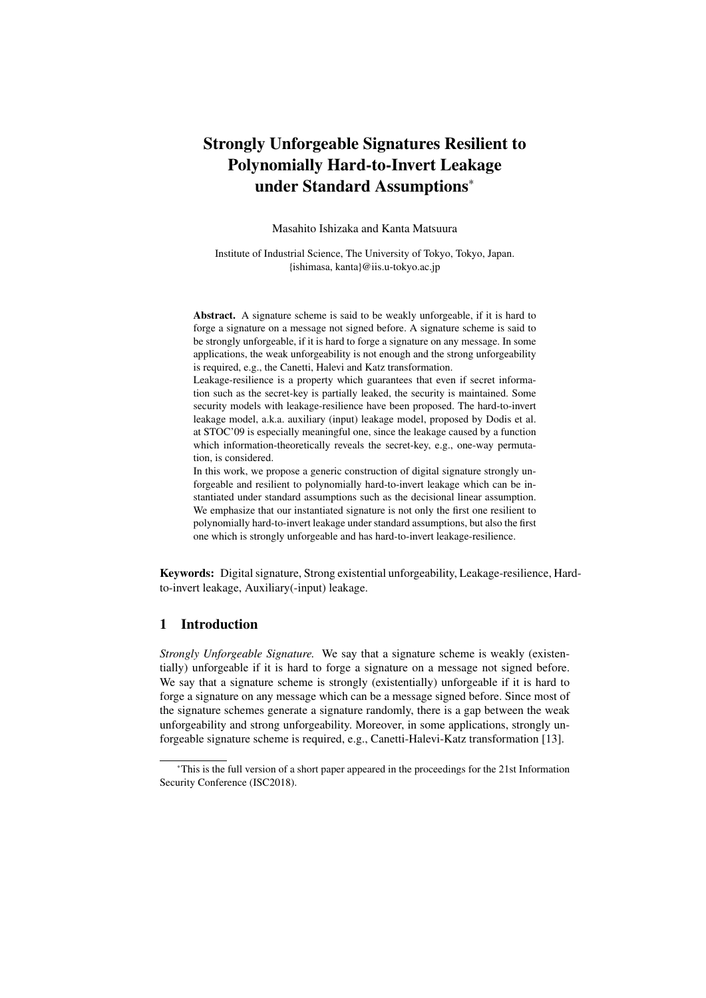# Strongly Unforgeable Signatures Resilient to Polynomially Hard-to-Invert Leakage under Standard Assumptions<sup>∗</sup>

Masahito Ishizaka and Kanta Matsuura

Institute of Industrial Science, The University of Tokyo, Tokyo, Japan. {ishimasa, kanta}@iis.u-tokyo.ac.jp

Abstract. A signature scheme is said to be weakly unforgeable, if it is hard to forge a signature on a message not signed before. A signature scheme is said to be strongly unforgeable, if it is hard to forge a signature on any message. In some applications, the weak unforgeability is not enough and the strong unforgeability is required, e.g., the Canetti, Halevi and Katz transformation.

Leakage-resilience is a property which guarantees that even if secret information such as the secret-key is partially leaked, the security is maintained. Some security models with leakage-resilience have been proposed. The hard-to-invert leakage model, a.k.a. auxiliary (input) leakage model, proposed by Dodis et al. at STOC'09 is especially meaningful one, since the leakage caused by a function which information-theoretically reveals the secret-key, e.g., one-way permutation, is considered.

In this work, we propose a generic construction of digital signature strongly unforgeable and resilient to polynomially hard-to-invert leakage which can be instantiated under standard assumptions such as the decisional linear assumption. We emphasize that our instantiated signature is not only the first one resilient to polynomially hard-to-invert leakage under standard assumptions, but also the first one which is strongly unforgeable and has hard-to-invert leakage-resilience.

Keywords: Digital signature, Strong existential unforgeability, Leakage-resilience, Hardto-invert leakage, Auxiliary(-input) leakage.

# 1 Introduction

*Strongly Unforgeable Signature.* We say that a signature scheme is weakly (existentially) unforgeable if it is hard to forge a signature on a message not signed before. We say that a signature scheme is strongly (existentially) unforgeable if it is hard to forge a signature on any message which can be a message signed before. Since most of the signature schemes generate a signature randomly, there is a gap between the weak unforgeability and strong unforgeability. Moreover, in some applications, strongly unforgeable signature scheme is required, e.g., Canetti-Halevi-Katz transformation [13].

<sup>∗</sup>This is the full version of a short paper appeared in the proceedings for the 21st Information Security Conference (ISC2018).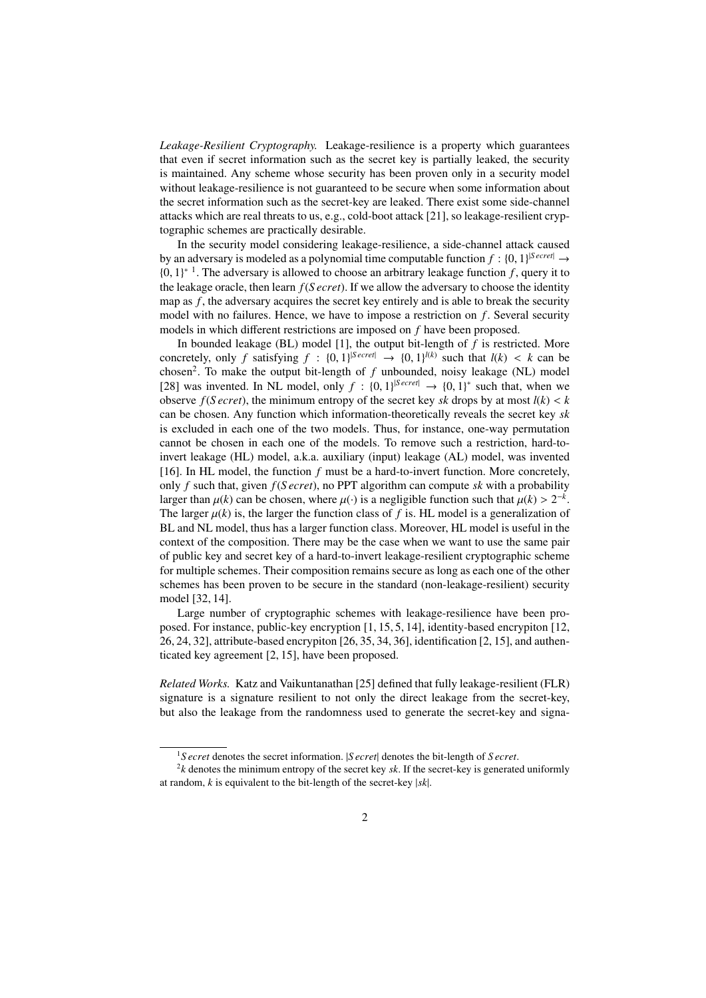*Leakage-Resilient Cryptography.* Leakage-resilience is a property which guarantees that even if secret information such as the secret key is partially leaked, the security is maintained. Any scheme whose security has been proven only in a security model without leakage-resilience is not guaranteed to be secure when some information about the secret information such as the secret-key are leaked. There exist some side-channel attacks which are real threats to us, e.g., cold-boot attack [21], so leakage-resilient cryptographic schemes are practically desirable.

In the security model considering leakage-resilience, a side-channel attack caused by an adversary is modeled as a polynomial time computable function  $f : \{0, 1\}^{|S \text{ *exrel}|} \rightarrow*$  ${0, 1}^*$ <sup>1</sup>. The adversary is allowed to choose an arbitrary leakage function f, query it to the leakage oracle, then learn *f*(*S ecret*). If we allow the adversary to choose the identity map as *f*, the adversary acquires the secret key entirely and is able to break the security model with no failures. Hence, we have to impose a restriction on *f*. Several security models in which different restrictions are imposed on *f* have been proposed.

In bounded leakage (BL) model [1], the output bit-length of *f* is restricted. More concretely, only *f* satisfying  $f : \{0, 1\}^{|S \text{ecret}|} \rightarrow \{0, 1\}^{|(k)}$  such that  $l(k) < k$  can be chosen<sup>2</sup>. To make the output bit-length of  $f$  unbounded, noisy leakage (NL) model [28] was invented. In NL model, only  $f : \{0, 1\}^{|S \text{ *exret}|} \rightarrow \{0, 1\}^**$  such that, when we observe  $f(S \text{ } *t*)$ , the minimum entropy of the secret key *sk* drops by at most  $l(k) < k$ can be chosen. Any function which information-theoretically reveals the secret key *sk* is excluded in each one of the two models. Thus, for instance, one-way permutation cannot be chosen in each one of the models. To remove such a restriction, hard-toinvert leakage (HL) model, a.k.a. auxiliary (input) leakage (AL) model, was invented [16]. In HL model, the function *f* must be a hard-to-invert function. More concretely, only *f* such that, given *f*(*S ecret*), no PPT algorithm can compute *sk* with a probability larger than  $\mu(k)$  can be chosen, where  $\mu(\cdot)$  is a negligible function such that  $\mu(k) > 2^{-k}$ . The larger  $\mu(k)$  is, the larger the function class of f is. HL model is a generalization of BL and NL model, thus has a larger function class. Moreover, HL model is useful in the context of the composition. There may be the case when we want to use the same pair of public key and secret key of a hard-to-invert leakage-resilient cryptographic scheme for multiple schemes. Their composition remains secure as long as each one of the other schemes has been proven to be secure in the standard (non-leakage-resilient) security model [32, 14].

Large number of cryptographic schemes with leakage-resilience have been proposed. For instance, public-key encryption [1, 15, 5, 14], identity-based encrypiton [12, 26, 24, 32], attribute-based encrypiton [26, 35, 34, 36], identification [2, 15], and authenticated key agreement [2, 15], have been proposed.

*Related Works.* Katz and Vaikuntanathan [25] defined that fully leakage-resilient (FLR) signature is a signature resilient to not only the direct leakage from the secret-key, but also the leakage from the randomness used to generate the secret-key and signa-

<sup>1</sup>*S ecret* denotes the secret information. |*S ecret*| denotes the bit-length of *S ecret*.

<sup>2</sup> *k* denotes the minimum entropy of the secret key *sk*. If the secret-key is generated uniformly at random, *k* is equivalent to the bit-length of the secret-key |*sk*|.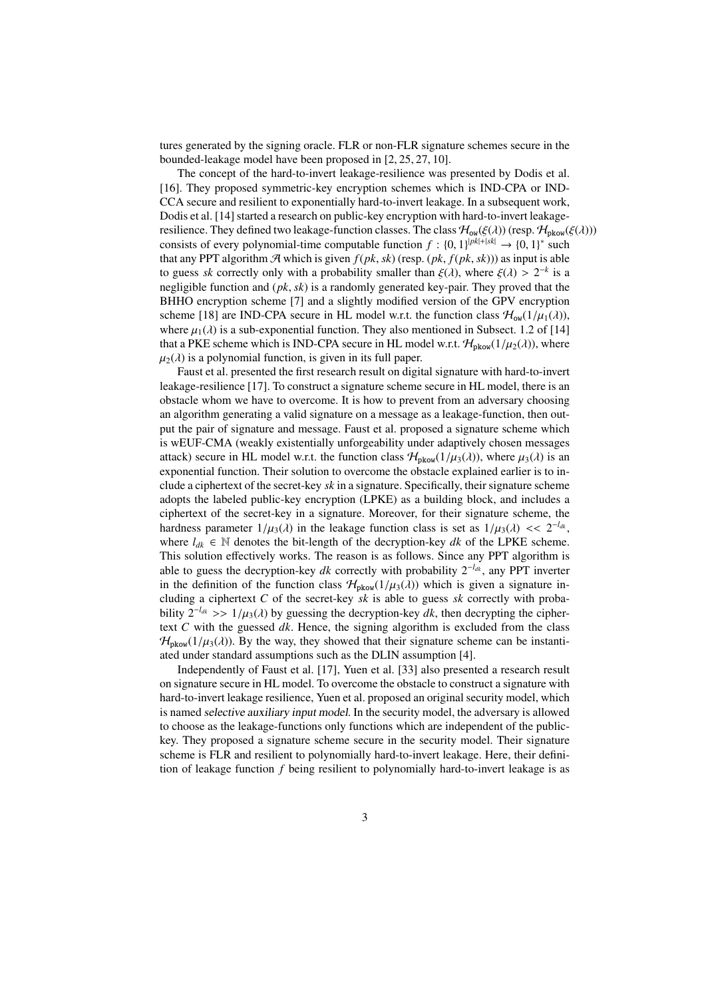tures generated by the signing oracle. FLR or non-FLR signature schemes secure in the bounded-leakage model have been proposed in [2, 25, 27, 10].

The concept of the hard-to-invert leakage-resilience was presented by Dodis et al. [16]. They proposed symmetric-key encryption schemes which is IND-CPA or IND-CCA secure and resilient to exponentially hard-to-invert leakage. In a subsequent work, Dodis et al. [14] started a research on public-key encryption with hard-to-invert leakageresilience. They defined two leakage-function classes. The class  $\mathcal{H}_{ow}(\xi(\lambda))$  (resp.  $\mathcal{H}_{pkow}(\xi(\lambda)))$ consists of every polynomial-time computable function  $f: \{0, 1\}^{|pk|+|sk|} \rightarrow \{0, 1\}^*$  such that any PPT algorithm  $\mathcal{A}$  which is given  $f(pk, sk)$  (resp.  $(pk, f(pk, sk))$ ) as input is able to guess *sk* correctly only with a probability smaller than  $\xi(\lambda)$ , where  $\xi(\lambda) > 2^{-k}$  is a negligible function and (*pk*, *sk*) is a randomly generated key-pair. They proved that the BHHO encryption scheme [7] and a slightly modified version of the GPV encryption scheme [18] are IND-CPA secure in HL model w.r.t. the function class  $\mathcal{H}_{ow}(1/\mu_1(\lambda))$ , where  $\mu_1(\lambda)$  is a sub-exponential function. They also mentioned in Subsect. 1.2 of [14] that a PKE scheme which is IND-CPA secure in HL model w.r.t.  $\mathcal{H}_{\text{pkow}}(1/\mu_2(\lambda))$ , where  $\mu_2(\lambda)$  is a polynomial function, is given in its full paper.

Faust et al. presented the first research result on digital signature with hard-to-invert leakage-resilience [17]. To construct a signature scheme secure in HL model, there is an obstacle whom we have to overcome. It is how to prevent from an adversary choosing an algorithm generating a valid signature on a message as a leakage-function, then output the pair of signature and message. Faust et al. proposed a signature scheme which is wEUF-CMA (weakly existentially unforgeability under adaptively chosen messages attack) secure in HL model w.r.t. the function class  $\mathcal{H}_{\text{pkow}}(1/\mu_3(\lambda))$ , where  $\mu_3(\lambda)$  is an exponential function. Their solution to overcome the obstacle explained earlier is to include a ciphertext of the secret-key *sk* in a signature. Specifically, their signature scheme adopts the labeled public-key encryption (LPKE) as a building block, and includes a ciphertext of the secret-key in a signature. Moreover, for their signature scheme, the hardness parameter  $1/\mu_3(\lambda)$  in the leakage function class is set as  $1/\mu_3(\lambda) \ll 2^{-l_{d,k}}$ , where  $l_{dk} \in \mathbb{N}$  denotes the bit-length of the decryption-key *dk* of the LPKE scheme. This solution effectively works. The reason is as follows. Since any PPT algorithm is able to guess the decryption-key *dk* correctly with probability 2<sup>−</sup>*ldk* , any PPT inverter in the definition of the function class  $\mathcal{H}_{\text{pkow}}(1/\mu_3(\lambda))$  which is given a signature including a ciphertext *C* of the secret-key *sk* is able to guess *sk* correctly with probability  $2^{-l_{dk}} >> 1/\mu_3(\lambda)$  by guessing the decryption-key *dk*, then decrypting the ciphertext *C* with the guessed *dk*. Hence, the signing algorithm is excluded from the class  $\mathcal{H}_{\text{pkow}}(1/\mu_3(\lambda))$ . By the way, they showed that their signature scheme can be instantiated under standard assumptions such as the DLIN assumption [4].

Independently of Faust et al. [17], Yuen et al. [33] also presented a research result on signature secure in HL model. To overcome the obstacle to construct a signature with hard-to-invert leakage resilience, Yuen et al. proposed an original security model, which is named selective auxiliary input model. In the security model, the adversary is allowed to choose as the leakage-functions only functions which are independent of the publickey. They proposed a signature scheme secure in the security model. Their signature scheme is FLR and resilient to polynomially hard-to-invert leakage. Here, their definition of leakage function *f* being resilient to polynomially hard-to-invert leakage is as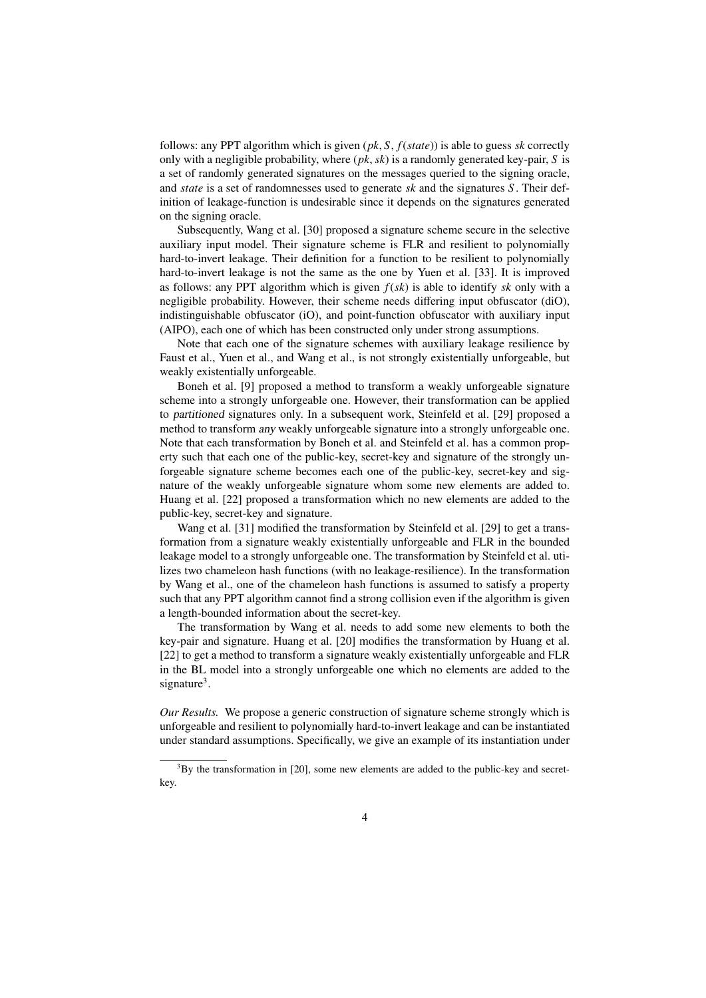follows: any PPT algorithm which is given (*pk*, *S*, *f*(*state*)) is able to guess *sk* correctly only with a negligible probability, where (*pk*, *sk*) is a randomly generated key-pair, *S* is a set of randomly generated signatures on the messages queried to the signing oracle, and *state* is a set of randomnesses used to generate *sk* and the signatures *S* . Their definition of leakage-function is undesirable since it depends on the signatures generated on the signing oracle.

Subsequently, Wang et al. [30] proposed a signature scheme secure in the selective auxiliary input model. Their signature scheme is FLR and resilient to polynomially hard-to-invert leakage. Their definition for a function to be resilient to polynomially hard-to-invert leakage is not the same as the one by Yuen et al. [33]. It is improved as follows: any PPT algorithm which is given *f*(*sk*) is able to identify *sk* only with a negligible probability. However, their scheme needs differing input obfuscator (diO), indistinguishable obfuscator (iO), and point-function obfuscator with auxiliary input (AIPO), each one of which has been constructed only under strong assumptions.

Note that each one of the signature schemes with auxiliary leakage resilience by Faust et al., Yuen et al., and Wang et al., is not strongly existentially unforgeable, but weakly existentially unforgeable.

Boneh et al. [9] proposed a method to transform a weakly unforgeable signature scheme into a strongly unforgeable one. However, their transformation can be applied to partitioned signatures only. In a subsequent work, Steinfeld et al. [29] proposed a method to transform any weakly unforgeable signature into a strongly unforgeable one. Note that each transformation by Boneh et al. and Steinfeld et al. has a common property such that each one of the public-key, secret-key and signature of the strongly unforgeable signature scheme becomes each one of the public-key, secret-key and signature of the weakly unforgeable signature whom some new elements are added to. Huang et al. [22] proposed a transformation which no new elements are added to the public-key, secret-key and signature.

Wang et al. [31] modified the transformation by Steinfeld et al. [29] to get a transformation from a signature weakly existentially unforgeable and FLR in the bounded leakage model to a strongly unforgeable one. The transformation by Steinfeld et al. utilizes two chameleon hash functions (with no leakage-resilience). In the transformation by Wang et al., one of the chameleon hash functions is assumed to satisfy a property such that any PPT algorithm cannot find a strong collision even if the algorithm is given a length-bounded information about the secret-key.

The transformation by Wang et al. needs to add some new elements to both the key-pair and signature. Huang et al. [20] modifies the transformation by Huang et al. [22] to get a method to transform a signature weakly existentially unforgeable and FLR in the BL model into a strongly unforgeable one which no elements are added to the signature<sup>3</sup>.

*Our Results.* We propose a generic construction of signature scheme strongly which is unforgeable and resilient to polynomially hard-to-invert leakage and can be instantiated under standard assumptions. Specifically, we give an example of its instantiation under

 $3$ By the transformation in [20], some new elements are added to the public-key and secretkey.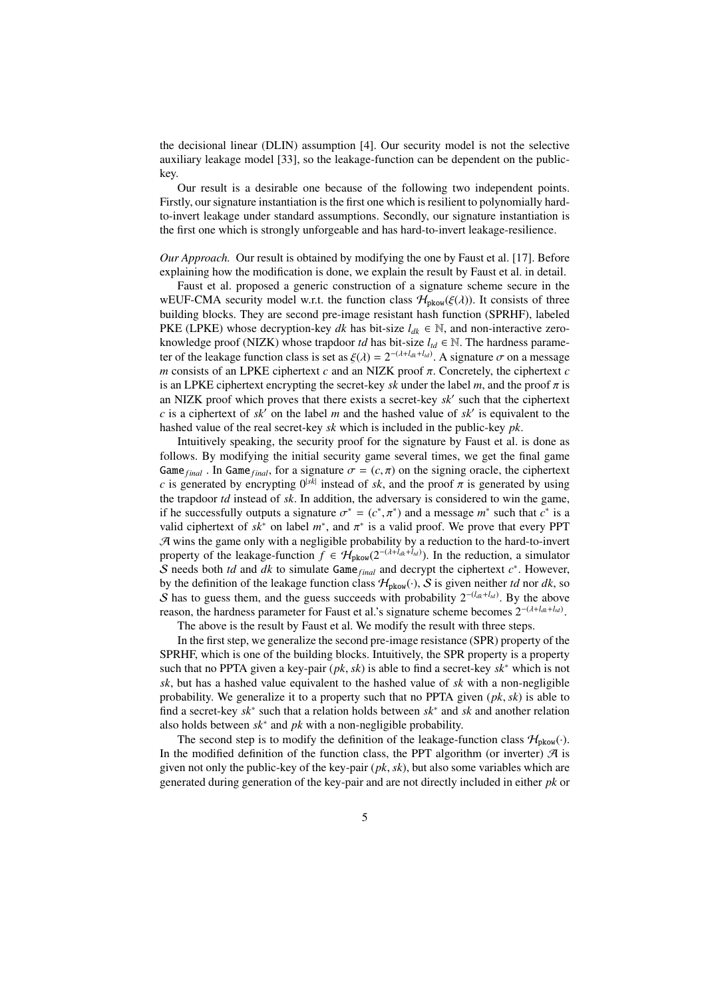the decisional linear (DLIN) assumption [4]. Our security model is not the selective auxiliary leakage model [33], so the leakage-function can be dependent on the publickey.

Our result is a desirable one because of the following two independent points. Firstly, our signature instantiation is the first one which is resilient to polynomially hardto-invert leakage under standard assumptions. Secondly, our signature instantiation is the first one which is strongly unforgeable and has hard-to-invert leakage-resilience.

*Our Approach.* Our result is obtained by modifying the one by Faust et al. [17]. Before explaining how the modification is done, we explain the result by Faust et al. in detail.

Faust et al. proposed a generic construction of a signature scheme secure in the wEUF-CMA security model w.r.t. the function class  $\mathcal{H}_{\text{pkow}}(\xi(\lambda))$ . It consists of three building blocks. They are second pre-image resistant hash function (SPRHF), labeled PKE (LPKE) whose decryption-key *dk* has bit-size  $l_{dk} \in \mathbb{N}$ , and non-interactive zeroknowledge proof (NIZK) whose trapdoor *td* has bit-size  $l_{td} \in \mathbb{N}$ . The hardness parameter of the leakage function class is set as  $\xi(\lambda) = 2^{-(\lambda + l_{dk} + l_{td})}$ . A signature  $\sigma$  on a message *m* consists of an LPKE ciphertext *c* and an NIZK proof π. Concretely, the ciphertext *c* is an LPKE ciphertext encrypting the secret-key *sk* under the label *m*, and the proof  $\pi$  is an NIZK proof which proves that there exists a secret-key *sk*′ such that the ciphertext *c* is a ciphertext of *sk*′ on the label *m* and the hashed value of *sk*′ is equivalent to the hashed value of the real secret-key *sk* which is included in the public-key *pk*.

Intuitively speaking, the security proof for the signature by Faust et al. is done as follows. By modifying the initial security game several times, we get the final game Game<sub>final</sub>. In Game<sub>final</sub>, for a signature  $\sigma = (c, \pi)$  on the signing oracle, the ciphertext *c* is generated by encrypting  $0^{|sk|}$  instead of *sk*, and the proof  $\pi$  is generated by using the trapdoor *td* instead of *sk*. In addition, the adversary is considered to win the game, if he successfully outputs a signature  $\sigma^* = (c^*, \pi^*)$  and a message  $m^*$  such that  $c^*$  is a valid ciphertext of  $sk^*$  on label  $m^*$ , and  $\pi^*$  is a valid proof. We prove that every PPT  $A$  wins the game only with a negligible probability by a reduction to the hard-to-invert property of the leakage-function  $f \in H_{\text{pkow}}(2^{-(\lambda + l_{dk} + l_{td})})$ . In the reduction, a simulator S needs both *td* and *dk* to simulate Game<sub>final</sub> and decrypt the ciphertext  $c^*$ . However, by the definition of the leakage function class  $H_{\text{pkow}}(\cdot)$ , S is given neither *td* nor *dk*, so S has to guess them, and the guess succeeds with probability  $2^{-(l_{dk} + l_{ld})}$ . By the above reason, the hardness parameter for Faust et al.'s signature scheme becomes 2<sup>−</sup>(λ+*ldk*+*ltd* ) .

The above is the result by Faust et al. We modify the result with three steps.

In the first step, we generalize the second pre-image resistance (SPR) property of the SPRHF, which is one of the building blocks. Intuitively, the SPR property is a property such that no PPTA given a key-pair (*pk*, *sk*) is able to find a secret-key *sk*<sup>∗</sup> which is not *sk*, but has a hashed value equivalent to the hashed value of *sk* with a non-negligible probability. We generalize it to a property such that no PPTA given (*pk*, *sk*) is able to find a secret-key *sk*<sup>∗</sup> such that a relation holds between *sk*<sup>∗</sup> and *sk* and another relation also holds between *sk*<sup>∗</sup> and *pk* with a non-negligible probability.

The second step is to modify the definition of the leakage-function class  $\mathcal{H}_{\text{pkow}}(\cdot)$ . In the modified definition of the function class, the PPT algorithm (or inverter)  $\mathcal{A}$  is given not only the public-key of the key-pair (*pk*, *sk*), but also some variables which are generated during generation of the key-pair and are not directly included in either *pk* or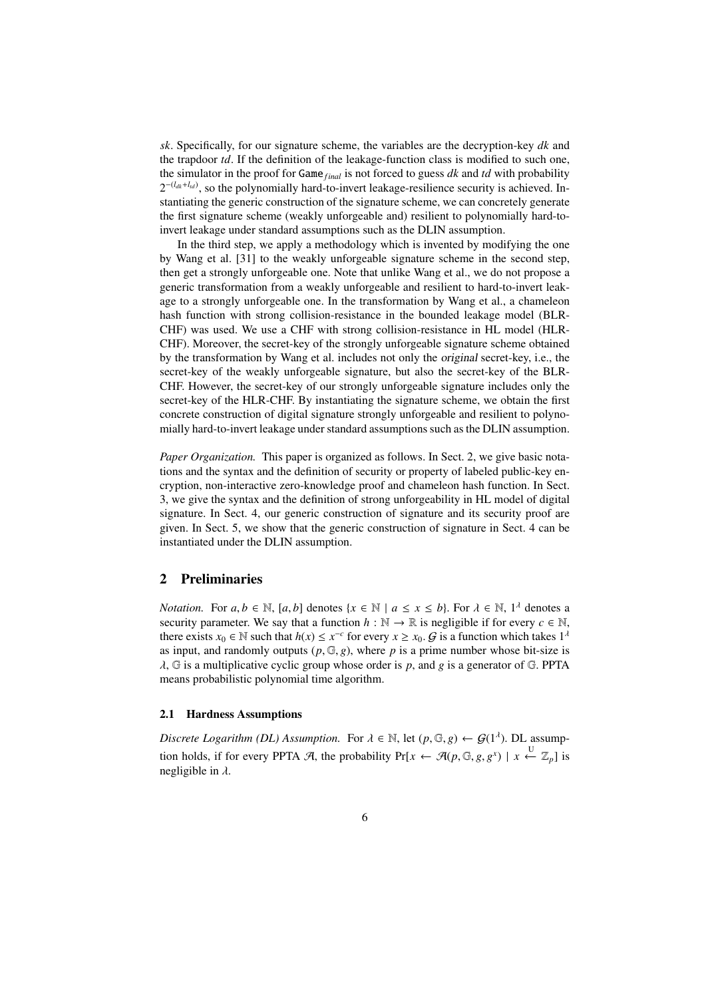*sk*. Specifically, for our signature scheme, the variables are the decryption-key *dk* and the trapdoor *td*. If the definition of the leakage-function class is modified to such one, the simulator in the proof for Game*f inal* is not forced to guess *dk* and *td* with probability  $2^{-(l_{dk}+l_{td})}$ , so the polynomially hard-to-invert leakage-resilience security is achieved. Instantiating the generic construction of the signature scheme, we can concretely generate the first signature scheme (weakly unforgeable and) resilient to polynomially hard-toinvert leakage under standard assumptions such as the DLIN assumption.

In the third step, we apply a methodology which is invented by modifying the one by Wang et al. [31] to the weakly unforgeable signature scheme in the second step, then get a strongly unforgeable one. Note that unlike Wang et al., we do not propose a generic transformation from a weakly unforgeable and resilient to hard-to-invert leakage to a strongly unforgeable one. In the transformation by Wang et al., a chameleon hash function with strong collision-resistance in the bounded leakage model (BLR-CHF) was used. We use a CHF with strong collision-resistance in HL model (HLR-CHF). Moreover, the secret-key of the strongly unforgeable signature scheme obtained by the transformation by Wang et al. includes not only the original secret-key, i.e., the secret-key of the weakly unforgeable signature, but also the secret-key of the BLR-CHF. However, the secret-key of our strongly unforgeable signature includes only the secret-key of the HLR-CHF. By instantiating the signature scheme, we obtain the first concrete construction of digital signature strongly unforgeable and resilient to polynomially hard-to-invert leakage under standard assumptions such as the DLIN assumption.

*Paper Organization.* This paper is organized as follows. In Sect. 2, we give basic notations and the syntax and the definition of security or property of labeled public-key encryption, non-interactive zero-knowledge proof and chameleon hash function. In Sect. 3, we give the syntax and the definition of strong unforgeability in HL model of digital signature. In Sect. 4, our generic construction of signature and its security proof are given. In Sect. 5, we show that the generic construction of signature in Sect. 4 can be instantiated under the DLIN assumption.

# 2 Preliminaries

*Notation.* For  $a, b \in \mathbb{N}$ ,  $[a, b]$  denotes  $\{x \in \mathbb{N} \mid a \le x \le b\}$ . For  $\lambda \in \mathbb{N}$ ,  $1^{\lambda}$  denotes a security parameter. We say that a function  $h : \mathbb{N} \to \mathbb{R}$  is negligible if for every  $c \in \mathbb{N}$ , there exists  $x_0 \in \mathbb{N}$  such that  $h(x) \leq x^{-c}$  for every  $x \geq x_0$ .  $\mathcal{G}$  is a function which takes  $1^{\lambda}$ as input, and randomly outputs  $(p, \mathbb{G}, g)$ , where p is a prime number whose bit-size is λ, G is a multiplicative cyclic group whose order is *p*, and *g* is a generator of G. PPTA means probabilistic polynomial time algorithm.

### 2.1 Hardness Assumptions

*Discrete Logarithm (DL) Assumption.* For  $\lambda \in \mathbb{N}$ , let  $(p, \mathbb{G}, g) \leftarrow \mathcal{G}(1^{\lambda})$ . DL assumption holds, if for every PPTA A, the probability  $Pr[x \leftarrow \mathcal{A}(p, \mathbb{G}, g, g^x) \mid x \stackrel{U}{\leftarrow} \mathbb{Z}_p]$  is negligible in  $\lambda$ .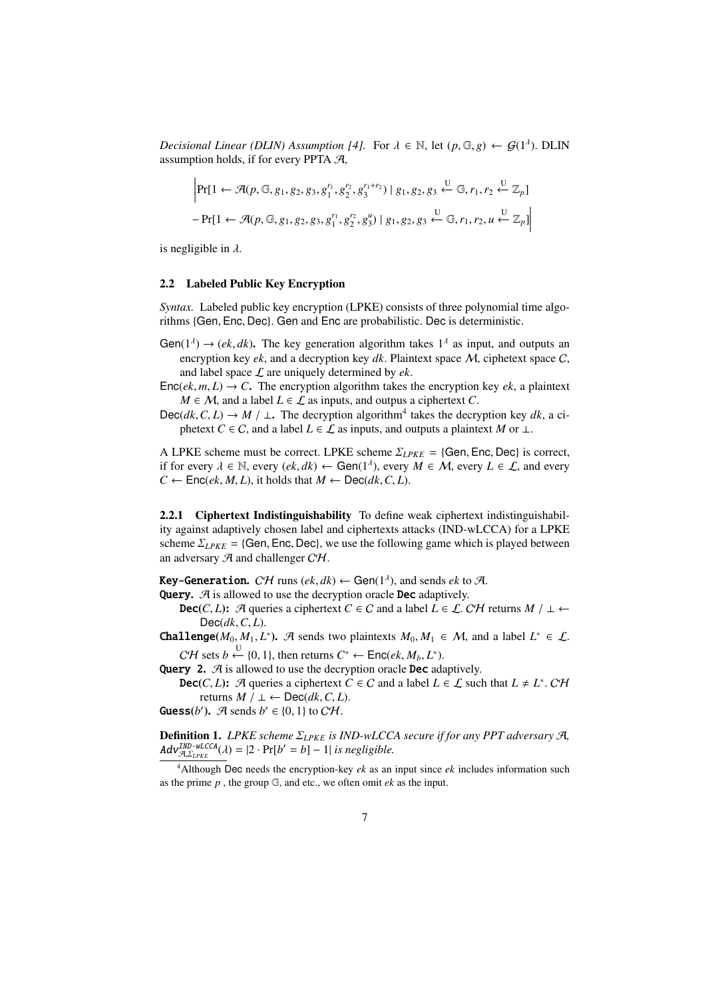*Decisional Linear (DLIN) Assumption [4].* For  $\lambda \in \mathbb{N}$ , let  $(p, \mathbb{G}, g) \leftarrow \mathcal{G}(1^{\lambda})$ . DLIN assumption holds, if for every PPTA  $A$ ,

$$
\left| \Pr[1 \leftarrow \mathcal{A}(p, \mathbb{G}, g_1, g_2, g_3, g_1^{r_1}, g_2^{r_2}, g_3^{r_1+r_2}) \mid g_1, g_2, g_3 \xleftarrow{\mathbb{U}} \mathbb{G}, r_1, r_2 \xleftarrow{\mathbb{U}} \mathbb{Z}_p \right] - \Pr[1 \leftarrow \mathcal{A}(p, \mathbb{G}, g_1, g_2, g_3, g_1^{r_1}, g_2^{r_2}, g_3^{u}) \mid g_1, g_2, g_3 \xleftarrow{\mathbb{U}} \mathbb{G}, r_1, r_2, u \xleftarrow{\mathbb{U}} \mathbb{Z}_p] \right|
$$

is negligible in  $\lambda$ .

#### 2.2 Labeled Public Key Encryption

*Syntax.* Labeled public key encryption (LPKE) consists of three polynomial time algorithms {Gen, Enc, Dec}. Gen and Enc are probabilistic. Dec is deterministic.

- Gen( $1^{\lambda}$ )  $\rightarrow$  (*ek, dk*). The key generation algorithm takes  $1^{\lambda}$  as input, and outputs an encryption key *ek*, and a decryption key *dk*. Plaintext space M, ciphetext space C, and label space  $\mathcal L$  are uniquely determined by  $ek$ .
- $Enc(ek, m, L) \rightarrow C$ . The encryption algorithm takes the encryption key *ek*, a plaintext *M* ∈ *M*, and a label *L* ∈  $\mathcal{L}$  as inputs, and outpus a ciphertext *C*.

Dec( $dk$ ,  $C$ ,  $L$ ) →  $M$  /  $\perp$ . The decryption algorithm<sup>4</sup> takes the decryption key  $dk$ , a ciphetext *C* ∈ *C*, and a label  $L \in \mathcal{L}$  as inputs, and outputs a plaintext *M* or  $\perp$ .

A LPKE scheme must be correct. LPKE scheme  $\Sigma_{LPKE} = \{Gen, Enc, Dec\}$  is correct, if for every  $\lambda \in \mathbb{N}$ , every  $(ek, dk) \leftarrow$  Gen(1<sup> $\lambda$ </sup>), every  $M \in \mathcal{M}$ , every  $L \in \mathcal{L}$ , and every  $C \leftarrow \text{Enc}(ek, M, L)$ , it holds that  $M \leftarrow \text{Dec}(dk, C, L)$ .

2.2.1 Ciphertext Indistinguishability To define weak ciphertext indistinguishability against adaptively chosen label and ciphertexts attacks (IND-wLCCA) for a LPKE scheme  $\Sigma_{LPKE}$  = {Gen, Enc, Dec}, we use the following game which is played between an adversary  $\mathcal A$  and challenger  $\mathcal{CH}$ .

**Key-Generation.**  $C\mathcal{H}$  runs  $(ek, dk) \leftarrow$  Gen $(1^{\lambda})$ , and sends  $e k$  to  $\mathcal{A}$ .

**Query.**  $\mathcal{A}$  is allowed to use the decryption oracle **Dec** adaptively.

- **Dec**(*C*, *L*): A queries a ciphertext *C* ∈ *C* and a label *L* ∈ *L*. *CH* returns *M* / ⊥ ← Dec(*dk*,*C*, *L*).
- **Challenge**( $M_0, M_1, L^*$ ). A sends two plaintexts  $M_0, M_1 \in M$ , and a label  $L^* \in L$ .  $C\mathcal{H}$  sets  $b \stackrel{U}{\leftarrow} \{0, 1\}$ , then returns  $C^* \leftarrow \mathsf{Enc}(ek, M_b, L^*)$ .

Query 2.  $\mathcal A$  is allowed to use the decryption oracle Dec adaptively.

**Dec**(*C*, *L*): A queries a ciphertext  $C \in C$  and a label  $L \in \mathcal{L}$  such that  $L \neq L^*$ . CH returns *M* / ⊥ ← Dec( $dk$ ,  $C$ ,  $L$ ).

**Guess**(*b'*).  $\mathcal{A}$  sends  $b' \in \{0, 1\}$  to  $\mathcal{CH}$ .

Definition 1. *LPKE scheme* Σ*LPKE is IND-wLCCA secure if for any PPT adversary* A*,*  $Adv_{\mathcal{A},\Sigma_{LPKE}}^{IND-wLCCA}(\lambda) = |2 \cdot Pr[b'=b] - 1|$  *is negligible.* 

<sup>4</sup>Although Dec needs the encryption-key *ek* as an input since *ek* includes information such as the prime *p* , the group G, and etc., we often omit *ek* as the input.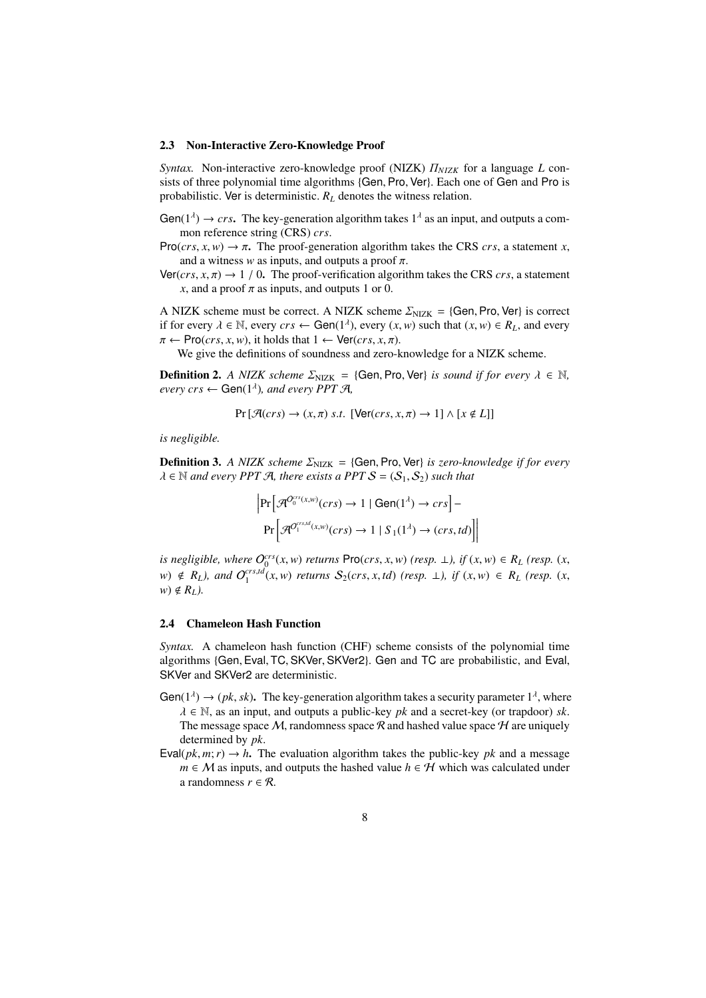#### 2.3 Non-Interactive Zero-Knowledge Proof

*Syntax.* Non-interactive zero-knowledge proof (NIZK)  $\Pi$ <sub>NIZK</sub> for a language *L* consists of three polynomial time algorithms {Gen, Pro, Ver}. Each one of Gen and Pro is probabilistic. Ver is deterministic.  $R_L$  denotes the witness relation.

- Gen( $1^{\lambda}$ )  $\rightarrow crs$ . The key-generation algorithm takes  $1^{\lambda}$  as an input, and outputs a common reference string (CRS) *crs*.
- Pro(*crs*, *x*, *w*)  $\rightarrow \pi$ . The proof-generation algorithm takes the CRS *crs*, a statement *x*, and a witness  $w$  as inputs, and outputs a proof  $\pi$ .

 $\text{Ver}(crs, x, \pi) \rightarrow 1/0$ . The proof-verification algorithm takes the CRS *crs*, a statement *x*, and a proof  $\pi$  as inputs, and outputs 1 or 0.

A NIZK scheme must be correct. A NIZK scheme  $\Sigma_{\text{NIZK}} = \{\text{Gen}, \text{Pro}, \text{Ver}\}\$  is correct if for every  $\lambda \in \mathbb{N}$ , every  $crs \leftarrow \text{Gen}(1^{\lambda})$ , every  $(x, w)$  such that  $(x, w) \in R_L$ , and every  $\pi \leftarrow \text{Pro}(crs, x, w)$ , it holds that  $1 \leftarrow \text{Ver}(crs, x, \pi)$ .

We give the definitions of soundness and zero-knowledge for a NIZK scheme.

**Definition 2.** *A NIZK scheme*  $\Sigma_{NIZK}$  = {Gen, Pro, Ver} *is sound if for every*  $\lambda \in \mathbb{N}$ ,  $every\,crs \leftarrow \textsf{Gen}(1^{\lambda}),\,and\,every\,PPT\,\mathcal{A},$ 

$$
Pr[\mathcal{A}(crs) \to (x,\pi) \text{ s.t. } [\text{Ver}(crs,x,\pi) \to 1] \land [x \notin L]]
$$

*is negligible.*

**Definition 3.** *A NIZK scheme*  $\Sigma_{NIZK} = \{Gen, Pro, Ver\}$  *is zero-knowledge if for every*  $\lambda \in \mathbb{N}$  and every PPT A, there exists a PPT  $S = (S_1, S_2)$  such that

$$
\Pr\left[\mathcal{A}^{O_0^{cr(x,w)}(crs)} \to 1 \mid \text{Gen}(1^{\lambda}) \to crs\right] - \Pr\left[\mathcal{A}^{O_1^{cr,td}(x,w)}(crs) \to 1 \mid S_1(1^{\lambda}) \to (crs,td)\right]
$$

*is negligible, where*  $O_0^{crs}(x, w)$  *returns* Pro(*crs, x, w*) (*resp.*  $\perp$ *), if*  $(x, w) \in R_L$  (*resp.*  $(x, w)$ )  $w) \notin R_L$ , and  $O_1^{crs,td}(x,w)$  returns  $S_2(crs, x, td)$  (resp.  $\perp$ ), if  $(x, w) \in R_L$  (resp.  $(x, w)$ )  $w) \notin R_L$ ).

#### 2.4 Chameleon Hash Function

*Syntax.* A chameleon hash function (CHF) scheme consists of the polynomial time algorithms {Gen, Eval, TC, SKVer, SKVer2}. Gen and TC are probabilistic, and Eval, SKVer and SKVer2 are deterministic.

- Gen( $1^{\lambda}$ )  $\rightarrow$  (*pk*, *sk*). The key-generation algorithm takes a security parameter  $1^{\lambda}$ , where  $\lambda \in \mathbb{N}$ , as an input, and outputs a public-key *pk* and a secret-key (or trapdoor) *sk*. The message space M, randomness space R and hashed value space H are uniquely determined by *pk*.
- Eval( $pk, m; r$ )  $\rightarrow h$ . The evaluation algorithm takes the public-key *pk* and a message  $m \in M$  as inputs, and outputs the hashed value  $h \in H$  which was calculated under a randomness  $r \in \mathcal{R}$ .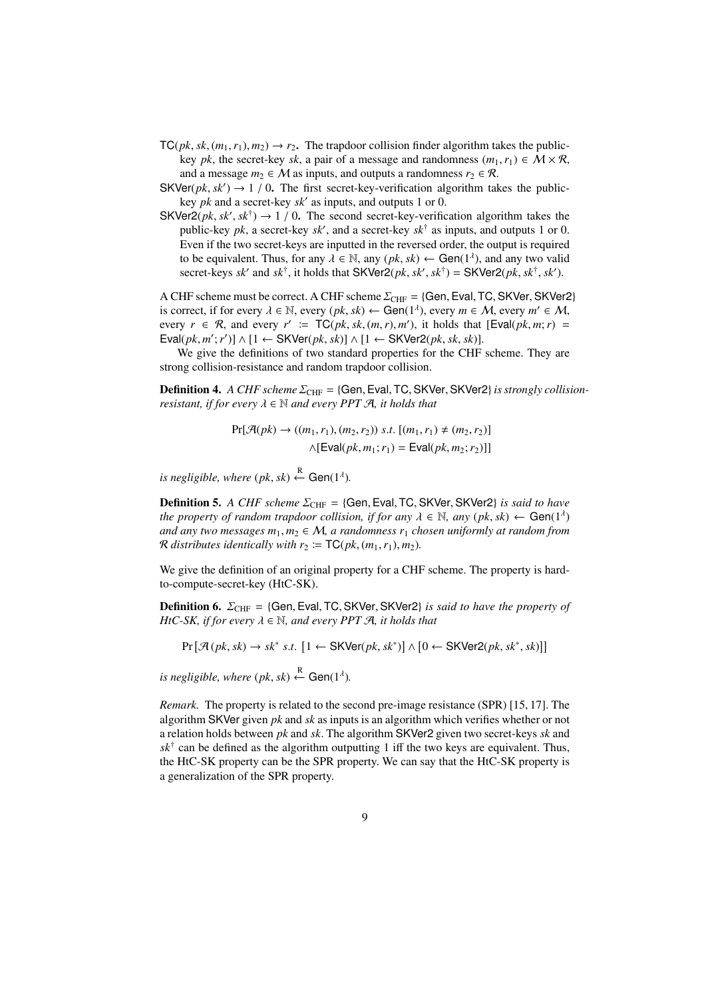- $TC(pk, sk, (m_1, r_1), m_2) \rightarrow r_2$ . The trapdoor collision finder algorithm takes the publickey *pk*, the secret-key *sk*, a pair of a message and randomness  $(m_1, r_1) \in M \times R$ , and a message  $m_2 \in M$  as inputs, and outputs a randomness  $r_2 \in \mathcal{R}$ .
- SKVer( $pk, sk'$ )  $\rightarrow$  1 / 0. The first secret-key-verification algorithm takes the publickey *pk* and a secret-key *sk*′ as inputs, and outputs 1 or 0.
- SKVer2(*pk*,  $sk'$ ,  $sk^{\dagger}$ )  $\rightarrow$  1 / 0. The second secret-key-verification algorithm takes the public-key *pk*, a secret-key  $sk'$ , and a secret-key  $sk^{\dagger}$  as inputs, and outputs 1 or 0. Even if the two secret-keys are inputted in the reversed order, the output is required to be equivalent. Thus, for any  $\lambda \in \mathbb{N}$ , any  $(pk, sk) \leftarrow$  Gen(1<sup> $\lambda$ </sup>), and any two valid secret-keys *sk'* and *sk*<sup>†</sup>, it holds that SKVer2(*pk*, *sk'*, *sk*<sup>†</sup>) = SKVer2(*pk*, *sk*<sup>†</sup>, *sk'*).

A CHF scheme must be correct. A CHF scheme  $\Sigma_{\text{CHF}} = \{\text{Gen}, \text{Eval}, \text{TC}, \text{SKVer}, \text{SKVer2}\}$ is correct, if for every  $\lambda \in \mathbb{N}$ , every  $(pk, sk) \leftarrow \text{Gen}(1^{\lambda})$ , every  $m \in \mathcal{M}$ , every  $m' \in \mathcal{M}$ , every  $r \in \mathcal{R}$ , and every  $r' := \mathsf{TC}(pk, sk, (m, r), m')$ , it holds that  $[\mathsf{Eval}(pk, m; r)] =$  $\textsf{Eval}(pk, m'; r') \sim [1 \leftarrow \textsf{SKVer}(pk, sk)] \wedge [1 \leftarrow \textsf{SKVer2}(pk, sk, sk)].$ 

We give the definitions of two standard properties for the CHF scheme. They are strong collision-resistance and random trapdoor collision.

**Definition 4.** A CHF scheme  $\Sigma_{\text{CHF}} = \{\text{Gen}, \text{Eval}, \text{TC}, \text{SKVer}, \text{SKVer2}\}$  is strongly collision*resistant, if for every*  $\lambda \in \mathbb{N}$  *and every PPT A, it holds that* 

$$
Pr[\mathcal{A}(pk) \to ((m_1, r_1), (m_2, r_2)) \ s.t. \ [(m_1, r_1) \neq (m_2, r_2)]
$$

$$
\land [\text{Eval}(pk, m_1; r_1) = \text{Eval}(pk, m_2; r_2)]
$$

*is negligible, where*  $(pk, sk) \stackrel{R}{\leftarrow}$  Gen(1<sup> $\lambda$ </sup>).

Definition 5. *A CHF scheme*  $\Sigma$ <sub>CHF</sub> = {Gen, Eval, TC, SKVer, SKVer2} *is said to have the property of random trapdoor collision, if for any*  $\lambda \in \mathbb{N}$ , any  $(pk, sk) \leftarrow Gen(1^{\lambda})$ *and any two messages*  $m_1$ ,  $m_2$  ∈  $M$ , *a randomness*  $r_1$  *chosen uniformly at random from R* distributes identically with  $r_2 := \mathsf{TC}(pk, (m_1, r_1), m_2)$ .

We give the definition of an original property for a CHF scheme. The property is hardto-compute-secret-key (HtC-SK).

**Definition 6.**  $\Sigma$ <sub>CHF</sub> = {Gen, Eval, TC, SKVer, SKVer2} *is said to have the property of HtC-SK, if for every*  $\lambda \in \mathbb{N}$ *, and every PPT A, it holds that* 

$$
\Pr\left[\mathcal{A}(pk, sk) \rightarrow sk^* \; s.t. \; \left[1 \leftarrow \mathsf{SKVer}(pk, sk^*)\right] \land \left[0 \leftarrow \mathsf{SKVer2}(pk, sk^*, sk)\right]\right]
$$

*is negligible, where*  $(pk, sk) \stackrel{R}{\leftarrow} Gen(1^{\lambda})$ *.* 

*Remark.* The property is related to the second pre-image resistance (SPR) [15, 17]. The algorithm SKVer given *pk* and *sk* as inputs is an algorithm which verifies whether or not a relation holds between *pk* and *sk*. The algorithm SKVer2 given two secret-keys *sk* and  $sk^{\dagger}$  can be defined as the algorithm outputting 1 iff the two keys are equivalent. Thus, the HtC-SK property can be the SPR property. We can say that the HtC-SK property is a generalization of the SPR property.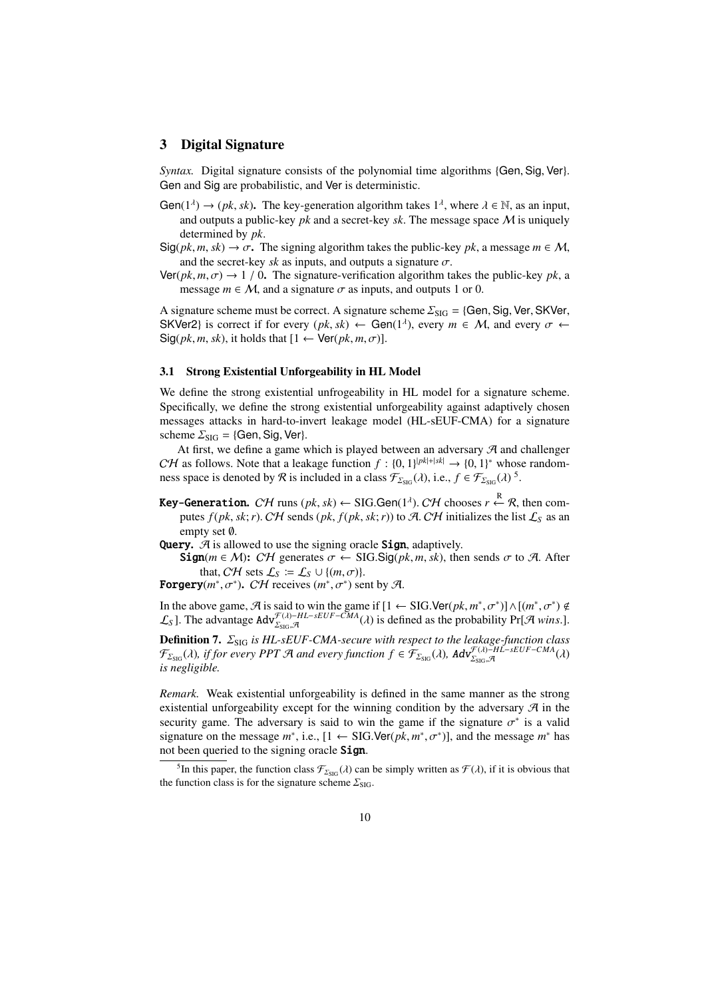## 3 Digital Signature

*Syntax.* Digital signature consists of the polynomial time algorithms {Gen, Sig, Ver}. Gen and Sig are probabilistic, and Ver is deterministic.

- Gen( $1^{\lambda}$ )  $\rightarrow$  (*pk*, *sk*). The key-generation algorithm takes  $1^{\lambda}$ , where  $\lambda \in \mathbb{N}$ , as an input, and outputs a public-key  $pk$  and a secret-key  $sk$ . The message space  $M$  is uniquely determined by *pk*.
- $\text{Sig}(pk, m, sk) \to \sigma$ . The signing algorithm takes the public-key *pk*, a message  $m \in \mathcal{M}$ , and the secret-key *sk* as inputs, and outputs a signature  $\sigma$ .
- $\text{Ver}(pk, m, \sigma) \rightarrow 1/0$ . The signature-verification algorithm takes the public-key *pk*, a message  $m \in M$ , and a signature  $\sigma$  as inputs, and outputs 1 or 0.

A signature scheme must be correct. A signature scheme  $\Sigma_{\text{SIG}} = \{\text{Gen}, \text{Sig}, \text{Ver}, \text{SKVer}, \text{Sker}, \text{Sker}, \text{Sker}, \text{Sker}, \text{Sker}, \text{Sker}, \text{Sker}, \text{Sker}, \text{Sker}, \text{Sker}, \text{Sker}, \text{Sker}, \text{Sker}, \text{Sker}, \text{Sker}, \text{Sker}, \text{Sker}, \text{Sker}, \text{Sker}, \text{Sker}, \text{Sker}, \text{Sker}, \text$ SKVer2} is correct if for every  $(pk, sk) \leftarrow$  Gen( $1^{\lambda}$ ), every  $m \in M$ , and every  $\sigma \leftarrow$  $\text{Sig}(pk, m, sk)$ , it holds that  $[1 \leftarrow \text{Ver}(pk, m, \sigma)].$ 

#### 3.1 Strong Existential Unforgeability in HL Model

We define the strong existential unfrogeability in HL model for a signature scheme. Specifically, we define the strong existential unforgeability against adaptively chosen messages attacks in hard-to-invert leakage model (HL-sEUF-CMA) for a signature scheme  $\Sigma_{\text{SIG}} = \{\text{Gen}, \text{Sig}, \text{Ver}\}.$ 

At first, we define a game which is played between an adversary  $\mathcal{A}$  and challenger CH as follows. Note that a leakage function  $f : \{0, 1\}^{|pk|+|sk|} \to \{0, 1\}^*$  whose randomness space is denoted by  $\mathcal R$  is included in a class  $\mathcal F_{\Sigma_{\text{SIG}}}(\lambda)$ , i.e.,  $f \in \mathcal F_{\Sigma_{\text{SIG}}}(\lambda)$ <sup>5</sup>.

- **Key-Generation.**  $C\mathcal{H}$  runs ( $pk, sk$ )  $\leftarrow$  SIG.Gen( $1^{\lambda}$ ).  $C\mathcal{H}$  chooses  $r \stackrel{R}{\leftarrow} \mathcal{R}$ , then computes  $f(pk, sk; r)$ . CH sends  $(pk, f(pk, sk; r))$  to A. CH initializes the list  $\mathcal{L}_S$  as an empty set ∅.
- **Query.**  $\mathcal{A}$  is allowed to use the signing oracle **Sign**, adaptively.
	- Sign( $m \in M$ ): CH generates  $\sigma$  ← SIG.Sig( $pk, m, sk$ ), then sends  $\sigma$  to A. After that, CH sets  $\mathcal{L}_S := \mathcal{L}_S \cup \{(m, \sigma)\}.$
- **Forgery** $(m^*, \sigma^*)$ . CH receives  $(m^*, \sigma^*)$  sent by A.

In the above game,  $\mathcal A$  is said to win the game if  $[1 \leftarrow \text{SIG}.\text{Ver}(pk, m^*, \sigma^*)] \wedge [(m^*, \sigma^*) \notin$  $\mathcal{L}_S$ ]. The advantage  $Adv_{\Sigma_{\text{SIG}},\mathcal{A}}^{\mathcal{F}(\lambda)-HL-sEUF-\bar{C}MA}(\lambda)$  is defined as the probability Pr[ $\mathcal{A}$  *wins*.].

**Definition 7.**  $\Sigma$ <sub>SIG</sub> is HL-sEUF-CMA-secure with respect to the leakage-function class  $\mathcal{F}_{\Sigma_{\text{SIG}}}\lambda$ ), if for every PPT A and every function  $f \in \mathcal{F}_{\Sigma_{\text{SIG}}}(\lambda)$ ,  $\mathbf{Adv}_{\Sigma_{\text{SIG}},\mathcal{A}}^{\mathcal{F}(\lambda)-H\tilde{L}-sEUF-CMA}$  $\mathcal{F}^{(\lambda)-HL-sEUF-CMA}(\lambda) \$ *is negligible.*

*Remark.* Weak existential unforgeability is defined in the same manner as the strong existential unforgeability except for the winning condition by the adversary  $\mathcal{A}$  in the security game. The adversary is said to win the game if the signature  $\sigma^*$  is a valid signature on the message  $m^*$ , i.e.,  $[1 \leftarrow \text{SIG.Ver}(pk, m^*, \sigma^*)]$ , and the message  $m^*$  has not been queried to the signing oracle Sign.

<sup>&</sup>lt;sup>5</sup>In this paper, the function class  $\mathcal{F}_{\text{Z}_{\text{SIG}}}(\lambda)$  can be simply written as  $\mathcal{F}(\lambda)$ , if it is obvious that the function class is for the signature scheme  $\Sigma_{\rm SIG}$ .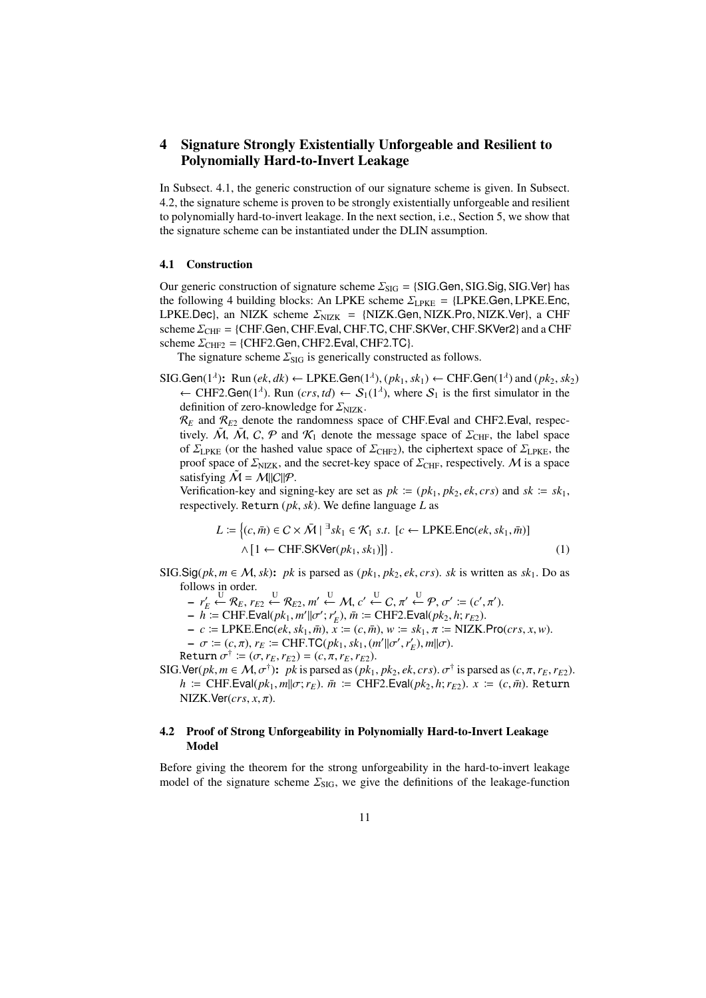# 4 Signature Strongly Existentially Unforgeable and Resilient to Polynomially Hard-to-Invert Leakage

In Subsect. 4.1, the generic construction of our signature scheme is given. In Subsect. 4.2, the signature scheme is proven to be strongly existentially unforgeable and resilient to polynomially hard-to-invert leakage. In the next section, i.e., Section 5, we show that the signature scheme can be instantiated under the DLIN assumption.

#### 4.1 Construction

Our generic construction of signature scheme  $\Sigma_{\text{SIG}} = \{\text{SIG}.\text{Gen}, \text{SIG}.\text{Sig}, \text{SIG}.\text{Ver}\}$  has the following 4 building blocks: An LPKE scheme  $\Sigma_{\text{LPKE}} = {\text{LPKE}.\text{Gen}}$ , LPKE.Enc, LPKE.Dec), an NIZK scheme  $\Sigma_{NIZK}$  = {NIZK.Gen, NIZK.Pro, NIZK.Ver}, a CHF scheme  $\Sigma_{\text{CHF}} = \{CHF \cdot \text{Gen}, CHF \cdot \text{Eval}, CHF \cdot \text{TC}, CHF \cdot \text{SKVer}, CHF \cdot \text{SKVer2}\}$  and a CHF scheme  $\Sigma_{\text{CHF2}} = \{\text{CHF2}.\text{Gen}, \text{CHF2}.\text{Eval}, \text{CHF2}.\text{TC}\}.$ 

The signature scheme  $\Sigma_{\text{SIG}}$  is generically constructed as follows.

 $\text{SIG.Gen}(1^{\lambda})$ : Run  $(ek, dk) \leftarrow \text{LPKE.Gen}(1^{\lambda}), (pk_1, sk_1) \leftarrow \text{CHF.Gen}(1^{\lambda})$  and  $(pk_2, sk_2)$  $\leftarrow$  CHF2.Gen(1<sup>*λ*</sup>). Run (*crs, td*)  $\leftarrow$  S<sub>1</sub>(1<sup>*λ*</sup>), where S<sub>1</sub> is the first simulator in the definition of zero-knowledge for  $\Sigma_{\rm NIZK}$ .

 $\mathcal{R}_E$  and  $\mathcal{R}_{E2}$  denote the randomness space of CHF. Eval and CHF2. Eval, respectively.  $\tilde{M}$ ,  $\tilde{M}$ ,  $C$ ,  $P$  and  $K_1$  denote the message space of  $\Sigma$ <sub>CHF</sub>, the label space of  $\Sigma_{\text{LPKE}}$  (or the hashed value space of  $\Sigma_{\text{CHF2}}$ ), the ciphertext space of  $\Sigma_{\text{LPKE}}$ , the proof space of  $\Sigma_{\text{NIZK}}$ , and the secret-key space of  $\Sigma_{\text{CHF}}$ , respectively. M is a space satisfying  $\mathcal{M} = \mathcal{M} ||C|| \mathcal{P}$ .

Verification-key and signing-key are set as  $pk := (pk_1, pk_2, ek, crs)$  and  $sk := sk_1$ , respectively. Return (*pk*, *sk*). We define language *L* as

$$
L := \left\{ (c, \bar{m}) \in C \times \bar{M} \mid \exists sk_1 \in \mathcal{K}_1 \text{ s.t. } [c \leftarrow \text{LPKE}.\text{Enc}(ek, sk_1, \bar{m})] \right\}
$$
  

$$
\wedge [1 \leftarrow \text{CHF}.\text{SKVer}(pk_1, sk_1)] \right\}.
$$
 (1)

SIG.Sig( $pk, m \in M$ ,  $sk$ ):  $pk$  is parsed as  $(pk_1, pk_2, ek, crs)$ .  $sk$  is written as  $sk_1$ . Do as follows in order.

 $- r'_E \stackrel{U}{\leftarrow} \mathcal{R}_E, r_{E2} \stackrel{U}{\leftarrow} \mathcal{R}_{E2}, m' \stackrel{U}{\leftarrow} \mathcal{M}, c' \stackrel{U}{\leftarrow} C, \pi' \stackrel{U}{\leftarrow} \mathcal{P}, \sigma' := (c', \pi').$ 

 $-\hat{h} := \text{CHF.Eval}(pk_1, m'||\sigma'; r'_E), \bar{m} := \text{CHF2.Eval}(pk_2, h; r_{E2}).$ 

- $-c := \text{LPKE}.\text{Enc}(ek, sk_1, \bar{m}), \bar{x} := (c, \bar{m}), w := sk_1, \bar{\pi} := \text{NIZK}.\text{Pro}(cr, x, w).$
- $\sigma := (c, \pi), r_E := \text{CHF.TC}(pk_1, sk_1, (m'||\sigma', r'_E), m||\sigma).$
- Return  $\sigma^{\dagger} \coloneqq (\sigma, r_E, r_{E2}) = (c, \pi, r_E, r_{E2}).$
- SIG. Ver(*pk*,  $m \in M$ ,  $\sigma^{\dagger}$ ): *pk* is parsed as (*pk*<sub>1</sub>, *pk*<sub>2</sub>, *ek*, *crs*).  $\sigma^{\dagger}$  is parsed as (*c*,  $\pi$ ,  $r_E$ ,  $r_{E2}$ ).  $h$  = CHF.Eval( $pk_1$ ,  $m||\sigma$ ;  $r_E$ ).  $\bar{m}$  = CHF2.Eval( $pk_2$ ,  $h$ ;  $r_{E2}$ ).  $x = (c, \bar{m})$ . Return  $NIZK.Ver(crs, x, \pi)$ .

## 4.2 Proof of Strong Unforgeability in Polynomially Hard-to-Invert Leakage Model

Before giving the theorem for the strong unforgeability in the hard-to-invert leakage model of the signature scheme  $\Sigma_{\text{SIG}}$ , we give the definitions of the leakage-function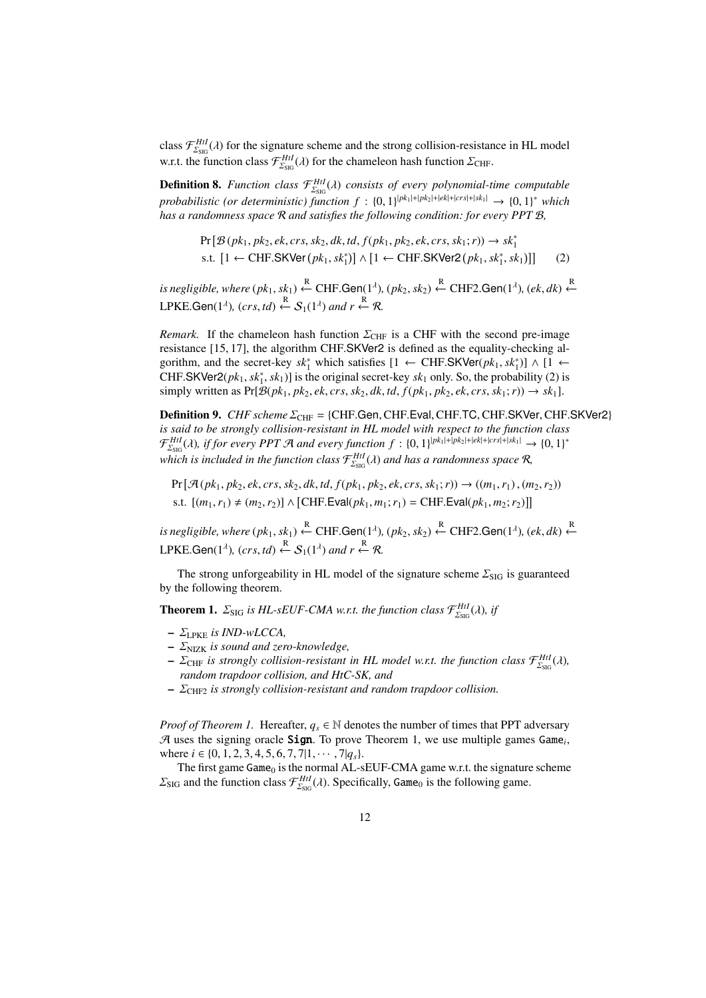class  $\mathcal{F}^{HtI}_{\Sigma_{\text{SGG}}}(\lambda)$  for the signature scheme and the strong collision-resistance in HL model w.r.t. the function class  $\mathcal{F}^{Hil}_{\Sigma_{\rm SIG}}(\lambda)$  for the chameleon hash function  $\Sigma_{\rm CHF}$ .

**Definition 8.** *Function class*  $\mathcal{F}_{\text{LSG}}^{Hil}(\lambda)$  *consists of every polynomial-time computable*  $probabilistic$  (or deterministic) function  $f : \{0,1\}^{|pk_1|+|pk_2|+|ek|+|cr_s|+|sk_1|} \rightarrow \{0,1\}^*$  which *has a randomness space* R *and satisfies the following condition: for every PPT* B*,*

$$
Pr[\mathcal{B}(pk_1, pk_2, ek, crs, sk_2, dk, td, f(pk_1, pk_2, ek, crs, sk_1; r)) \rightarrow sk_1^*
$$
  
s.t.  $[1 \leftarrow \text{CHF.SKVer}(pk_1, sk_1^*)] \wedge [1 \leftarrow \text{CHF.SKVer2}(pk_1, sk_1^*, sk_1)]]$  (2)

 $i$ *s negligible, where*  $(pk_1, sk_1) \stackrel{R}{\leftarrow}$  CHF.Gen(1<sup> $\lambda$ </sup>),  $(pk_2, sk_2) \stackrel{R}{\leftarrow}$  CHF2.Gen(1<sup> $\lambda$ </sup>),  $(ek, dk) \stackrel{R}{\leftarrow}$ LPKE.Gen(1<sup> $\lambda$ </sup>), (crs, td)  $\stackrel{R}{\leftarrow} S_1(1^{\lambda})$  and  $r \stackrel{R}{\leftarrow} R$ .

*Remark.* If the chameleon hash function  $\Sigma_{\text{CHF}}$  is a CHF with the second pre-image resistance [15, 17], the algorithm CHF.SKVer2 is defined as the equality-checking algorithm, and the secret-key  $sk_1^*$  which satisfies  $[1 \leftarrow \text{CHF.SKVer}(pk_1, sk_1^*)] \wedge [1 \leftarrow$ CHF.SKVer2( $pk_1, sk_1^*, sk_1$ )] is the original secret-key  $sk_1$  only. So, the probability (2) is simply written as  $Pr[\mathcal{B}(pk_1, pk_2, ek, crs, sk_2, dk, td, f(pk_1, pk_2, ek, crs, sk_1; r)) \rightarrow sk_1].$ 

Definition 9. *CHF scheme* Σ<sub>CHF</sub> = {CHF.Gen, CHF.Eval, CHF.TC, CHF.SKVer, CHF.SKVer2} *is said to be strongly collision-resistant in HL model with respect to the function class*  $\mathcal{F}^{Hil}_{\Sigma_{\text{SIG}}}(\lambda)$ , if for every PPT A and every function  $f : \{0,1\}^{|pk_1|+|pk_2|+|ek|+|crs|+|sk_1|} \to \{0,1\}^*$ which is included in the function class  $\mathcal{F}^{Htl}_{\Sigma_{\text{SIG}}}(\lambda)$  and has a randomness space  $\mathcal{R}$ ,

 $Pr[\mathcal{A}(pk_1, pk_2, ek, crs, sk_2, dk, td, f(pk_1, pk_2, ek, crs, sk_1; r)) \rightarrow ((m_1, r_1), (m_2, r_2))$ s.t.  $[(m_1, r_1) ≠ (m_2, r_2)] \wedge [CHF.Eval(pk_1, m_1; r_1) = CHF.Eval(pk_1, m_2; r_2)]]$ 

 $i$ *s negligible, where*  $(pk_1, sk_1) \stackrel{R}{\leftarrow}$  CHF.Gen(1<sup> $\lambda$ </sup>),  $(pk_2, sk_2) \stackrel{R}{\leftarrow}$  CHF2.Gen(1<sup> $\lambda$ </sup>),  $(ek, dk) \stackrel{R}{\leftarrow}$ LPKE.Gen(1<sup> $\lambda$ </sup>), (crs, td)  $\stackrel{R}{\leftarrow} S_1(1^{\lambda})$  and  $r \stackrel{R}{\leftarrow} R$ .

The strong unforgeability in HL model of the signature scheme  $\Sigma_{\mathrm{SIG}}$  is guaranteed by the following theorem.

**Theorem 1.**  $\Sigma_{\text{SIG}}$  is HL-sEUF-CMA w.r.t. the function class  $\mathcal{F}^{Hil}_{\Sigma_{\text{SIG}}}(\lambda)$ , if

- $\Sigma_{LPKE}$  *is IND-wLCCA*,
- ΣNIZK *is sound and zero-knowledge,*
- $\Sigma_{\text{CHF}}$  *is strongly collision-resistant in HL model w.r.t. the function class*  $\mathcal{F}_{\Sigma_{\text{SIG}}}^{Hil}(\lambda)$ , *random trapdoor collision, and HtC-SK, and*
- ΣCHF2 *is strongly collision-resistant and random trapdoor collision.*

*Proof of Theorem 1.* Hereafter,  $q_s \in \mathbb{N}$  denotes the number of times that PPT adversary  $A$  uses the signing oracle **Sign**. To prove Theorem 1, we use multiple games  $Game_i$ , where  $i \in \{0, 1, 2, 3, 4, 5, 6, 7, 7|1, \cdots, 7|q_s\}.$ 

The first game  $Game_0$  is the normal AL-sEUF-CMA game w.r.t. the signature scheme  $\Sigma_{\text{SIG}}$  and the function class  $\mathcal{F}_{\Sigma_{\text{SIG}}}^{Hil}(\lambda)$ . Specifically, Game<sub>0</sub> is the following game.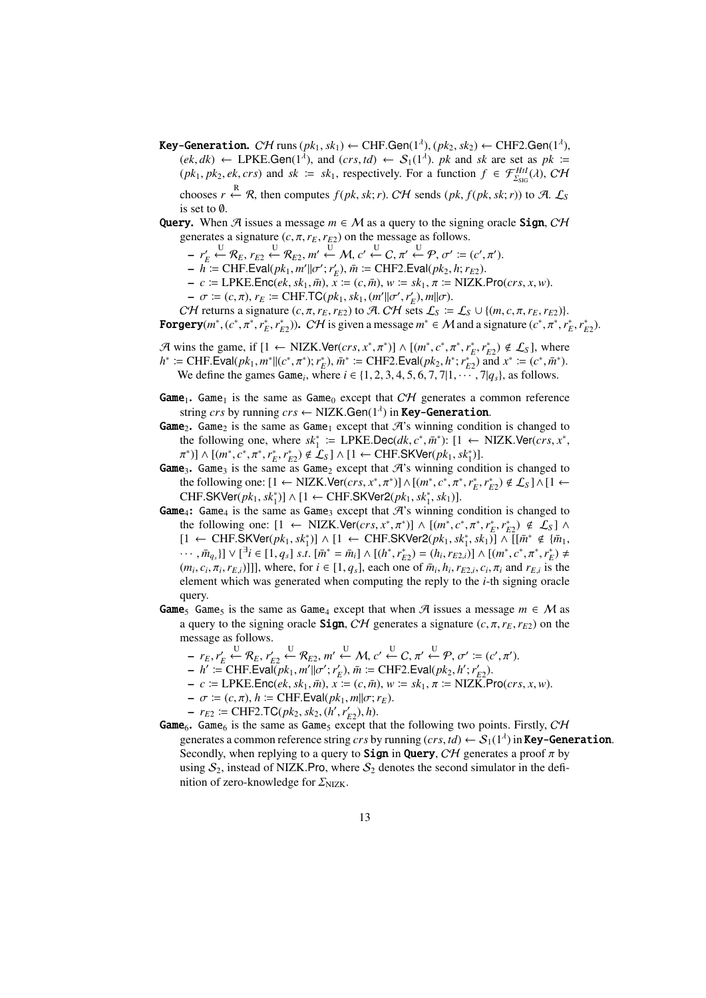- $\textsf{Key-Generation. } C\mathcal{H} \text{ runs } (pk_1, sk_1) \leftarrow \text{CHF.Gen}(1^{\lambda}), (pk_2, sk_2) \leftarrow \text{CHF2.Gen}(1^{\lambda}),$  $(ek, dk) \leftarrow$  LPKE.Gen(1<sup>λ</sup>), and  $(crs, td) \leftarrow S_1(1^{\lambda})$ . *pk* and *sk* are set as *pk* :=  $(pk_1, pk_2, ek, crs)$  and  $sk := sk_1$ , respectively. For a function  $f \in \mathcal{F}_{\Sigma_{\text{SIG}}}^{Hil}(\lambda), \mathcal{CH}$ chooses *r*  $\stackrel{R}{\leftarrow}$  *R*, then computes *f*(*pk*, *sk*; *r*). CH sends (*pk*, *f*(*pk*, *sk*; *r*)) to A. L<sub>S</sub> is set to ∅.
- **Query.** When A issues a message  $m \in M$  as a query to the signing oracle **Sign**, CH generates a signature  $(c, \pi, r_E, r_{E2})$  on the message as follows.
	- $r'_E \stackrel{U}{\leftarrow} \mathcal{R}_E, r_{E2} \stackrel{U}{\leftarrow} \mathcal{R}_{E2}, m' \stackrel{U}{\leftarrow} \mathcal{M}, c' \stackrel{U}{\leftarrow} C, \pi' \stackrel{U}{\leftarrow} \mathcal{P}, \sigma' := (c', \pi').$
	- $h := \text{CHF.Eval}(pk_1, m' || \sigma'; r'_E), \bar{m} := \text{CHF2.Eval}(pk_2, h; r_{E2}).$
	- $-c \coloneqq \text{LPKE}.\text{Enc}(ek, sk_1, \bar{m}),$   $\bar{x} \coloneqq (c, \bar{m}),$   $w \coloneqq sk_1, \pi \coloneqq \text{NIZK}.Pro(crs, x, w).$
	- $-\sigma := (c, \pi), r_E := \text{CHF.TC}(pk_1, sk_1, (m'||\sigma', r'_E), m||\sigma).$

CH returns a signature  $(c, \pi, r_E, r_{E2})$  to A. CH sets  $\mathcal{L}_S \coloneqq \mathcal{L}_S \cup \{(m, c, \pi, r_E, r_{E2})\}.$ **Forgery** $(m^*, (c^*, \pi^*, r_E^*, r_{E2}^*))$ . *CH* is given a message  $m^* \in M$  and a signature  $(c^*, \pi^*, r_E^*, r_{E2}^*)$ .

 $\mathcal{A}$  wins the game, if  $[1 \leftarrow \text{NIZK.Ver}(crs, x^*, \pi^*)] \wedge [(m^*, c^*, \pi^*, r_E^*, r_{E2}^*) \notin \mathcal{L}_S]$ , where  $h^* := \text{CHF.Eval}(pk_1, m^*||(c^*, \pi^*); r_E^*), \bar{m}^* := \text{CHF2.Eval}(pk_2, h^*; r_{E2}^*)$  and  $x^* := (c^*, \bar{m}^*)$ . We define the games Game<sub>i</sub>, where  $i \in \{1, 2, 3, 4, 5, 6, 7, 7|1, \cdots, 7|q_s\}$ , as follows.

- **Game**<sub>1</sub>. Game<sub>1</sub> is the same as Game<sub>0</sub> except that  $CH$  generates a common reference string *crs* by running *crs* ← NIZK.Gen(1<sup>1</sup>) in **Key-Generation**.
- **Game**<sub>2</sub>. Game<sub>2</sub> is the same as Game<sub>1</sub> except that  $\mathcal{A}$ 's winning condition is changed to the following one, where  $sk_1^* \coloneqq \text{LPKE.Dec}(dk, c^*, \bar{m}^*)$ :  $[1 \leftarrow \text{NIZK.Ver}(cr, x^*,$  $\pi^*$ )] ∧ [( $m^*, c^*, \pi^*, r_E^*, r_{E2}^*$ ) ∉  $\mathcal{L}_S$ ] ∧ [1 ← CHF.SKVer( $pk_1, sk_1^*$ )].
- Game<sub>3</sub>. Game<sub>3</sub> is the same as Game<sub>2</sub> except that  $\mathcal{A}$ 's winning condition is changed to the following one:  $[1 \leftarrow \text{NIZK.Ver}(crs, x^*, \pi^*)] \wedge [(m^*, c^*, \pi^*, r_E^*, r_{E2}^*) \notin \mathcal{L}_S] \wedge [1 \leftarrow$  $CHF.SKVer( $pk_1, sk_1^s$ )] ∧ [1 ← CHF.SKVer2( $pk_1, sk_1^s, sk_1$ )].$
- **Game**<sub>4</sub>: Game<sub>4</sub> is the same as Game<sub>3</sub> except that  $\mathcal{A}$ 's winning condition is changed to the following one:  $[1 \leftarrow \text{NIZK.Ver}(crs, x^*, \pi^*)] \wedge [(m^*, c^*, \pi^*, r_E^*, r_{E2}^*) \notin \mathcal{L}_S] \wedge$  $[1 \leftarrow \text{CHF.SKVer}(pk_1, sk_1^*)]$  ∧  $[1 \leftarrow \text{CHF.SKVer2}(pk_1, sk_1^*, sk_1)]$  ∧  $[[\bar{m}^* \notin {\bar{m}_1},$ ...,  $\bar{m}_{q_s}$ ]  $\vee$  [<sup>3</sup>*i*  $\in$  [1,  $q_s$ ] *s.t.* [ $\bar{m}^* = \bar{m}_i$ ]  $\wedge$  [ $(h^*, r_{E2}^*) = (h_i, r_{E2,i})$ ]  $\wedge$  [ $(m^*, c^*, \pi^*, r_E^*) \neq$  $(m_i, c_i, \pi_i, r_{E,i})$ ]], where, for  $i \in [1, q_s]$ , each one of  $\bar{m}_i, h_i, r_{E2,i}, c_i, \pi_i$  and  $r_{E,i}$  is the element which was generated when computing the reply to the *i*-th signing oracle query.
- **Game**<sub>5</sub> Game<sub>5</sub> is the same as Game<sub>4</sub> except that when  $\mathcal{A}$  issues a message  $m \in \mathcal{M}$  as a query to the signing oracle **Sign**, CH generates a signature  $(c, \pi, r_E, r_{E2})$  on the message as follows.
	- $r_E, r'_E \stackrel{U}{\leftarrow} \mathcal{R}_E, r'_{E2} \stackrel{U}{\leftarrow} \mathcal{R}_{E2}, m' \stackrel{U}{\leftarrow} \mathcal{M}, c' \stackrel{U}{\leftarrow} C, \pi' \stackrel{U}{\leftarrow} \mathcal{P}, \sigma' := (c', \pi').$
	- $h' := \text{CHF.Eval}(pk_1, m'||\sigma'; r'_E), \bar{m} := \text{CHF2.Eval}(pk_2, h'; r'_{E2}).$
	- $-c \coloneqq \text{LPKE}.\text{Enc}(ek, sk_1, \bar{m}), x \coloneqq (c, \bar{m}), w \coloneqq sk_1, \pi \coloneqq \text{NIZK}.Pro(crs, x, w).$
	- $-\sigma := (c, \pi), h := \text{CHF.Eval}(pk_1, m||\sigma; r_E).$
	- $r_{E2} \coloneqq \text{CHF2.TC}(pk_2, sk_2, (h', r'_{E2}), h).$
- **Game**<sub>6</sub>. Game<sub>6</sub> is the same as Game<sub>5</sub> except that the following two points. Firstly,  $CH$ generates a common reference string *crs* by running  $(crs, td) \leftarrow S_1(1^{\lambda})$  in **Key-Generation**. Secondly, when replying to a query to **Sign** in **Query**, CH generates a proof  $\pi$  by using  $S_2$ , instead of NIZK.Pro, where  $S_2$  denotes the second simulator in the definition of zero-knowledge for  $\Sigma_{NIZK}$ .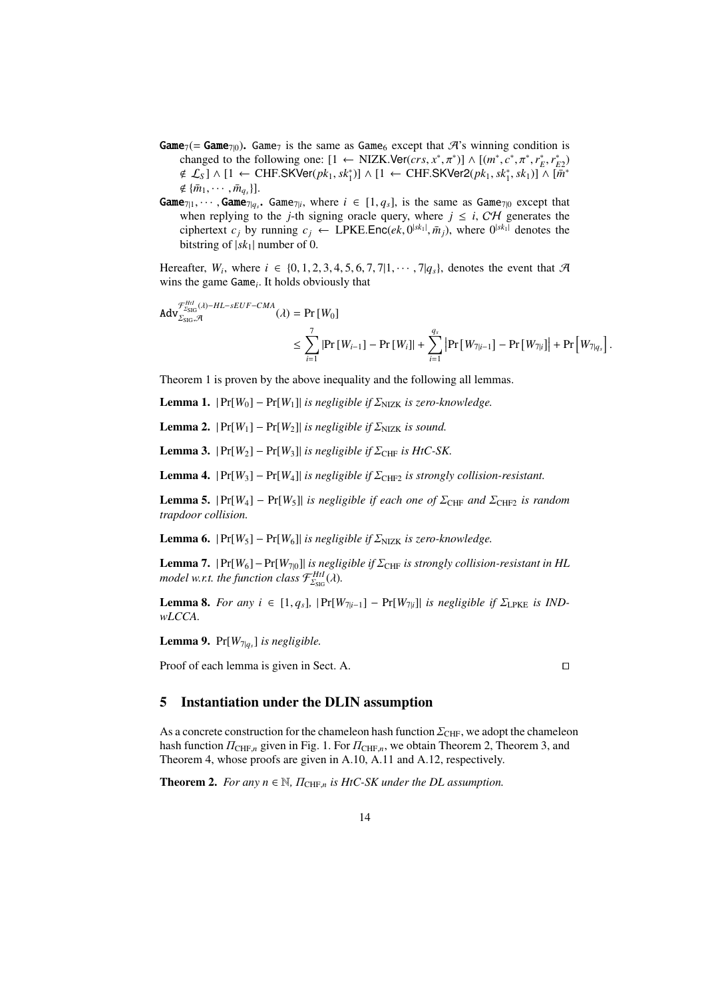- **Game**<sub>7</sub>(= **Game**<sub>7(0</sub>). Game<sub>7</sub> is the same as Game<sub>6</sub> except that  $\mathcal{A}$ 's winning condition is changed to the following one:  $[1 \leftarrow \text{NIZK.Ver}(cr, x^*, \pi^*)] \wedge [(m^*, c^*, \pi^*, r_E^*, r_{E2}^*)]$  $\notin \mathcal{L}_S$ ] ∧ [1 ← CHF.SKVer( $pk_1, sk_1^*$ )] ∧ [1 ← CHF.SKVer2( $pk_1, sk_1^*, sk_1$ )] ∧ [ $\overline{m}^*$  $\notin \{\bar{m}_1, \cdots, \bar{m}_{q_s}\}$ ].
- $\text{Game}_{7|1}, \cdots, \text{Game}_{7|q_s}.$   $\text{Game}_{7|i}$ , where  $i \in [1, q_s]$ , is the same as  $\text{Game}_{7|0}$  except that when replying to the *j*-th signing oracle query, where  $j \leq i$ , CH generates the ciphertext  $c_j$  by running  $c_j \leftarrow \text{LPKE}.\text{Enc}(ek, 0^{|sk_1|}, \bar{m}_j)$ , where  $0^{|sk_1|}$  denotes the bitstring of  $|sk_1|$  number of 0.

Hereafter,  $W_i$ , where  $i \in \{0, 1, 2, 3, 4, 5, 6, 7, 7, 11, \cdots, 7, |q_s| \}$ , denotes the event that  $\mathcal{A}$ wins the game Game*<sup>i</sup>* . It holds obviously that

$$
Adv_{\Sigma_{\text{SIG}}, \mathcal{A}}^{\mathcal{F}_{\Sigma_{\text{SIG}}^H}( \lambda) - HL - sEUF - CMA}(\lambda) = \Pr\left[W_0\right]
$$
  

$$
\leq \sum_{i=1}^7 \left| \Pr\left[W_{i-1}\right] - \Pr\left[W_i\right] \right| + \sum_{i=1}^{q_s} \left| \Pr\left[W_{7|i-1}\right] - \Pr\left[W_{7|i}\right] \right| + \Pr\left[W_{7|q_s}\right].
$$

Theorem 1 is proven by the above inequality and the following all lemmas.

**Lemma 1.**  $|Pr[W_0] - Pr[W_1]|$  *is negligible if*  $\sum_{NIZK}$  *is zero-knowledge.* 

**Lemma 2.**  $|Pr[W_1] - Pr[W_2]|$  *is negligible if*  $\sum_{N}$  *is sound.* 

**Lemma 3.**  $|Pr[W_2] - Pr[W_3]|$  *is negligible if*  $\Sigma_{CHF}$  *is HtC-SK.* 

**Lemma 4.**  $|Pr[W_3] - Pr[W_4]|$  *is negligible if*  $\Sigma_{CHF2}$  *is strongly collision-resistant.* 

**Lemma 5.**  $|Pr[W_4] - Pr[W_5]|$  *is negligible if each one of*  $\Sigma_{CHF}$  *and*  $\Sigma_{CHF2}$  *is random trapdoor collision.*

**Lemma 6.**  $|Pr[W_5] - Pr[W_6]|$  *is negligible if*  $\sum_{NIZK}$  *is zero-knowledge.* 

**Lemma 7.**  $|Pr[W_6] - Pr[W_{70}]|$  *is negligible if*  $\Sigma_{CHF}$  *is strongly collision-resistant in HL* model w.r.t. the function class  $\mathcal{F}^{HtI}_{\Sigma_{\text{SIG}}}(\lambda)$ .

**Lemma 8.** *For any*  $i \in [1, q_s]$ ,  $|\Pr[W_{7|i-1}] - \Pr[W_{7|i}]|$  *is negligible if*  $\Sigma_{\text{LPKE}}$  *is INDwLCCA.*

Lemma 9. Pr[*W*7|*q<sup>s</sup>* ] *is negligible.*

Proof of each lemma is given in Sect. A. □

## 5 Instantiation under the DLIN assumption

As a concrete construction for the chameleon hash function  $\Sigma_{\text{CHF}}$ , we adopt the chameleon hash function  $\Pi_{\text{CHF},n}$  given in Fig. 1. For  $\Pi_{\text{CHF},n}$ , we obtain Theorem 2, Theorem 3, and Theorem 4, whose proofs are given in A.10, A.11 and A.12, respectively.

**Theorem 2.** *For any n*  $\in \mathbb{N}$ ,  $\Pi_{\text{CHF},n}$  *is HtC-SK under the DL assumption.*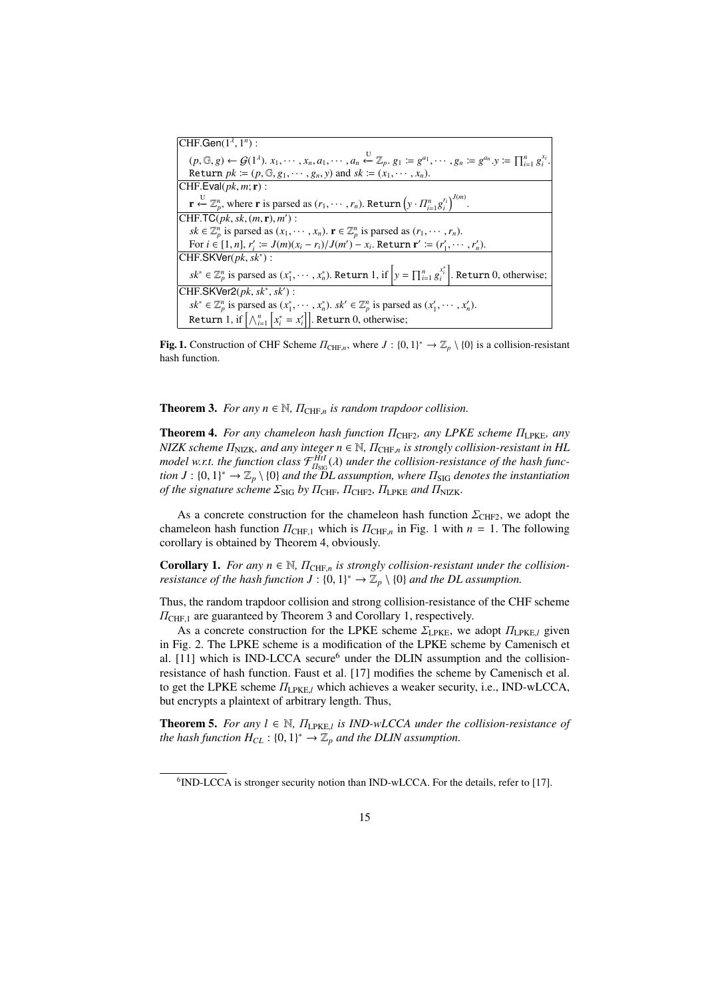| CHF.Gen $(1^{\lambda}, 1^n)$ :                                                                                                                                                                                                   |
|----------------------------------------------------------------------------------------------------------------------------------------------------------------------------------------------------------------------------------|
| $(p, \mathbb{G}, g) \leftarrow \mathcal{G}(1^{\lambda}), x_1, \cdots, x_n, a_1, \cdots, a_n \stackrel{\cup}{\leftarrow} \mathbb{Z}_p, g_1 \coloneqq g^{a_1}, \cdots, g_n \coloneqq g^{a_n}.y \coloneqq \prod_{i=1}^n g_i^{x_i}.$ |
| Return $pk := (p, \mathbb{G}, g_1, \dots, g_n, y)$ and $sk := (x_1, \dots, x_n)$ .                                                                                                                                               |
| CHF.Eval( $pk, m; \mathbf{r}$ ) :                                                                                                                                                                                                |
| $\mathbf{r} \stackrel{\cup}{\leftarrow} \mathbb{Z}_p^n$ , where <b>r</b> is parsed as $(r_1, \dots, r_n)$ . Return $(y \cdot \Pi_{i=1}^n g_i^{r_i})^{J(m)}$ .                                                                    |
| $[CHF.TC(pk, sk, (m, r), m')]$ :                                                                                                                                                                                                 |
| $sk \in \mathbb{Z}_p^n$ is parsed as $(x_1, \dots, x_n)$ . $\mathbf{r} \in \mathbb{Z}_p^n$ is parsed as $(r_1, \dots, r_n)$ .                                                                                                    |
| For $i \in [1, n]$ , $r'_i := J(m)(x_i - r_i)/J(m') - x_i$ . Return $\mathbf{r}' := (r'_1, \dots, r'_n)$ .                                                                                                                       |
| CHF.SKVer $(pk, sk^*)$ :                                                                                                                                                                                                         |
| $sk^* \in \mathbb{Z}_p^n$ is parsed as $(x_1^*, \dots, x_n^*)$ . Return 1, if $y = \prod_{i=1}^n g_i^{x_i^*}$ . Return 0, otherwise;                                                                                             |
| $\text{CHF.SKVer2}(pk, sk^*, sk')$ :                                                                                                                                                                                             |
| $sk^* \in \mathbb{Z}_p^n$ is parsed as $(x_1^*, \cdots, x_n^*)$ . $sk' \in \mathbb{Z}_p^n$ is parsed as $(x_1', \cdots, x_n')$ .                                                                                                 |
| Return 1, if $\left[\bigwedge_{i=1}^{n} x_i^* = x_i'\right]$ . Return 0, otherwise;                                                                                                                                              |

Fig. 1. Construction of CHF Scheme  $\Pi_{\text{CHF},n}$ , where  $J: \{0,1\}^* \to \mathbb{Z}_p \setminus \{0\}$  is a collision-resistant hash function.

**Theorem 3.** *For any n*  $\in \mathbb{N}$ ,  $\Pi_{\text{CHF},n}$  *is random trapdoor collision.* 

Theorem 4. *For any chameleon hash function*  $\Pi$ <sub>CHF2</sub>*, any LPKE scheme*  $\Pi$ <sub>LPKE</sub>*, any NIZK scheme Π<sub>NIZK</sub>, and any integer n* ∈ ℕ,  $\Pi$ <sub>CHF,*n*</sub> *is strongly collision-resistant in HL model w.r.t. the function class*  $\mathcal{F}_{H_{\text{SIG}}}^{Hil}(\lambda)$  *under the collision-resistance of the hash function J* :  $\{0,1\}^* \to \mathbb{Z}_p \setminus \{0\}$  and the DL assumption, where  $\Pi_{\text{SIG}}$  denotes the instantiation *of the signature scheme*  $\Sigma_{\text{SIG}}$  *by*  $\Pi_{\text{CHF}}$ *,*  $\Pi_{\text{CHF2}}$ *,*  $\Pi_{\text{LPKE}}$  *and*  $\Pi_{\text{NIZK}}$ *.* 

As a concrete construction for the chameleon hash function  $\Sigma_{\text{CHF2}}$ , we adopt the chameleon hash function  $\Pi_{\text{CHF},1}$  which is  $\Pi_{\text{CHF},n}$  in Fig. 1 with  $n = 1$ . The following corollary is obtained by Theorem 4, obviously.

**Corollary 1.** For any  $n \in \mathbb{N}$ ,  $\Pi_{\text{CHF},n}$  is strongly collision-resistant under the collision*resistance of the hash function*  $J: \{0,1\}^* \to \mathbb{Z}_p \setminus \{0\}$  and the DL assumption.

Thus, the random trapdoor collision and strong collision-resistance of the CHF scheme  $\Pi$ <sub>CHF,1</sub> are guaranteed by Theorem 3 and Corollary 1, respectively.

As a concrete construction for the LPKE scheme  $\Sigma_{\text{LPKE}}$ , we adopt  $\Pi_{\text{LPKE},l}$  given in Fig. 2. The LPKE scheme is a modification of the LPKE scheme by Camenisch et al.  $[11]$  which is IND-LCCA secure<sup>6</sup> under the DLIN assumption and the collisionresistance of hash function. Faust et al. [17] modifies the scheme by Camenisch et al. to get the LPKE scheme ΠLPKE,*<sup>l</sup>* which achieves a weaker security, i.e., IND-wLCCA, but encrypts a plaintext of arbitrary length. Thus,

**Theorem 5.** For any  $l \in \mathbb{N}$ ,  $\Pi_{\text{LPKE},l}$  is IND-wLCCA under the collision-resistance of *the hash function*  $H_{CL}$  :  $\{0, 1\}^* \rightarrow \mathbb{Z}_p$  *and the DLIN assumption.* 

<sup>&</sup>lt;sup>6</sup>IND-LCCA is stronger security notion than IND-wLCCA. For the details, refer to [17].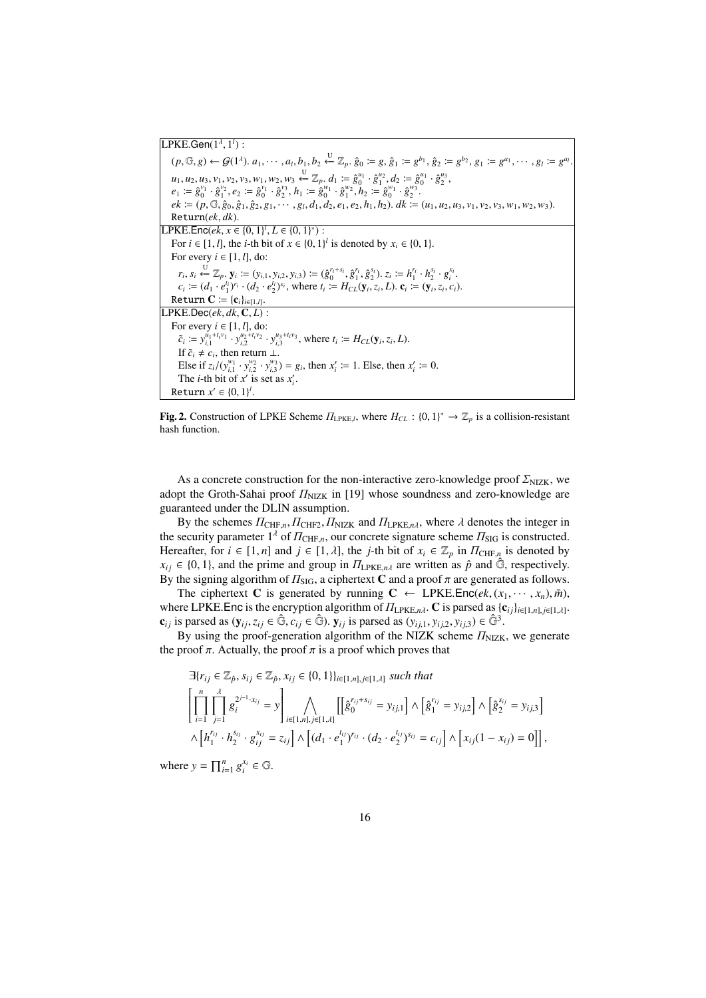**LPKE.Gen**(1<sup>λ</sup>, 1<sup>*l*</sup>):  $(p,\mathbb{G},g) \leftarrow \mathcal{G}(1^{\lambda}), a_1, \cdots, a_l, b_1, b_2 \stackrel{\cup}{\leftarrow} \mathbb{Z}_p, \hat{g}_0 \coloneqq g, \hat{g}_1 \coloneqq g^{b_1}, \hat{g}_2 \coloneqq g^{b_2}, g_1 \coloneqq g^{a_1}, \cdots, g_l \coloneqq g^{a_l}$ .  $u_1, u_2, u_3, v_1, v_2, v_3, w_1, w_2, w_3 \stackrel{U}{\leftarrow} \mathbb{Z}_p$ .  $d_1 := \hat{g}_0^{u_1} \cdot \hat{g}_1^{u_2}, d_2 := \hat{g}_0^{u_1} \cdot \hat{g}_2^{u_3}$  $e_1 \coloneqq \hat{g}_0^{\nu_1} \cdot \hat{g}_1^{\nu_2}, e_2 \coloneqq \hat{g}_0^{\nu_1} \cdot \hat{g}_2^{\nu_3}, h_1 \coloneqq \hat{g}_0^{\nu_1} \cdot \hat{g}_1^{\nu_2}, h_2 \coloneqq \hat{g}_0^{\nu_1} \cdot \hat{g}_2^{\nu_3}.$  $ek := (p, \mathbb{G}, \hat{g}_0, \hat{g}_1, \hat{g}_2, g_1, \cdots, g_l, d_1, d_2, e_1, e_2, h_1, h_2)$ .  $dk := (u_1, u_2, u_3, v_1, v_2, v_3, w_1, w_2, w_3)$ . Return(*ek*, *dk*). LPKE.Enc(*ek*,  $x \in \{0, 1\}^l$ ,  $L \in \{0, 1\}^*$ ) : For *i* ∈ [1, *l*], the *i*-th bit of  $x \in \{0, 1\}^l$  is denoted by  $x_i \in \{0, 1\}$ . For every  $i \in [1, l]$ , do:  $r_i, s_i \stackrel{U}{\leftarrow} \mathbb{Z}_p$ ,  $\mathbf{y}_i := (y_{i,1}, y_{i,2}, y_{i,3}) := (\hat{g}_0^{r_i + s_i}, \hat{g}_1^{r_i}, \hat{g}_2^{s_i})$ ,  $z_i := h_1^{r_i} \cdot h_2^{s_i} \cdot g_i^{x_i}$ .  $c_i := (d_1 \cdot e_1^{t_1})^{r_i} \cdot (d_2 \cdot e_2^{t_1})^{s_i}$ , where  $t_i := H_{CL}(\mathbf{y}_i, z_i, L)$ .  $\mathbf{c}_i := (\mathbf{y}_i, z_i, c_i)$ . Return  $\mathbf{C} \coloneqq \{ \mathbf{c}_i \}_{i \in [1, l]}$ . LPKE.Dec(*ek*, *dk*, C, *L*) : For every  $i \in [1, l]$ , do:  $\tilde{c}_i := y_{i,1}^{u_1 + t_i v_1} \cdot y_{i,2}^{u_2 + t_i v_2} \cdot y_{i,3}^{u_3 + t_i v_3}$ , where  $t_i := H_{CL}(\mathbf{y}_i, z_i, L)$ . If  $\tilde{c}_i \neq c_i$ , then return  $\perp$ . Else if  $z_i/(y_{i,1}^{w_1} \cdot y_{i,2}^{w_2} \cdot y_{i,3}^{w_3}) = g_i$ , then  $x'_i := 1$ . Else, then  $x'_i := 0$ . The *i*-th bit of  $x'$  is set as  $x'_i$ . Return  $x' \in \{0, 1\}^l$ .

**Fig. 2.** Construction of LPKE Scheme  $\Pi_{\text{LPKE},l}$ , where  $H_{CL} : \{0,1\}^* \to \mathbb{Z}_p$  is a collision-resistant hash function.

As a concrete construction for the non-interactive zero-knowledge proof  $\varSigma_{\rm NIZK}$ , we adopt the Groth-Sahai proof  $\varPi_{\text{NIZK}}$  in [19] whose soundness and zero-knowledge are guaranteed under the DLIN assumption.

By the schemes  $\Pi_{\text{CHF},n}$ ,  $\Pi_{\text{CHF2}}$ ,  $\Pi_{\text{NIZK}}$  and  $\Pi_{\text{LPKE},n\lambda}$ , where  $\lambda$  denotes the integer in the security parameter  $1^{\lambda}$  of  $\Pi_{\text{CHF},n}$ , our concrete signature scheme  $\Pi_{\text{SIG}}$  is constructed. Hereafter, for  $i \in [1, n]$  and  $j \in [1, \lambda]$ , the *j*-th bit of  $x_i \in \mathbb{Z}_p$  in  $\Pi_{\text{CHF},n}$  is denoted by  $x_{ij} \in \{0, 1\}$ , and the prime and group in  $\Pi_{\text{LPKE}, n\lambda}$  are written as  $\hat{p}$  and  $\hat{\mathbb{G}}$ , respectively. By the signing algorithm of  $\Pi_{\text{SIG}}$ , a ciphertext C and a proof  $\pi$  are generated as follows.

The ciphertext C is generated by running  $C \leftarrow \text{LPKE}.\text{Enc}(ek, (x_1, \dots, x_n), \bar{m})$ , where LPKE.Enc is the encryption algorithm of  $\Pi_{\text{LPKE},n\lambda}$ . C is parsed as  $\{c_{ij}\}_{i\in[1,n], j\in[1,\lambda]}$ .  $\mathbf{c}_{ij}$  is parsed as  $(\mathbf{y}_{ij}, z_{ij} \in \hat{\mathbb{G}}, c_{ij} \in \hat{\mathbb{G}})$ .  $\mathbf{y}_{ij}$  is parsed as  $(y_{ij,1}, y_{ij,2}, y_{ij,3}) \in \hat{\mathbb{G}}^3$ .

By using the proof-generation algorithm of the NIZK scheme  $\Pi_{\text{NIZK}}$ , we generate the proof  $\pi$ . Actually, the proof  $\pi$  is a proof which proves that

$$
\exists \{r_{ij} \in \mathbb{Z}_{\hat{p}}, s_{ij} \in \mathbb{Z}_{\hat{p}}, x_{ij} \in \{0, 1\} \}_{i \in [1, n], j \in [1, \lambda]} \text{ such that}
$$
\n
$$
\left[ \prod_{i=1}^{n} \prod_{j=1}^{n} g_i^{2^{j-1} \cdot x_{ij}} = y \right] \bigwedge_{i \in [1, n], j \in [1, \lambda]} \left[ \left[ \hat{g}_0^{r_{ij} + s_{ij}} = y_{ij,1} \right] \wedge \left[ \hat{g}_1^{r_{ij}} = y_{ij,2} \right] \wedge \left[ \hat{g}_2^{s_{ij}} = y_{ij,3} \right] \right] \wedge \left[ h_1^{r_{ij}} \cdot h_2^{s_{ij}} \cdot g_{ij}^{x_{ij}} = z_{ij} \right] \wedge \left[ (d_1 \cdot e_1^{t_{ij}})^{r_{ij}} \cdot (d_2 \cdot e_2^{t_{ij}})^{s_{ij}} = c_{ij} \right] \wedge \left[ x_{ij} (1 - x_{ij}) = 0 \right] \right],
$$

where  $y = \prod_{i=1}^{n} g_i^{x_i} \in \mathbb{G}$ .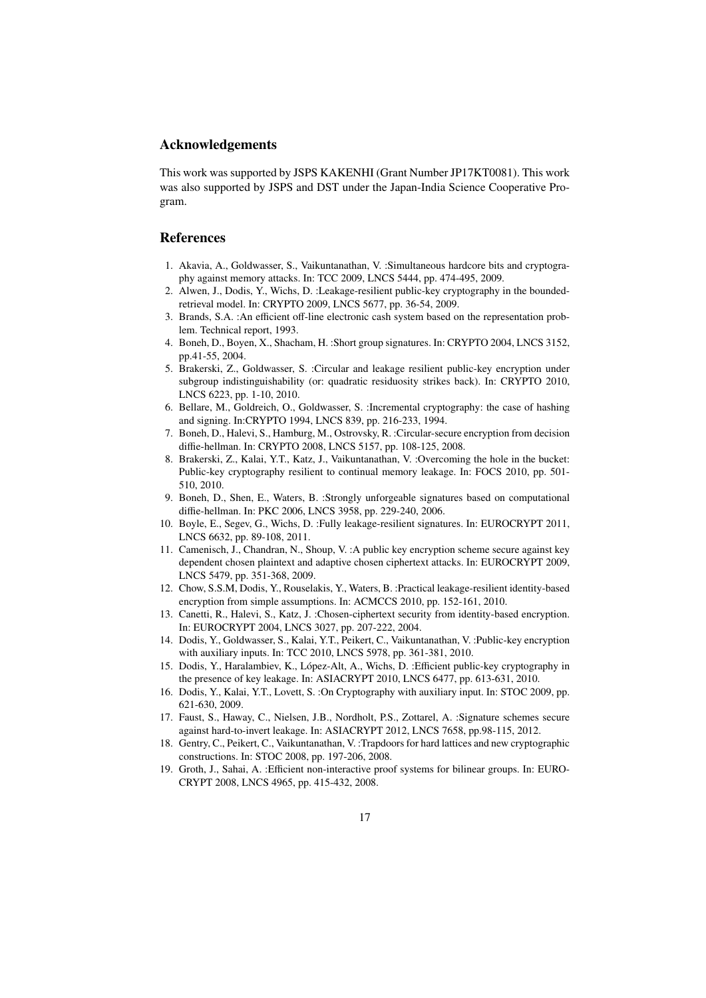## Acknowledgements

This work was supported by JSPS KAKENHI (Grant Number JP17KT0081). This work was also supported by JSPS and DST under the Japan-India Science Cooperative Program.

# References

- 1. Akavia, A., Goldwasser, S., Vaikuntanathan, V. :Simultaneous hardcore bits and cryptography against memory attacks. In: TCC 2009, LNCS 5444, pp. 474-495, 2009.
- 2. Alwen, J., Dodis, Y., Wichs, D. :Leakage-resilient public-key cryptography in the boundedretrieval model. In: CRYPTO 2009, LNCS 5677, pp. 36-54, 2009.
- 3. Brands, S.A. :An efficient off-line electronic cash system based on the representation problem. Technical report, 1993.
- 4. Boneh, D., Boyen, X., Shacham, H. :Short group signatures. In: CRYPTO 2004, LNCS 3152, pp.41-55, 2004.
- 5. Brakerski, Z., Goldwasser, S. :Circular and leakage resilient public-key encryption under subgroup indistinguishability (or: quadratic residuosity strikes back). In: CRYPTO 2010, LNCS 6223, pp. 1-10, 2010.
- 6. Bellare, M., Goldreich, O., Goldwasser, S. :Incremental cryptography: the case of hashing and signing. In:CRYPTO 1994, LNCS 839, pp. 216-233, 1994.
- 7. Boneh, D., Halevi, S., Hamburg, M., Ostrovsky, R. :Circular-secure encryption from decision diffie-hellman. In: CRYPTO 2008, LNCS 5157, pp. 108-125, 2008.
- 8. Brakerski, Z., Kalai, Y.T., Katz, J., Vaikuntanathan, V. :Overcoming the hole in the bucket: Public-key cryptography resilient to continual memory leakage. In: FOCS 2010, pp. 501- 510, 2010.
- 9. Boneh, D., Shen, E., Waters, B. :Strongly unforgeable signatures based on computational diffie-hellman. In: PKC 2006, LNCS 3958, pp. 229-240, 2006.
- 10. Boyle, E., Segev, G., Wichs, D. :Fully leakage-resilient signatures. In: EUROCRYPT 2011, LNCS 6632, pp. 89-108, 2011.
- 11. Camenisch, J., Chandran, N., Shoup, V. :A public key encryption scheme secure against key dependent chosen plaintext and adaptive chosen ciphertext attacks. In: EUROCRYPT 2009, LNCS 5479, pp. 351-368, 2009.
- 12. Chow, S.S.M, Dodis, Y., Rouselakis, Y., Waters, B. :Practical leakage-resilient identity-based encryption from simple assumptions. In: ACMCCS 2010, pp. 152-161, 2010.
- 13. Canetti, R., Halevi, S., Katz, J. :Chosen-ciphertext security from identity-based encryption. In: EUROCRYPT 2004, LNCS 3027, pp. 207-222, 2004.
- 14. Dodis, Y., Goldwasser, S., Kalai, Y.T., Peikert, C., Vaikuntanathan, V. :Public-key encryption with auxiliary inputs. In: TCC 2010, LNCS 5978, pp. 361-381, 2010.
- 15. Dodis, Y., Haralambiev, K., López-Alt, A., Wichs, D. : Efficient public-key cryptography in the presence of key leakage. In: ASIACRYPT 2010, LNCS 6477, pp. 613-631, 2010.
- 16. Dodis, Y., Kalai, Y.T., Lovett, S. :On Cryptography with auxiliary input. In: STOC 2009, pp. 621-630, 2009.
- 17. Faust, S., Haway, C., Nielsen, J.B., Nordholt, P.S., Zottarel, A. :Signature schemes secure against hard-to-invert leakage. In: ASIACRYPT 2012, LNCS 7658, pp.98-115, 2012.
- 18. Gentry, C., Peikert, C., Vaikuntanathan, V. :Trapdoors for hard lattices and new cryptographic constructions. In: STOC 2008, pp. 197-206, 2008.
- 19. Groth, J., Sahai, A. :Efficient non-interactive proof systems for bilinear groups. In: EURO-CRYPT 2008, LNCS 4965, pp. 415-432, 2008.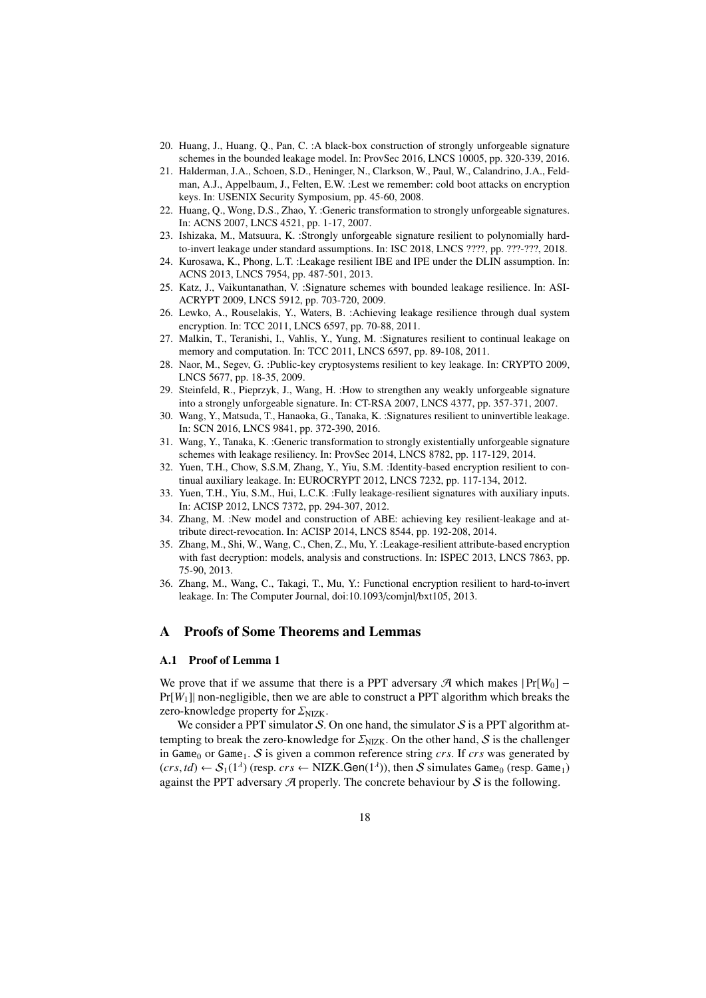- 20. Huang, J., Huang, Q., Pan, C. :A black-box construction of strongly unforgeable signature schemes in the bounded leakage model. In: ProvSec 2016, LNCS 10005, pp. 320-339, 2016.
- 21. Halderman, J.A., Schoen, S.D., Heninger, N., Clarkson, W., Paul, W., Calandrino, J.A., Feldman, A.J., Appelbaum, J., Felten, E.W. :Lest we remember: cold boot attacks on encryption keys. In: USENIX Security Symposium, pp. 45-60, 2008.
- 22. Huang, Q., Wong, D.S., Zhao, Y. :Generic transformation to strongly unforgeable signatures. In: ACNS 2007, LNCS 4521, pp. 1-17, 2007.
- 23. Ishizaka, M., Matsuura, K. :Strongly unforgeable signature resilient to polynomially hardto-invert leakage under standard assumptions. In: ISC 2018, LNCS ????, pp. ???-???, 2018.
- 24. Kurosawa, K., Phong, L.T. :Leakage resilient IBE and IPE under the DLIN assumption. In: ACNS 2013, LNCS 7954, pp. 487-501, 2013.
- 25. Katz, J., Vaikuntanathan, V. :Signature schemes with bounded leakage resilience. In: ASI-ACRYPT 2009, LNCS 5912, pp. 703-720, 2009.
- 26. Lewko, A., Rouselakis, Y., Waters, B. :Achieving leakage resilience through dual system encryption. In: TCC 2011, LNCS 6597, pp. 70-88, 2011.
- 27. Malkin, T., Teranishi, I., Vahlis, Y., Yung, M. :Signatures resilient to continual leakage on memory and computation. In: TCC 2011, LNCS 6597, pp. 89-108, 2011.
- 28. Naor, M., Segev, G. :Public-key cryptosystems resilient to key leakage. In: CRYPTO 2009, LNCS 5677, pp. 18-35, 2009.
- 29. Steinfeld, R., Pieprzyk, J., Wang, H. :How to strengthen any weakly unforgeable signature into a strongly unforgeable signature. In: CT-RSA 2007, LNCS 4377, pp. 357-371, 2007.
- 30. Wang, Y., Matsuda, T., Hanaoka, G., Tanaka, K. :Signatures resilient to uninvertible leakage. In: SCN 2016, LNCS 9841, pp. 372-390, 2016.
- 31. Wang, Y., Tanaka, K. :Generic transformation to strongly existentially unforgeable signature schemes with leakage resiliency. In: ProvSec 2014, LNCS 8782, pp. 117-129, 2014.
- 32. Yuen, T.H., Chow, S.S.M, Zhang, Y., Yiu, S.M. :Identity-based encryption resilient to continual auxiliary leakage. In: EUROCRYPT 2012, LNCS 7232, pp. 117-134, 2012.
- 33. Yuen, T.H., Yiu, S.M., Hui, L.C.K. :Fully leakage-resilient signatures with auxiliary inputs. In: ACISP 2012, LNCS 7372, pp. 294-307, 2012.
- 34. Zhang, M. :New model and construction of ABE: achieving key resilient-leakage and attribute direct-revocation. In: ACISP 2014, LNCS 8544, pp. 192-208, 2014.
- 35. Zhang, M., Shi, W., Wang, C., Chen, Z., Mu, Y. :Leakage-resilient attribute-based encryption with fast decryption: models, analysis and constructions. In: ISPEC 2013, LNCS 7863, pp. 75-90, 2013.
- 36. Zhang, M., Wang, C., Takagi, T., Mu, Y.: Functional encryption resilient to hard-to-invert leakage. In: The Computer Journal, doi:10.1093/comjnl/bxt105, 2013.

# A Proofs of Some Theorems and Lemmas

## A.1 Proof of Lemma 1

We prove that if we assume that there is a PPT adversary  $\mathcal{A}$  which makes  $|Pr[W_0] -$ Pr[*W*1]| non-negligible, then we are able to construct a PPT algorithm which breaks the zero-knowledge property for  $\Sigma_{\text{NIZK}}$ .

We consider a PPT simulator  $S$ . On one hand, the simulator  $S$  is a PPT algorithm attempting to break the zero-knowledge for  $\Sigma_{\text{NIZK}}$ . On the other hand, S is the challenger in Game<sub>0</sub> or Game<sub>1</sub>. S is given a common reference string *crs*. If *crs* was generated by  $(crs, td) \leftarrow S_1(1^{\lambda})$  (resp.  $crs \leftarrow \text{NIZK.Gen}(1^{\lambda})$ ), then S simulates Game<sub>0</sub> (resp. Game<sub>1</sub>) against the PPT adversary  $\mathcal A$  properly. The concrete behaviour by  $\mathcal S$  is the following.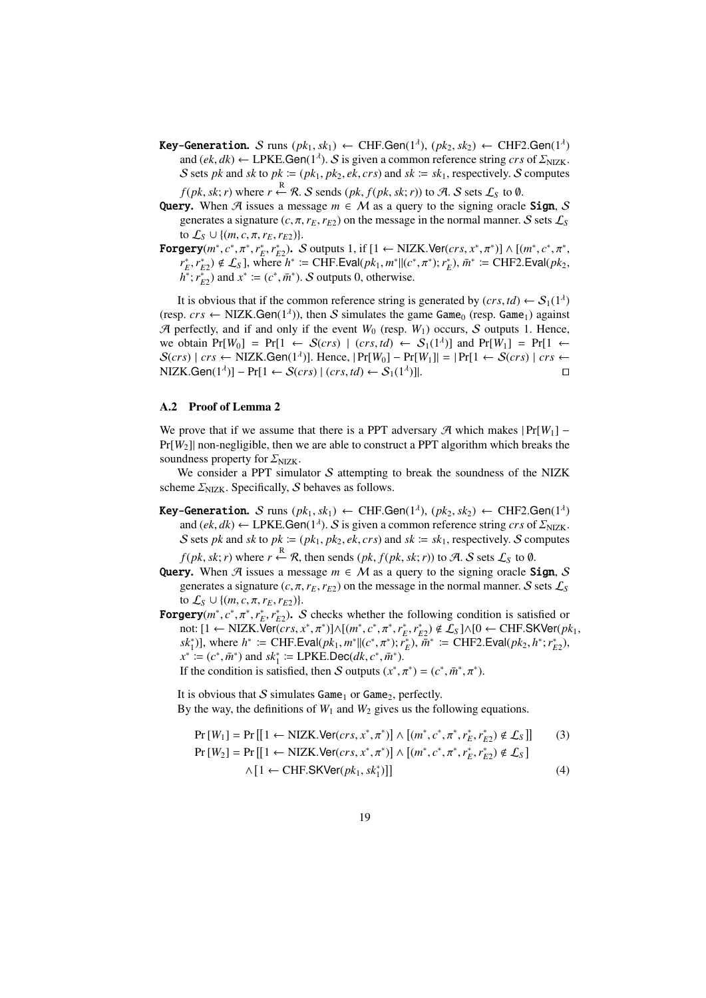- **Key-Generation.** S runs  $(pk_1, sk_1) \leftarrow \text{CHF.Gen}(1^{\lambda}), (pk_2, sk_2) \leftarrow \text{CHF2.Gen}(1^{\lambda})$ and  $(ek, dk) \leftarrow \text{LPKE.Gen}(1^{\lambda})$ . S is given a common reference string *crs* of  $\mathcal{Z}_{\text{NIZK}}$ . S sets *pk* and *sk* to  $pk := (pk_1, pk_2, ek, crs)$  and  $sk := sk_1$ , respectively. S computes *f*(*pk*, *sk*; *r*) where *r* ← *R*. *S* sends (*pk*, *f*(*pk*, *sk*; *r*)) to *A*. *S* sets  $\mathcal{L}_S$  to Ø.
- **Query.** When A issues a message  $m \in M$  as a query to the signing oracle **Sign.** S generates a signature  $(c, \pi, r_E, r_E)$  on the message in the normal manner. S sets  $\mathcal{L}_S$ to  $\mathcal{L}_S \cup \{(m, c, \pi, r_E, r_{E2})\}.$
- **Forgery**(*m*<sup>\*</sup>, *c*<sup>\*</sup>, *π*<sup>\*</sup>, *r*<sub>*\**</sup>,*c*<sup>\*</sup>, *r*<sub>*\**</sup>,2</sub>). *S* outputs 1, if [1 ← NIZK.Ver(*crs*, *x*<sup>\*</sup>, $π$ <sup>\*</sup>)] ∧ [(*m*<sup>\*</sup>, *c*<sup>\*</sup>, $π$ <sup>\*</sup>,</sub>  $r_E^*, r_{E2}^*$ )  $\notin \mathcal{L}_S$ ], where  $h^* := \text{CHF.Eval}(pk_1, m^*||(c^*, \pi^*); r_E^*), \bar{m}^* := \text{CHF2.Eval}(pk_2, \pi^*)$  $h^*$ ;  $r_{E2}^*$ ) and  $x^* := (c^*, \bar{m}^*)$ . S outputs 0, otherwise.

It is obvious that if the common reference string is generated by  $(crs, td) \leftarrow S_1(1^{\lambda})$ (resp.  $crs \leftarrow \text{NIZK.Gen}(1^{\lambda})$ ), then S simulates the game Game<sub>0</sub> (resp. Game<sub>1</sub>) against  $\mathcal{A}$  perfectly, and if and only if the event  $W_0$  (resp.  $W_1$ ) occurs, S outputs 1. Hence, we obtain  $Pr[W_0] = Pr[1 \leftarrow S(crs) \mid (crs, td) \leftarrow S_1(1^{\lambda})]$  and  $Pr[W_1] = Pr[1 \leftarrow$  $S(crs)$  | *crs* ← NIZK.Gen(1<sup> $λ$ </sup>)]. Hence,  $|Pr[W_0] - Pr[W_1]| = |Pr[1 \leftarrow S(crs) | crs \leftarrow$  $NIZK.Gen(1^{\lambda})] - Pr[1 \leftarrow S(crs) | (crs, td) \leftarrow S_1(1^{\lambda})$ )]|. ⊓⊔

## A.2 Proof of Lemma 2

We prove that if we assume that there is a PPT adversary  $\mathcal{A}$  which makes  $|Pr[W_1] Pr[W_2]$  non-negligible, then we are able to construct a PPT algorithm which breaks the soundness property for  $\Sigma_{\rm NIZK}$ .

We consider a PPT simulator  $S$  attempting to break the soundness of the NIZK scheme  $\Sigma_{\text{NIZK}}$ . Specifically, S behaves as follows.

**Key-Generation.** S runs  $(pk_1, sk_1) \leftarrow$  CHF.Gen(1<sup> $\lambda$ </sup>),  $(pk_2, sk_2) \leftarrow$  CHF2.Gen(1<sup> $\lambda$ </sup>) and  $(ek, dk) \leftarrow \text{LPKE.Gen}(1^{\lambda})$ . S is given a common reference string *crs* of  $\mathcal{Z}_{\text{NIZK}}$ . S sets *pk* and *sk* to  $pk := (pk_1, pk_2, ek, crs)$  and  $sk := sk_1$ , respectively. S computes

*f*(*pk*, *sk*; *r*) where  $r \xleftarrow{\mathbb{R}} \mathcal{R}$ , then sends (*pk*, *f*(*pk*, *sk*; *r*)) to A. S sets  $\mathcal{L}_{\mathcal{S}}$  to Ø.

- Query. When  $\mathcal A$  issues a message  $m \in \mathcal M$  as a query to the signing oracle Sign, S generates a signature  $(c, \pi, r_E, r_{E2})$  on the message in the normal manner. S sets  $\mathcal{L}_S$ to  $\mathcal{L}_S$  ∪ {(*m*, *c*, π, *r*<sub>*E*</sub>, *r*<sub>*E*2</sub>)}.
- **Forgery** $(m^*, c^*, \pi^*, r_E^*, r_{E2}^*)$ . S checks whether the following condition is satisfied or not: [1 ← NIZK.Ver( $\overline{c}rs, x^*, \pi^*$ )] $\land$ [ $(m^*, c^*, \pi^*, r_E^*, r_{E2}^*) \notin \mathcal{L}_S$ ] $\land$ [0 ← CHF.SKVer( $pk_1$ ,  $sk_1^*$ )], where  $h^* := \text{CHF.Eval}(pk_1, m^*||(c^*, \pi^*); \overrightarrow{r_E})$ ,  $m^* := \text{CHF2.Eval}(pk_2, h^*; r_{E2}^*)$ ,  $x^* := (c^*, \bar{m}^*)$  and  $sk_1^* := \text{LPKE.Dec}(dk, c^*, \bar{m}^*)$ .

If the condition is satisfied, then S outputs  $(x^*, \pi^*) = (c^*, \bar{m}^*, \pi^*)$ .

It is obvious that  $S$  simulates Game<sub>1</sub> or Game<sub>2</sub>, perfectly. By the way, the definitions of  $W_1$  and  $W_2$  gives us the following equations.

$$
\Pr[W_1] = \Pr\left[\left[1 \leftarrow \text{NIZK.Ver}(cr, x^*, \pi^*)\right] \wedge \left[(m^*, c^*, \pi^*, r_E^*, r_{E2}^*) \notin \mathcal{L}_S\right]\right] \tag{3}
$$
\n
$$
\Pr[W_2] = \Pr\left[\left[1 \leftarrow \text{NIZK.Ver}(cr, x^*, \pi^*)\right] \wedge \left[(m^*, c^*, \pi^*, r_E^*, r_{E2}^*) \notin \mathcal{L}_S\right]\right] \wedge \left[1 \leftarrow \text{CHF.SKVer}(pk_1, sk_1^*)\right]\right]
$$
\n
$$
(4)
$$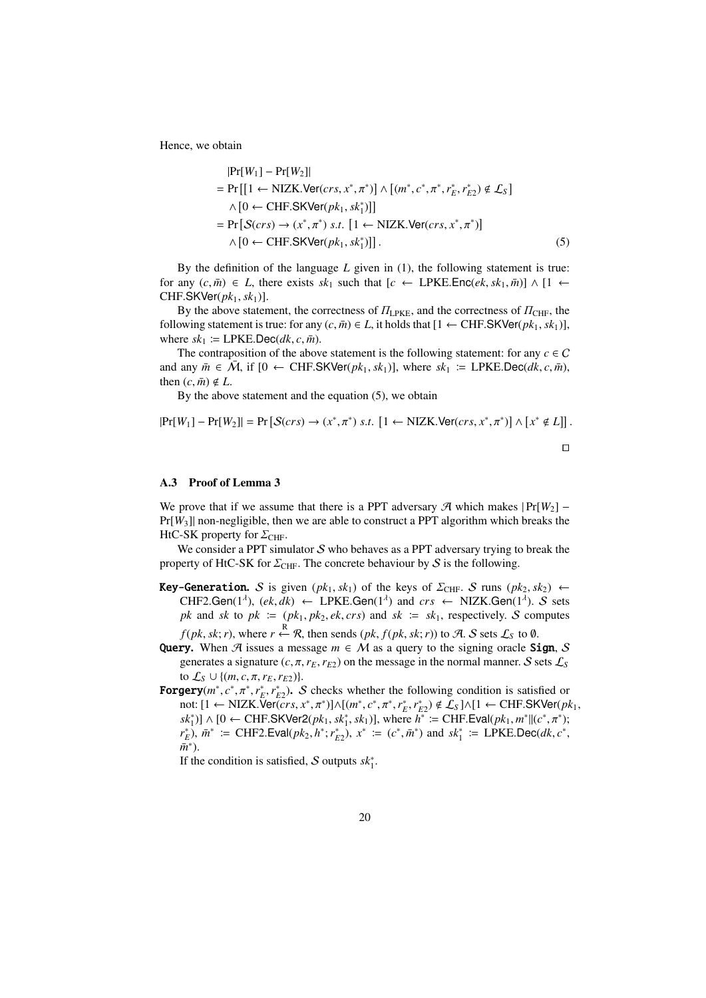Hence, we obtain

$$
|\Pr[W_1] - \Pr[W_2]|
$$
  
=  $\Pr\left[\left[1 \leftarrow \text{NIZK.Ver}(crs, x^*, \pi^*)\right] \wedge \left[(m^*, c^*, \pi^*, r_E^*, r_{E2}^*) \notin \mathcal{L}_S\right]\right]$   
 $\wedge \left[0 \leftarrow \text{CHF.SKVer}(pk_1, sk_1^*)\right]\right]$   
=  $\Pr\left[\mathcal{S}(crs) \rightarrow (x^*, \pi^*) \ s.t. \left[1 \leftarrow \text{NIZK.Ver}(crs, x^*, \pi^*)\right]\right]$   
 $\wedge \left[0 \leftarrow \text{CHF.SKVer}(pk_1, sk_1^*)\right]\right].$  (5)

By the definition of the language *L* given in (1), the following statement is true: for any  $(c, \overline{m}) \in L$ , there exists  $sk_1$  such that  $[c \leftarrow \text{LPKE}.\text{Enc}(ek, sk_1, \overline{m})] \wedge [1 \leftarrow \text{Enc}(ek, sk_1, \overline{m})]$  $CHF.SKVer( $pk_1, sk_1$ )].$ 

By the above statement, the correctness of  $\Pi_{\text{LPKE}}$ , and the correctness of  $\Pi_{\text{CHF}}$ , the following statement is true: for any  $(c, \bar{m}) \in L$ , it holds that [1 ← CHF.SKVer( $pk_1, sk_1$ )], where  $sk_1 := \text{LPKE.Dec}(dk, c, \bar{m})$ .

The contraposition of the above statement is the following statement: for any  $c \in C$ and any  $\bar{m} \in \bar{M}$ , if  $[0 \leftarrow \text{CHF.SKVer}(pk_1, sk_1)],$  where  $sk_1 := \text{LPKE.Dec}(dk, c, \bar{m}),$ then  $(c, \bar{m}) \notin L$ .

By the above statement and the equation (5), we obtain

$$
|\Pr[W_1] - \Pr[W_2]| = \Pr\left[\mathcal{S}(crs) \to (x^*, \pi^*) \text{ s.t. } [1 \leftarrow \text{NIZK.Ver}(crs, x^*, \pi^*)] \land [x^* \notin L]\right].
$$

## A.3 Proof of Lemma 3

We prove that if we assume that there is a PPT adversary  $\mathcal{A}$  which makes  $|Pr[W_2] Pr[W_3]$  non-negligible, then we are able to construct a PPT algorithm which breaks the HtC-SK property for  $\Sigma_{\text{CHF}}$ .

We consider a PPT simulator  $S$  who behaves as a PPT adversary trying to break the property of HtC-SK for  $\Sigma_{\text{CHF}}$ . The concrete behaviour by S is the following.

- **Key-Generation.** S is given  $(pk_1, sk_1)$  of the keys of  $\Sigma_{\text{CHF}}$ . S runs  $(pk_2, sk_2)$  ← CHF2.Gen(1<sup> $\lambda$ </sup>), (ek, dk)  $\leftarrow$  LPKE.Gen(1<sup> $\lambda$ </sup>) and  $crs \leftarrow$  NIZK.Gen(1<sup> $\lambda$ </sup>). S sets *pk* and *sk* to  $pk := (pk_1, pk_2, ek, crs)$  and  $sk := sk_1$ , respectively. S computes *f*(*pk*, *sk*; *r*), where *r* ← *R*, then sends (*pk*, *f*(*pk*, *sk*; *r*)) to *A*. *S* sets  $\mathcal{L}_S$  to Ø.
- Query. When A issues a message  $m \in M$  as a query to the signing oracle Sign, S generates a signature  $(c, \pi, r_E, r_{E2})$  on the message in the normal manner. S sets  $\mathcal{L}_S$ to  $\mathcal{L}_{S} \cup \{(m, c, \pi, r_E, r_{E2})\}.$
- **Forgery**( $m^*$ ,  $c^*$ ,  $\pi^*$ ,  $r_E^*$ ,  $r_{E2}^*$ ). S checks whether the following condition is satisfied or not: [1 ← NIZK.Ver( $\overline{c}$ *crs*,  $x^*, \pi^*$ )]∧[ $(m^*, c^*, \pi^*, r_E^*, r_{E2}^*) \notin \mathcal{L}_S$ ]∧[1 ← CHF.SKVer( $pk_1$ ,  $sk_1^*$ )] ∧ [0 ← CHF.SKVer2( $pk_1, sk_1^*, sk_1$ )], where  $h^* :=$  CHF.Eval( $pk_1, m^* \parallel (c^*, \pi^*)$ ;  $r_E^*$ ),  $\bar{m}^*$  := CHF2.Eval( $pk_2$ ,  $h^*$ ;  $r_{E2}^*$ ),  $x^*$  := ( $c^*$ ,  $\bar{m}^*$ ) and  $sk_1^*$  := LPKE.Dec( $dk$ ,  $c^*$ ,  $\bar{m}^*$ ).

If the condition is satisfied, S outputs  $sk_1^*$ .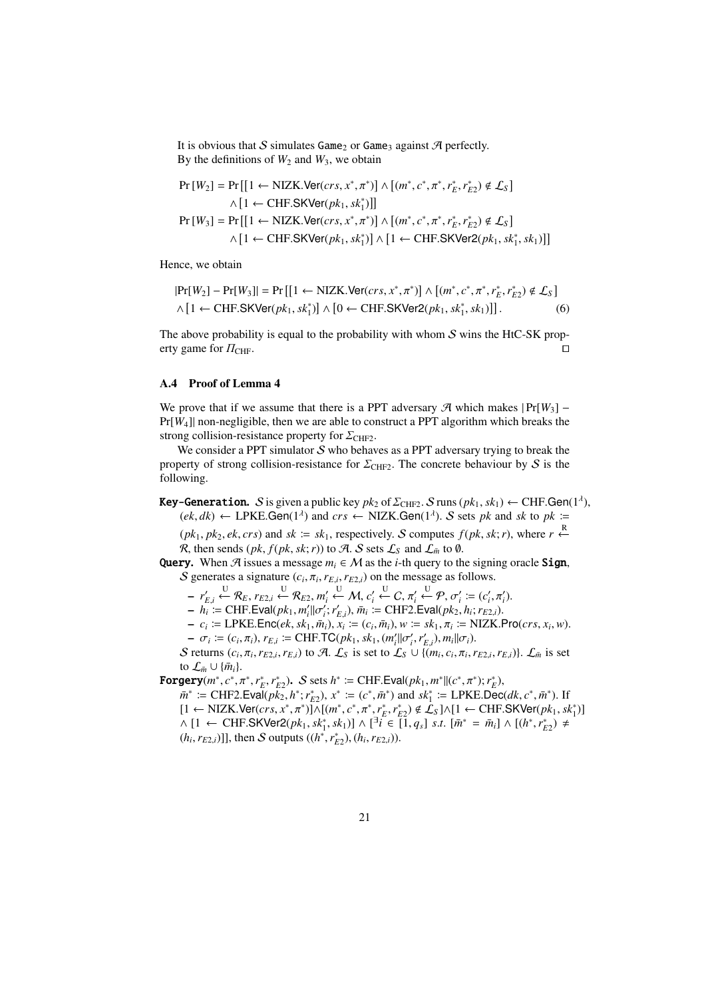It is obvious that S simulates Game<sub>2</sub> or Game<sub>3</sub> against  $\mathcal{A}$  perfectly. By the definitions of  $W_2$  and  $W_3$ , we obtain

$$
Pr[W_2] = Pr[[1 \leftarrow NIZK.Ver(crs, x^*, \pi^*)] \wedge [(m^*, c^*, \pi^*, r_E^*, r_{E2}^*) \notin \mathcal{L}_S]
$$
  
\n
$$
\wedge [1 \leftarrow CHF.SKVer(pk_1, sk_1^*)]]
$$
  
\n
$$
Pr[W_3] = Pr[[1 \leftarrow NIZK.Ver(crs, x^*, \pi^*)] \wedge [(m^*, c^*, \pi^*, r_E^*, r_{E2}^*) \notin \mathcal{L}_S]
$$
  
\n
$$
\wedge [1 \leftarrow CHF.SKVer(pk_1, sk_1^*)] \wedge [1 \leftarrow CHF.SKVer(2(pk_1, sk_1^*, sk_1))]]
$$

Hence, we obtain

$$
|\Pr[W_2] - \Pr[W_3]| = \Pr\left[\left[1 \leftarrow \text{NIZK.Ver}(crs, x^*, \pi^*)\right] \wedge \left[(m^*, c^*, \pi^*, r_E^*, r_{E2}^*) \notin \mathcal{L}_S\right] \wedge \left[1 \leftarrow \text{CHF.SKVer}(pk_1, sk_1^*)\right] \wedge \left[0 \leftarrow \text{CHF.SKVer2}(pk_1, sk_1^*, sk_1)\right]\right].\tag{6}
$$

The above probability is equal to the probability with whom  $S$  wins the HtC-SK property game for  $\Pi_{\text{CHF}}$ . □

## A.4 Proof of Lemma 4

We prove that if we assume that there is a PPT adversary  $\mathcal{A}$  which makes  $|Pr[W_3] Pr[W_4]$  non-negligible, then we are able to construct a PPT algorithm which breaks the strong collision-resistance property for  $\Sigma_{\text{CHF2}}$ .

We consider a PPT simulator  $S$  who behaves as a PPT adversary trying to break the property of strong collision-resistance for  $\Sigma_{\text{CHF2}}$ . The concrete behaviour by S is the following.

# **Key-Generation.**  $S$  is given a public key  $pk_2$  of  $\Sigma_{\text{CHF2}}$ .  $S$  runs  $(pk_1, sk_1) \leftarrow \text{CHF.Gen}(1^{\lambda}),$  $(ek, dk) \leftarrow \text{LPKE.Gen}(1^{\lambda})$  and  $crs \leftarrow \text{NIZK.Gen}(1^{\lambda})$ . S sets *pk* and *sk* to *pk* :=

 $(pk_1, pk_2, ek, crs)$  and  $sk := sk_1$ , respectively. S computes  $f(pk, sk; r)$ , where  $r \stackrel{R}{\leftarrow}$  $\mathcal R$ , then sends  $(\mathit{pk}, \mathit{f}(\mathit{pk}, \mathit{sk}; r))$  to  $\mathcal A$ .  $\mathcal S$  sets  $\mathcal L_{\mathcal S}$  and  $\mathcal L_{\bar m}$  to  $\emptyset$ .

Query. When  $\mathcal{A}$  issues a message  $m_i \in \mathcal{M}$  as the *i*-th query to the signing oracle Sign, S generates a signature  $(c_i, \pi_i, r_{E,i}, r_{E2,i})$  on the message as follows.

 $\mathcal{F}_{F,i} \overset{\text{U}}{\leftarrow} \mathcal{R}_E, r_{E2,i} \overset{\text{U}}{\leftarrow} \mathcal{R}_{E2}, m'_i \overset{\text{U}}{\leftarrow} \mathcal{M}, c'_i \overset{\text{U}}{\leftarrow} C, \pi'_i \overset{\text{U}}{\leftarrow} \mathcal{P}, \sigma'_i \coloneqq (c'_i, \pi'_i).$ 

 $-h_i^i := \text{CHF.Eval}(pk_1, m_i' || \sigma_i'; r_{E,i}'), \bar{m}_i := \text{CHF2.Eval}(pk_2, h_i; r_{E2,i}).$ 

 $-c_i \coloneqq \text{LPKE}.\text{Enc}(ek, sk_1, \bar{m}_i), x_i \coloneqq (c_i, \bar{m}_i), w \coloneqq sk_1, \pi_i \coloneqq \text{NIZK}.Pro(crs, x_i, w).$ 

 $-\sigma_i := (c_i, \pi_i), r_{E,i} := \text{CHF.TC}(pk_1, sk_1, (m'_i || \sigma'_i, r'_{E,i}), m_i || \sigma_i).$ 

S returns  $(c_i, \pi_i, r_{E2,i}, r_{E,i})$  to A.  $\mathcal{L}_S$  is set to  $\mathcal{L}_S \cup \{(m_i, c_i, \pi_i, r_{E2,i}, r_{E,i})\}\)$ .  $\mathcal{L}_{\bar{m}}$  is set to  $\mathcal{L}_{\bar{m}} \cup {\bar{m_i}}$ .

**Forgery** $(m^*, c^*, \pi^*, r_E^*, r_{E2}^*)$ . S sets  $h^* \coloneqq \text{CHF.Eval}(pk_1, m^*||(c^*, \pi^*); r_E^*)$ ,

 $\bar{m}^* := \text{CHF2.EvaI}(p\bar{k}_2, h^*; r_{E2}^*)$ ,  $x^* := (c^*, \bar{m}^*)$  and  $sk_1^* := \text{LPKE.Dec}(dk, c^*, \bar{m}^*)$ . If  $[1 \leftarrow \text{NIZK.Ver}(cr, x^*, \pi^*)] \land [(m^*, c^*, \pi^*, r_E^*, r_{E2}^*) \notin \mathcal{L}_S] \land [1 \leftarrow \text{CHF.SKVer}(pk_1, sk_1^*)]$  $\wedge$  [1 ← CHF.SKVer2( $pk_1, sk_1^*, sk_1$ )]  $\wedge$  [<sup>3</sup>*i* ∈ [1,  $q_s$ ] *s.t.* [ $\bar{m}^* = \bar{m}_i$ ]  $\wedge$  [( $h^*, r_{E2}^*$ ) ≠  $(h_i, r_{E2,i})$ ]], then S outputs  $((h^*, r_{E2}^*), (h_i, r_{E2,i}))$ .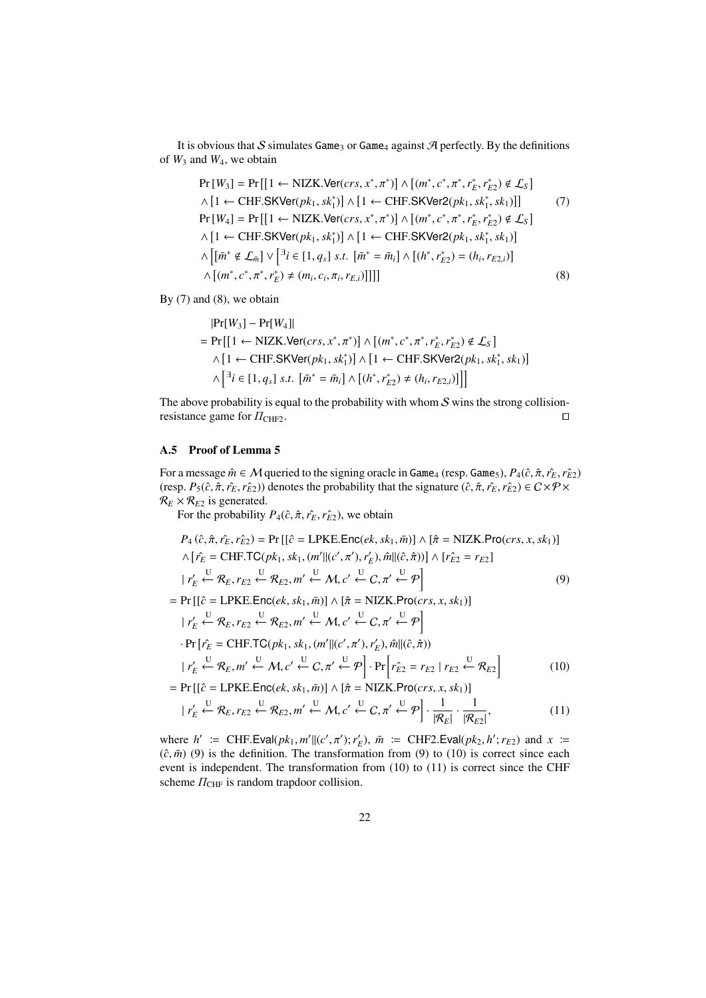It is obvious that S simulates Game<sub>3</sub> or Game<sub>4</sub> against  $\mathcal{A}$  perfectly. By the definitions of  $W_3$  and  $W_4$ , we obtain

Pr [*W*3] = Pr [[1 ← NIZK.Ver(*crs*, *x* ∗ , π<sup>∗</sup> ) ] ∧ [ (*m* ∗ , *c* ∗ , π<sup>∗</sup> ,*r* ∗ *E* ,*r* ∗ *E*2 ) < L*<sup>S</sup>* ] ∧ [ 1 ← CHF.SKVer(*pk*1, *sk*<sup>∗</sup> 1 ) ] ∧ [ 1 ← CHF.SKVer2(*pk*1, *sk*<sup>∗</sup> 1 , *sk*1) ]] (7) Pr [*W*4] = Pr [[1 ← NIZK.Ver(*crs*, *x* ∗ , π<sup>∗</sup> ) ] ∧ [ (*m* ∗ , *c* ∗ , π<sup>∗</sup> ,*r* ∗ *E* ,*r* ∗ *E*2 ) < L*<sup>S</sup>* ] ∧ [ 1 ← CHF.SKVer(*pk*1, *sk*<sup>∗</sup> 1 ) ] ∧ [ 1 ← CHF.SKVer2(*pk*1, *sk*<sup>∗</sup> 1 , *sk*1) ] ∧ [[ *m*¯ ∗ < L*<sup>m</sup>*¯ ] ∨ [ ∃ *i* ∈ [1, *qs*] *s*.*t*. [ *m*¯ <sup>∗</sup> = *m*¯ *<sup>i</sup>* ] ∧ [ (*h* ∗ ,*r* ∗ *E*2 ) = (*h<sup>i</sup>* ,*r<sup>E</sup>*2,*i*) ] ∧ [ (*m* ∗ , *c* ∗ , π<sup>∗</sup> ,*r* ∗ *E* ) , (*m<sup>i</sup>* , *ci* , π*<sup>i</sup>* ,*rE*,*i*) ]]]] (8)

By (7) and (8), we obtain

$$
|\Pr[W_3] - \Pr[W_4]|
$$
\n
$$
= \Pr\left[\left[1 \leftarrow \text{NIZK.Ver}(crs, x^*, \pi^*)\right] \wedge \left[(m^*, c^*, \pi^*, r_E^*, r_{E2}^*) \notin \mathcal{L}_S\right]\right]
$$
\n
$$
\wedge \left[1 \leftarrow \text{CHF.SKVer}(pk_1, sk_1^*)\right] \wedge \left[1 \leftarrow \text{CHF.SKVer}(2(pk_1, sk_1^*, sk_1)\right]\right]
$$
\n
$$
\wedge \left[\exists i \in [1, q_s] \text{ s.t. } [\bar{m}^* = \bar{m}_i] \wedge \left[(h^*, r_{E2}^*) \neq (h_i, r_{E2,i})\right]\right]\right]
$$

The above probability is equal to the probability with whom  $S$  wins the strong collisionresistance game for  $\Pi$ <sub>CHF2</sub>. □

## A.5 Proof of Lemma 5

For a message  $\hat{m} \in M$  queried to the signing oracle in Game<sub>4</sub> (resp. Game<sub>5</sub>),  $P_4(\hat{c}, \hat{\pi}, r_E, r_{E2})$ (resp.  $P_5(\hat{c}, \hat{\pi}, r_E, r_{E2})$ ) denotes the probability that the signature  $(\hat{c}, \hat{\pi}, r_E, r_{E2}) \in C \times \mathcal{P} \times C$  $\mathcal{R}_E \times \mathcal{R}_{E2}$  is generated.

For the probability  $P_4(\hat{c}, \hat{\pi}, r_E^c, r_{E2}^c)$ , we obtain

$$
P_4(\hat{c}, \hat{\pi}, \hat{r_E}, \hat{r_E}) = \Pr\left[\left[\hat{c} = \text{LPKE}.\text{Enc}(ek, sk_1, \bar{m})\right] \land \left[\hat{\pi} = \text{NIZK}.\text{Pro}(crs, x, sk_1)\right] \land \left[\hat{r_E} = \text{CHF}.\text{TC}(pk_1, sk_1, (m'||(c', \pi'), r_E'), \hat{m}||(\hat{c}, \hat{\pi}))\right] \land \left[\hat{r_E} = r_{E2}\right]
$$
\n
$$
|r_E' \leftarrow \mathcal{R}_E, r_{E2} \leftarrow \mathcal{R}_{E2}, m' \leftarrow M, c' \leftarrow C, \pi' \leftarrow \mathcal{P}\right] \tag{9}
$$
\n
$$
= \Pr\left[\left[\hat{c} = \text{LPKE}.\text{Enc}(ek, sk_1, \bar{m})\right] \land \left[\hat{\pi} = \text{NIZK}.\text{Pro}(crs, x, sk_1)\right]\right]
$$
\n
$$
|r_E' \leftarrow \mathcal{R}_E, r_{E2} \leftarrow \mathcal{R}_{E2}, m' \leftarrow M, c' \leftarrow C, \pi' \leftarrow \mathcal{P}\right]
$$
\n
$$
\cdot \Pr\left[\hat{r_E} = \text{CHF}.\text{TC}(pk_1, sk_1, (m'||(c', \pi'), r_E'), \hat{m}||(\hat{c}, \hat{\pi}))\right]
$$
\n
$$
|r_E' \leftarrow \mathcal{R}_E, m' \leftarrow M, c' \leftarrow C, \pi' \leftarrow \mathcal{P}\right] \cdot \Pr\left[r_{\hat{E}2} = r_{E2} \mid r_{E2} \leftarrow \mathcal{R}_{E2}\right] \tag{10}
$$
\n
$$
= \Pr\left[\left[\hat{c} = \text{LPKE}.\text{Enc}(ek, sk_1, \bar{m})\right] \land \left[\hat{\pi} = \text{NIZK}.\text{Pro}(crs, x, sk_1)\right]\right]
$$
\n
$$
= \frac{1}{\pi} \left[\frac{1}{\pi} \left[\frac{1}{\pi} - \frac{1}{\pi} \left[\frac{1}{\pi} - \frac{1}{\pi} \left(\frac{1}{\pi} - \frac{1}{\pi} \left(\frac{1}{\pi} - \frac{1}{\pi} \left
$$

$$
|r'_{E} \stackrel{\text{U}}{\leftarrow} \mathcal{R}_{E}, r_{E2} \stackrel{\text{U}}{\leftarrow} \mathcal{R}_{E2}, m' \stackrel{\text{U}}{\leftarrow} \mathcal{M}, c' \stackrel{\text{U}}{\leftarrow} C, \pi' \stackrel{\text{U}}{\leftarrow} \mathcal{P} \right] \cdot \frac{1}{|\mathcal{R}_{E}|} \cdot \frac{1}{|\mathcal{R}_{E2}|},\tag{11}
$$

where  $h' := \text{CHF.Eval}(pk_1, m' || (c', \pi'); r'_E), \bar{m} := \text{CHF2.Eval}(pk_2, h'; r_{E2}) \text{ and } x :=$  $(\hat{c}, \bar{m})$  (9) is the definition. The transformation from (9) to (10) is correct since each event is independent. The transformation from (10) to (11) is correct since the CHF scheme  $\Pi_{\text{CHF}}$  is random trapdoor collision.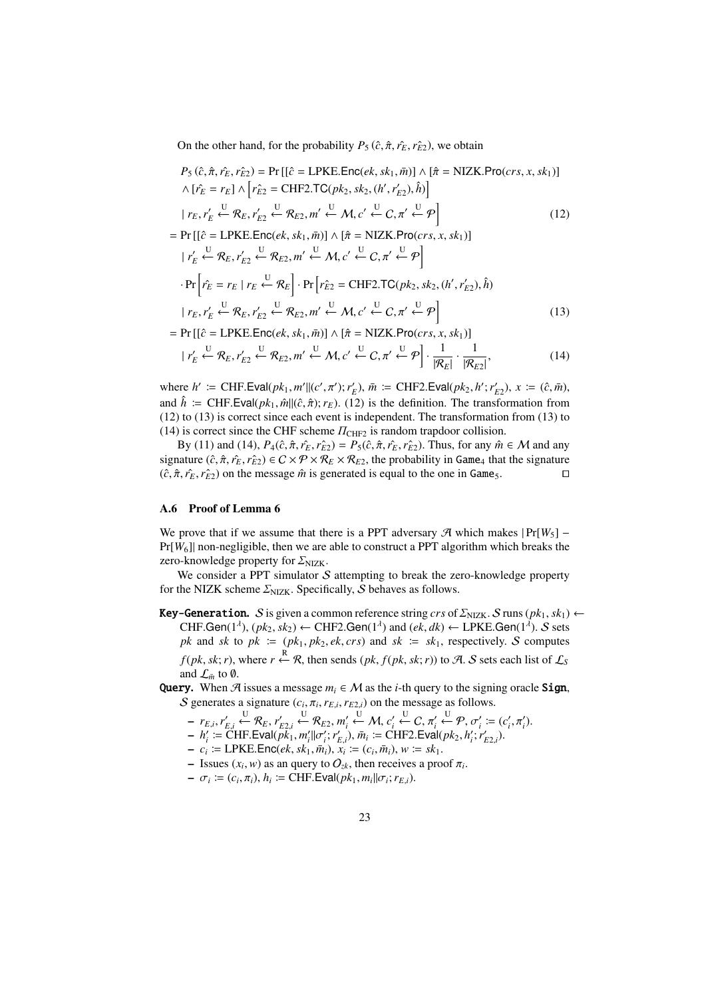On the other hand, for the probability  $P_5(\hat{c}, \hat{\pi}, \hat{r}_E, \hat{r}_{E2})$ , we obtain

$$
P_5(\hat{c}, \hat{\pi}, \hat{r}_E, \hat{r}_{E2}) = \Pr\left[\left[\hat{c} = \text{LPKE}.\text{Enc}(ek, sk_1, \bar{m})\right] \land \left[\hat{\pi} = \text{NIZK}.\text{Pro}(crs, x, sk_1)\right]\right]
$$
  
\n
$$
\land \left[\hat{r}_E = r_E\right] \land \left[r_{E2}^{\circ} = \text{CHF2}.\text{TC}(pk_2, sk_2, (h', r'_{E2}), \hat{h})\right]
$$
  
\n
$$
\mid r_E, r'_E \leftarrow \mathcal{R}_E, r'_{E2} \leftarrow \mathcal{R}_{E2}, m' \leftarrow M, c' \leftarrow C, \pi' \leftarrow \mathcal{P}\right]
$$
  
\n
$$
= \Pr\left[\left[\hat{c} = \text{LPKE}.\text{Enc}(ek, sk_1, \bar{m})\right] \land \left[\hat{\pi} = \text{NIZK}.\text{Pro}(crs, x, sk_1)\right]\right]
$$
  
\n
$$
\mid r'_E \leftarrow \mathcal{R}_E, r'_{E2} \leftarrow \mathcal{R}_{E2}, m' \leftarrow M, c' \leftarrow C, \pi' \leftarrow \mathcal{P}\right]
$$
  
\n
$$
\cdot \Pr\left[\hat{r}_E = r_E \mid r_E \leftarrow \mathcal{R}_E\right] \cdot \Pr\left[r_{E2}^{\circ} = \text{CHF2}.\text{TC}(pk_2, sk_2, (h', r'_{E2}), \hat{h})\right]\right]
$$
  
\n
$$
\mid r_E, r'_E \leftarrow \mathcal{R}_E, r'_{E2} \leftarrow \mathcal{R}_{E2}, m' \leftarrow M, c' \leftarrow C, \pi' \leftarrow \mathcal{P}\right]
$$
  
\n
$$
= \Pr\left[\left[\hat{c} = \text{LPKE}.\text{Enc}(ek, sk_1, \bar{m})\right] \land \left[\hat{\pi} = \text{NIZK}.\text{Pro}(crs, x, sk_1)\right]\right]
$$
  
\n(13)  
\n(13)

$$
|r'_{E} \stackrel{\text{U}}{\leftarrow} \mathcal{R}_{E}, r'_{E2} \stackrel{\text{U}}{\leftarrow} \mathcal{R}_{E2}, m' \stackrel{\text{U}}{\leftarrow} \mathcal{M}, c' \stackrel{\text{U}}{\leftarrow} C, \pi' \stackrel{\text{U}}{\leftarrow} \mathcal{P} \right] \cdot \frac{1}{|\mathcal{R}_{E}|} \cdot \frac{1}{|\mathcal{R}_{E2}|},\tag{14}
$$

where  $h' := \text{CHF.Eval}(pk_1, m'||(c', \pi'); r'_E), \bar{m} := \text{CHF2.Eval}(pk_2, h'; r'_{E2}), x := (\hat{c}, \bar{m}),$ and  $\hat{h}$  = CHF.Eval( $pk_1$ ,  $\hat{m}$ ||( $\hat{c}$ ,  $\hat{\pi}$ );  $r_E$ ). (12) is the definition. The transformation from (12) to (13) is correct since each event is independent. The transformation from (13) to (14) is correct since the CHF scheme  $\Pi_{\text{CHF2}}$  is random trapdoor collision.

By (11) and (14),  $P_4(\hat{c}, \hat{\pi}, r_E^2, r_E^2) = P_5(\hat{c}, \hat{\pi}, r_E^2, r_E^2)$ . Thus, for any  $\hat{m} \in \mathcal{M}$  and any signature  $(\hat{c}, \hat{\pi}, r_E, r_{E2}) \in C \times \mathcal{P} \times \mathcal{R}_E \times \mathcal{R}_{E2}$ , the probability in Game<sub>4</sub> that the signature  $(\hat{c}, \hat{\pi}, \hat{r}_E, \hat{r}_E)$  on the message  $\hat{m}$  is generated is equal to the one in Game<sub>5</sub>. □

#### A.6 Proof of Lemma 6

We prove that if we assume that there is a PPT adversary  $\mathcal{A}$  which makes  $|Pr[W_5]$  – Pr[*W*6]| non-negligible, then we are able to construct a PPT algorithm which breaks the zero-knowledge property for  $\Sigma_{\text{NIZK}}$ .

We consider a PPT simulator  $S$  attempting to break the zero-knowledge property for the NIZK scheme  $\Sigma_{NIZK}$ . Specifically, S behaves as follows.

**Key-Generation.** S is given a common reference string  $crs$  of  $\Sigma_{NIZK}$ . S runs  $(pk_1, sk_1)$   $\leftarrow$ CHF.Gen( $1^{\lambda}$ ),  $(pk_2, sk_2) \leftarrow$  CHF2.Gen( $1^{\lambda}$ ) and  $(ek, dk) \leftarrow$  LPKE.Gen( $1^{\lambda}$ ). S sets *pk* and *sk* to  $pk := (pk_1, pk_2, ek, crs)$  and  $sk := sk_1$ , respectively. S computes *f*(*pk*, *sk*; *r*), where *r* ← R, then sends (*pk*, *f*(*pk*, *sk*; *r*)) to A. S sets each list of  $\mathcal{L}_S$ and  $\mathcal{L}_{\bar{m}}$  to  $\emptyset$ .

Query. When  $\mathcal A$  issues a message  $m_i \in \mathcal M$  as the *i*-th query to the signing oracle Sign, S generates a signature  $(c_i, \pi_i, r_{E,i}, r_{E2,i})$  on the message as follows.

$$
- r_{E,i}, r'_{E,i} \stackrel{\cup}{\leftarrow} \mathcal{R}_E, r'_{E2,i} \stackrel{\cup}{\leftarrow} \mathcal{R}_{E2}, m'_i \stackrel{\cup}{\leftarrow} \mathcal{M}, c'_i \stackrel{\cup}{\leftarrow} C, \pi'_i \stackrel{\cup}{\leftarrow} \mathcal{P}, \sigma'_i := (c'_i, \pi'_i).
$$

- $h'_i := \text{CHF.Eval}(p\vec{k}_1, m'_i || \sigma'_i; r'_{E,i}), \bar{m}_i := \text{CHF2.Eval}(pk_2, h'_i; r'_{E2,i}).$
- $-c_i$  := LPKE.Enc(*ek*, *sk*<sub>1</sub>,  $\bar{m}_i$ ),  $x_i$  := ( $c_i$ ,  $\bar{m}_i$ ),  $w$  :=  $sk_1$ .
- $-$  Issues ( $x_i$ ,  $w$ ) as an query to  $O_{zk}$ , then receives a proof  $\pi_i$ .
- $-\sigma_i := (c_i, \pi_i), h_i := \text{CHF.Eval}(pk_1, m_i || \sigma_i; r_{E,i}).$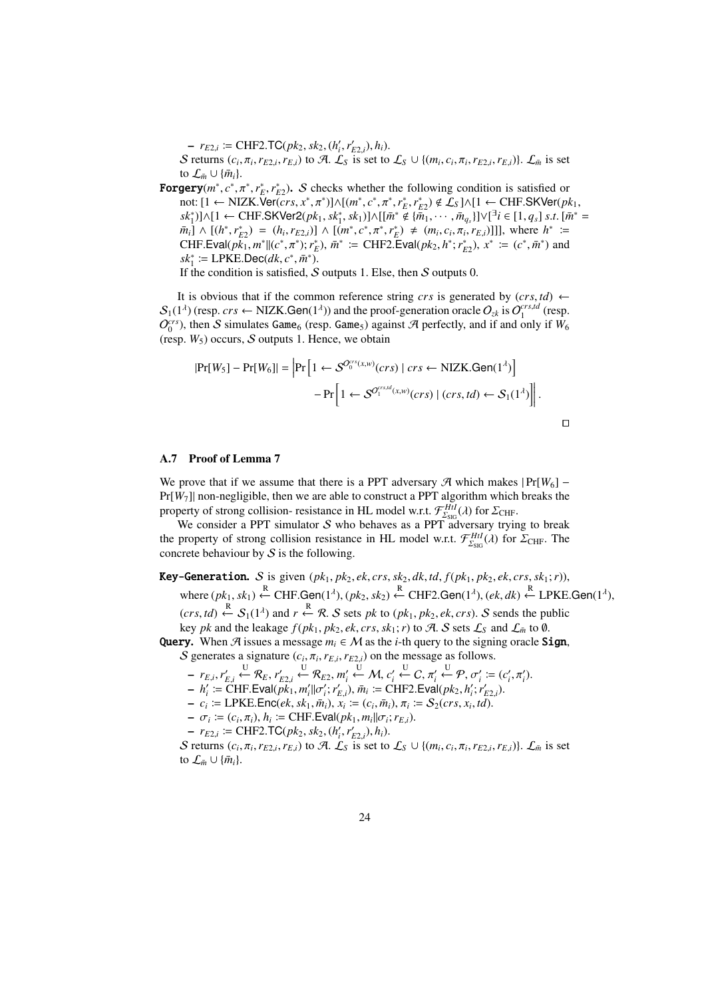$- r_{E2,i} \coloneqq \text{CHF2.TC}(pk_2, sk_2, (h'_i, r'_{E2,i}), h_i).$ 

S returns  $(c_i, \pi_i, r_{E2,i}, r_{E,i})$  to A.  $\mathcal{L}_S$  is set to  $\mathcal{L}_S \cup \{(m_i, c_i, \pi_i, r_{E2,i}, r_{E,i})\}\)$ .  $\mathcal{L}_{\bar{m}}$  is set to  $\mathcal{L}_{\bar{m}} \cup {\{\bar{m}_i\}}$ .

**Forgery**( $m^*$ ,  $c^*$ ,  $\pi^*$ ,  $r_E^*$ ,  $r_{E2}^*$ ). S checks whether the following condition is satisfied or not: [1 ← NIZK.Ver( $crs, x^*, \pi^*$ )]∧[ $(m^*, c^*, \pi^*, r_E^*, r_{E2}^*) \notin \mathcal{L}_S$ ]∧[1 ← CHF.SKVer( $pk_1$ ,  $[sk_1^*]$ ]∧[1 ← CHF.SKVer2( $pk_1, sk_1^*, sk_1$ )]∧[[ $\bar{m}^* \notin {\{\bar{m}_1, \cdots, \bar{m}_{q_s}\}}$ ]∨[ $\bar{a}_i \in [1, q_s]$  *s.t.* [ $\bar{m}^* =$  $\overline{m}_i \rightarrow [(h^*, r_{E2}^*) = (h_i, r_{E2,i})] \wedge [(m^*, c^*, \pi^*, r_E^*) \neq (m_i, c_i, \pi_i, r_{E,i})]]$ , where  $h^* \equiv$  $\text{CHF.Eval}(p\vec{k}_1, m^*|| (c^*, \pi^*); r_E^*), \, \vec{m}^* \coloneqq \text{CHF2.Eval}(pk_2, h^*; r_{E2}^*), \, x^* \coloneqq (c^*, \vec{m}^*) \text{ and }$  $sk_1^* \coloneqq \text{LPKE.Dec}(dk, c^*, \bar{m}^*).$ 

If the condition is satisfied,  $S$  outputs 1. Else, then  $S$  outputs 0.

It is obvious that if the common reference string *crs* is generated by  $(crs, td) \leftarrow$  $S_1(1^{\lambda})$  (resp. *crs*  $\leftarrow$  NIZK.Gen(1<sup> $\lambda$ </sup>)) and the proof-generation oracle  $O_{2k}$  is  $O_1^{crs,td}$  (resp.  $O_0^{crs}$ ), then S simulates Game<sub>6</sub> (resp. Game<sub>5</sub>) against A perfectly, and if and only if  $W_6$ (resp.  $W_5$ ) occurs,  $S$  outputs 1. Hence, we obtain

$$
|\Pr[W_5] - \Pr[W_6]| = |\Pr\left[1 \leftarrow S^{O_0^{cr_s(x,w)}(crs) \mid crs \leftarrow \text{NIZK.Gen}(1^{\lambda})\right] - \Pr\left[1 \leftarrow S^{O_1^{cr_s(d(x,w)}(crs) \mid (crs, td) \leftarrow S_1(1^{\lambda})\right]\right].
$$

#### A.7 Proof of Lemma 7

We prove that if we assume that there is a PPT adversary  $\mathcal{A}$  which makes  $|Pr[W_6] -$ Pr[*W*7]| non-negligible, then we are able to construct a PPT algorithm which breaks the property of strong collision- resistance in HL model w.r.t.  $\mathcal{F}^{Htl}_{\Sigma_{\text{SIG}}}(\lambda)$  for  $\Sigma_{\text{CHF}}$ .

We consider a PPT simulator  $S$  who behaves as a PPT adversary trying to break the property of strong collision resistance in HL model w.r.t.  $\mathcal{F}^{Hil}_{\Sigma_{\text{SGG}}}(\lambda)$  for  $\Sigma_{\text{CHF}}$ . The concrete behaviour by  $S$  is the following.

Key-Generation. S is given  $(pk_1, pk_2, ek, crs, sk_2, dk, td, f(pk_1, pk_2, ek, crs, sk_1; r)$ ,

where 
$$
(pk_1, sk_1) \xleftarrow{\mathbb{R}}
$$
 CHF.Gen $(1^{\lambda})$ ,  $(pk_2, sk_2) \xleftarrow{\mathbb{R}}$  CHF2.Gen $(1^{\lambda})$ ,  $(ek, dk) \xleftarrow{\mathbb{R}}$  LPKE.Gen $(1^{\lambda})$ ,

 $(crs, td)$   $\stackrel{R}{\leftarrow}$   $S_1(1^{\lambda})$  and  $r \stackrel{R}{\leftarrow} R$ . S sets *pk* to  $(pk_1, pk_2, ek, crs)$ . S sends the public

key *pk* and the leakage  $f(pk_1, pk_2, ek, crs, sk_1; r)$  to A. S sets  $\mathcal{L}_S$  and  $\mathcal{L}_{\bar{m}}$  to 0. Query. When  $\mathcal A$  issues a message  $m_i \in \mathcal M$  as the *i*-th query to the signing oracle Sign,

S generates a signature  $(c_i, \pi_i, r_{E,i}, r_{E2,i})$  on the message as follows. <sup>U</sup>←− R*E*, *<sup>r</sup>*  $U$ 

$$
- r_{E,i}, r'_{E,i} \stackrel{\mathcal{U}}{\leftarrow} \mathcal{R}_E, r'_{E2,i} \stackrel{\mathcal{U}}{\leftarrow} \mathcal{R}_{E2}, m'_i \stackrel{\mathcal{U}}{\leftarrow} \mathcal{M}, c'_i \stackrel{\mathcal{U}}{\leftarrow} C, \pi'_i \stackrel{\mathcal{U}}{\leftarrow} \mathcal{P}, \sigma'_i := (c'_i, \pi'_i).
$$

- $h'_i := \text{CHF.Eval}(p\vec{k}_1, m'_i || \sigma'_i; r'_{E,i}), \bar{m}_i := \text{CHF2.Eval}(pk_2, h'_i; r'_{E2,i}).$
- $-c_i$  = LPKE.Enc(*ek*, *sk*<sub>1</sub>,  $\bar{m}_i$ ),  $x_i$  = ( $c_i$ ,  $\bar{m}_i$ ),  $\pi_i$  =  $S_2(crs, x_i, td)$ .
- $-\sigma_i := (c_i, \pi_i), h_i := \text{CHF.Eval}(pk_1, m_i || \sigma_i; r_{E,i}).$
- $r_{E2,i} \coloneqq \text{CHF2.TC}(pk_2, sk_2, (h'_i, r'_{E2,i}), h_i).$

S returns  $(c_i, \pi_i, r_{E2,i}, r_{E,i})$  to A.  $\mathcal{L}_S$  is set to  $\mathcal{L}_S \cup \{(m_i, c_i, \pi_i, r_{E2,i}, r_{E,i})\}\)$ .  $\mathcal{L}_{\bar{m}}$  is set to  $\mathcal{L}_{\bar{m}} \cup {\{\bar{m}_i\}}$ .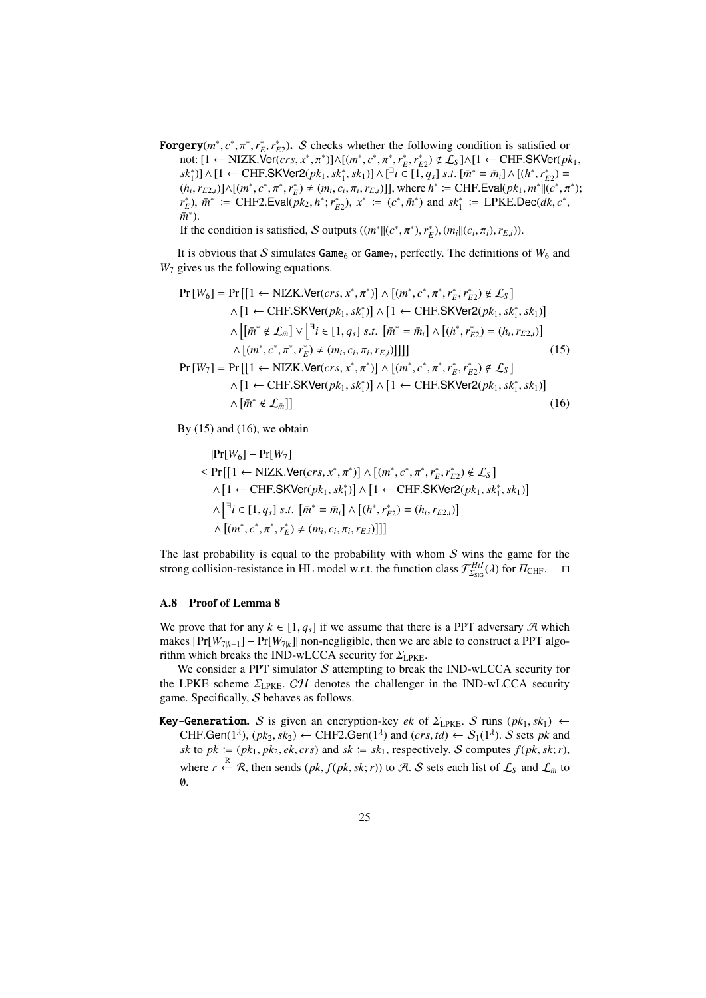**Forgery**( $m^*$ ,  $c^*$ ,  $\pi^*$ ,  $r_E^*$ ,  $r_{E2}^*$ ). S checks whether the following condition is satisfied or not: [1 ← NIZK.Ver( $\overline{c}$ *crs*,  $x^*, \pi^*$ )]∧[ $(m^*, c^*, \pi^*, r_E^*, r_{E2}^*) \notin \mathcal{L}_S$ ]∧[1 ← CHF.SKVer( $pk_1$ ,  $s k_1^*$ )]∧[1 ← CHF.SKVer2( $pk_1, sk_1^*, sk_1$ )]∧[<sup>3</sup> $i \in [1, q_s]$  *s.t.* [ $\bar{m}^* = \bar{m}_i$ ]∧[( $h^*, r_{E2}^*$ ) =  $(h_i, r_{E2,i})] \wedge [(m^*, c^*, \pi^*, r_E^*) \neq (m_i, c_i, \pi_i, r_{E,i})]$ , where  $h^* \coloneqq \text{CHF.Eval}(pk_1, m^*||\overline{(c^*, \pi^*)};$  $r_E^*$ ),  $\bar{m}^*$  := CHF2.Eval( $\bar{p}k_2$ ,  $h^*$ ;  $r_{E2}^*$ ),  $x^*$  := ( $c^*$ ,  $\bar{m}^*$ ) and  $sk_1^*$  := LPKE.Dec( $dk$ ,  $c^*$ ,  $\bar{m}^*$ ).

If the condition is satisfied, S outputs  $((m^*||(c^*, \pi^*), r_E^*), (m_i||(c_i, \pi_i), r_{E,i}))$ .

It is obvious that  $S$  simulates Game<sub>6</sub> or Game<sub>7</sub>, perfectly. The definitions of  $W_6$  and *W*<sup>7</sup> gives us the following equations.

$$
\Pr[W_{6}] = \Pr\left[\left[1 \leftarrow \text{NIZK.Ver}(cr, x^{*}, \pi^{*})\right] \wedge \left[(m^{*}, c^{*}, \pi^{*}, r_{E}^{*}, r_{E2}^{*}) \notin \mathcal{L}_{S}\right] \right] \wedge \left[1 \leftarrow \text{CHF.SKVer}(pk_{1}, sk_{1}^{*})\right] \wedge \left[1 \leftarrow \text{CHF.SKVer}(2(pk_{1}, sk_{1}^{*}, sk_{1})\right] \wedge \left[(\bar{m}^{*} \notin \mathcal{L}_{\bar{m}}] \vee \left[\overline{a}^{*} \in [1, q_{s}] \text{ s.t. } [\bar{m}^{*} = \bar{m}_{i}] \wedge \left[(h^{*}, r_{E2}^{*}) = (h_{i}, r_{E2,i})\right] \right] \wedge \left[(m^{*}, c^{*}, \pi^{*}, r_{E}^{*}) \neq (m_{i}, c_{i}, \pi_{i}, r_{E,i})\right]\right]\right] \wedge \Pr[W_{7}] = \Pr\left[\left[1 \leftarrow \text{NIZK.Ver}(cr, x^{*}, \pi^{*})\right] \wedge \left[(m^{*}, c^{*}, \pi^{*}, r_{E}^{*}, r_{E2}^{*}) \notin \mathcal{L}_{S}\right] \wedge \left[1 \leftarrow \text{CHF.SKVer}(pk_{1}, sk_{1}^{*})\right] \wedge \left[1 \leftarrow \text{CHF.SKVer}(2(pk_{1}, sk_{1}^{*}, sk_{1})\right] \wedge \left[\bar{m}^{*} \notin \mathcal{L}_{\bar{m}}\right]\right] \qquad (16)
$$

By  $(15)$  and  $(16)$ , we obtain

$$
|\Pr[W_6] - \Pr[W_7]|
$$
  
\n≤ Pr [[1 ← NIZK.Ver(*crs*, *x*<sup>\*</sup>, *π*<sup>\*</sup>)] ∧ [(*m*<sup>\*</sup>, *c*<sup>\*</sup>, *π*<sup>\*</sup>, *r*<sup>\*</sup><sub>*E*</sub>, *r*<sup>\*</sup><sub>*E*</sub>) ∉ L<sub>S</sub>]  
\n∧ [1 ← CHF.SKVer(*pk*<sub>1</sub>, *sk*<sup>\*</sup><sub>1</sub>)] ∧ [1 ← CHF.SKVer2(*pk*<sub>1</sub>, *sk*<sup>\*</sup><sub>1</sub>, *sk*<sub>1</sub>)]  
\n∧ [∃*i* ∈ [1, *q*<sub>s</sub>] *s.t*. [ $\bar{m}$ <sup>\*</sup> =  $\bar{m}$ <sub>*i*</sub>] ∧ [(*h*<sup>\*</sup>, *r*<sup>\*</sup><sub>*E*</sub>) = (*h*<sub>*i*</sub>, *r*<sub>*E*2, *i*</sub>)]  
\n∧ [(*m*<sup>\*</sup>, *c*<sup>\*</sup>, *π*<sup>\*</sup>, *r*<sup>\*</sup><sub>*E*</sub>) ≠ (*m*<sub>*i*</sub>, *c*<sub>*i*</sub>, *π*<sub>*i*</sub>, *r*<sub>*E*, *i*</sub>)]]]

The last probability is equal to the probability with whom  $S$  wins the game for the strong collision-resistance in HL model w.r.t. the function class  $\mathcal{F}^{Hil}_{\Sigma_{\text{SGG}}}(\lambda)$  for  $\Pi_{\text{CHF}}$ .  $\Box$ 

## A.8 Proof of Lemma 8

We prove that for any  $k \in [1, q_s]$  if we assume that there is a PPT adversary  $\mathcal{A}$  which makes  $|Pr[W_{7|k-1}] - Pr[W_{7|k}]|$  non-negligible, then we are able to construct a PPT algorithm which breaks the IND-wLCCA security for  $\Sigma_{\text{LPKE}}$ .

We consider a PPT simulator  $S$  attempting to break the IND-wLCCA security for the LPKE scheme  $\Sigma_{\text{LPKE}}$ . CH denotes the challenger in the IND-wLCCA security game. Specifically, S behaves as follows.

**Key-Generation.** S is given an encryption-key *ek* of  $\Sigma$ <sub>LPKE</sub>. S runs ( $pk_1, sk_1$ ) ← CHF.Gen( $1^{\lambda}$ ),  $(pk_2, sk_2) \leftarrow$  CHF2.Gen( $1^{\lambda}$ ) and  $(crs, td) \leftarrow S_1(1^{\lambda})$ . S sets *pk* and *sk* to  $pk := (pk_1, pk_2, ek, crs)$  and  $sk := sk_1$ , respectively. S computes  $f(pk, sk; r)$ , where *r*  $\stackrel{R}{\leftarrow}$  *R*, then sends (*pk*, *f*(*pk*, *sk*; *r*)) to *A*. *S* sets each list of  $\mathcal{L}_S$  and  $\mathcal{L}_{\bar{m}}$  to  $\emptyset$ .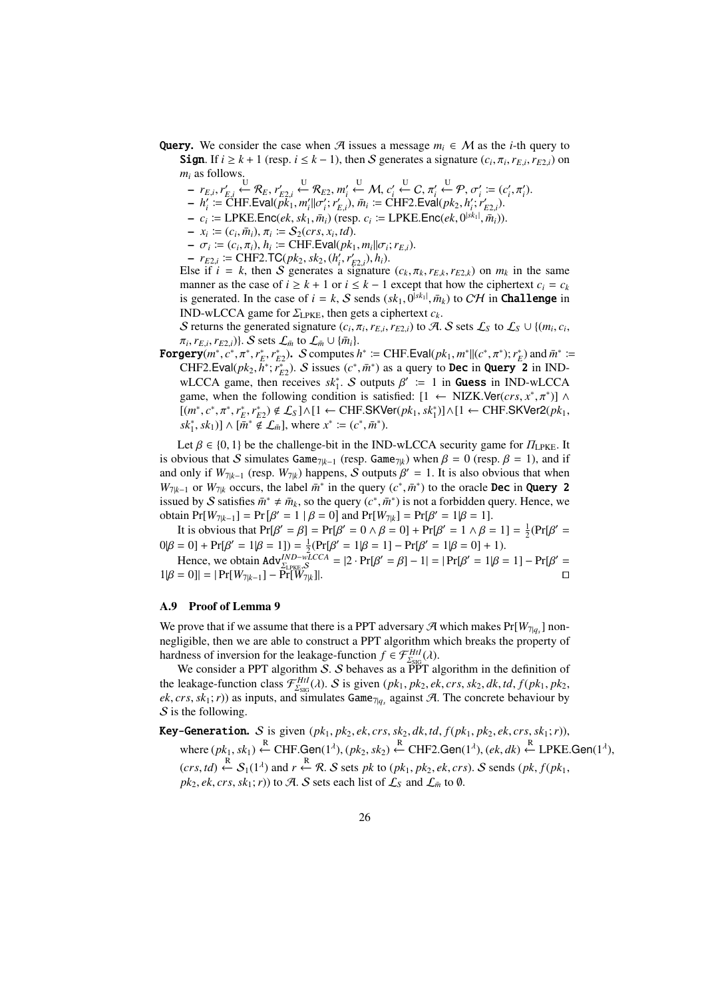- Query. We consider the case when A issues a message  $m_i \in \mathcal{M}$  as the *i*-th query to Sign. If  $i \geq k + 1$  (resp.  $i \leq k - 1$ ), then S generates a signature  $(c_i, \pi_i, r_{E,i}, r_{E2,i})$  on  $m_i$  as follows.
	- $P = r_{E,i}, r'_{E,i} \stackrel{U}{\leftarrow} \mathcal{R}_E, r'_{E2,i} \stackrel{U}{\leftarrow} \mathcal{R}_{E2}, m'_i \stackrel{U}{\leftarrow} \mathcal{M}, c'_i \stackrel{U}{\leftarrow} C, \pi'_i \stackrel{U}{\leftarrow} \mathcal{P}, \sigma'_i := (c'_i, \pi'_i).$
	- $h'_i := \text{CHF.Eval}(\tilde{pk}_1^*, m'_i || \sigma'_i; r'_{E,i}), \bar{m}_i := \text{CHF2.Eval}(pk_2, h'_i; r'_{E2,i}).$
	- $-c_i \coloneqq \text{LPKE}.\text{Enc}(ek, sk_1, \bar{m}_i)$  (resp.  $c_i \coloneqq \text{LPKE}.\text{Enc}(ek, 0^{|sk_1|}, \bar{m}_i)$ ).
	- $x_i := (c_i, \bar{m}_i), \pi_i := S_2(crs, x_i, td).$
	- $-\sigma_i := (c_i, \pi_i), h_i := \text{CHF.Eval}(pk_1, m_i || \sigma_i; r_{E,i}).$
	- $r_{E2,i} := \text{CHF2.TC}(pk_2, sk_2, (h'_i, r'_{E2,i}), h_i).$

Else if  $i = k$ , then S generates a signature  $(c_k, \pi_k, r_{E,k}, r_{E2,k})$  on  $m_k$  in the same manner as the case of  $i \geq k + 1$  or  $i \leq k - 1$  except that how the ciphertext  $c_i = c_k$ is generated. In the case of  $i = k$ , S sends  $(sk_1, 0^{|sk_1|}, \bar{m}_k)$  to CH in **Challenge** in IND-wLCCA game for  $\Sigma_{\text{LPKE}}$ , then gets a ciphertext  $c_k$ .

S returns the generated signature  $(c_i, \pi_i, r_{E,i}, r_{E2,i})$  to A. S sets  $\mathcal{L}_S$  to  $\mathcal{L}_S \cup \{(m_i, c_i, r_{E2,i}, r_{E2,i}, r_{E2,i})\}$  $\pi_i$ ,  $r_{E,i}$ ,  $r_{E2,i}$ )}. S sets  $\mathcal{L}_{\bar{m}}$  to  $\mathcal{L}_{\bar{m}} \cup \{\bar{m}_i\}$ .

**Forgery** $(m^*, c^*, \pi^*, r_E^*, r_{E2}^*)$ . S computes  $h^* := \text{CHF.Eval}(pk_1, m^*||(c^*, \pi^*); r_E^*)$  and  $\bar{m}^* :=$ CHF2.Eval( $pk_2$ ,  $\overline{h}^*$ ;  $\overline{r}_{E2}^*$ ). S issues ( $c^*$ ,  $\overline{m}^*$ ) as a query to **Dec** in **Query** 2 in INDwLCCA game, then receives  $sk_1^*$ . S outputs  $\beta' := 1$  in **Guess** in IND-wLCCA game, when the following condition is satisfied:  $[1 \leftarrow NIZK.Ver(crs, x^*, \pi^*)]$  ^  $[(m^*, c^*, \pi^*, r_E^*, r_{E2}^*) \notin \mathcal{L}_S] \land [1 \leftarrow \text{CHF.SKVer}(pk_1, sk_1^*)] \land [1 \leftarrow \text{CHF.SKVer2}(pk_1, sk_2^*)]$  $sk_1^*, sk_1] \wedge [\tilde{m}^* \notin \mathcal{L}_{\bar{m}}],$  where  $x^* := (c^*, \bar{m}^*).$ 

Let  $\beta \in \{0, 1\}$  be the challenge-bit in the IND-wLCCA security game for  $\Pi_{\text{LPKE}}$ . It is obvious that S simulates Game<sub>7|k−1</sub> (resp. Game<sub>7|k</sub>) when  $\beta = 0$  (resp.  $\beta = 1$ ), and if and only if  $W_{7|k-1}$  (resp.  $W_{7|k}$ ) happens, S outputs  $\beta' = 1$ . It is also obvious that when  $W_{7|k-1}$  or  $W_{7|k}$  occurs, the label  $\bar{m}^*$  in the query  $(c^*, \bar{m}^*)$  to the oracle **Dec** in **Query 2** issued by S satisfies  $\bar{m}^* \neq \bar{m}_k$ , so the query  $(c^*, \bar{m}^*)$  is not a forbidden query. Hence, we obtain  $Pr[W_{7|k-1}] = Pr[\beta' = 1 | \beta = 0]$  and  $Pr[W_{7|k}] = Pr[\beta' = 1 | \beta = 1]$ .

It is obvious that  $Pr[\beta' = \beta] = Pr[\beta' = 0 \land \beta = 0] + Pr[\beta' = 1 \land \beta = 1] = \frac{1}{2}(Pr[\beta' = 1])$  $0|β = 0] + Pr[β' = 1|β = 1]) = \frac{1}{2}(Pr[β' = 1|β = 1] - Pr[β' = 1|β = 0] + 1).$ 

Hence, we obtain  $\text{Adv}_{\Sigma_{\text{LPKE}},\mathcal{S}}^{IND-wLCCA} = |2 \cdot \Pr[\beta' = \beta] - 1| = |\Pr[\beta' = 1 | \beta = 1] - \Pr[\beta' = 1 | \beta = 1]$  $1|\beta = 0| = |Pr[W_{7|k-1}] - Pr[W_{7|k}]|$ . □

# A.9 Proof of Lemma 9

We prove that if we assume that there is a PPT adversary  $\mathcal{A}$  which makes  $Pr[W_{7|q_s}]$  nonnegligible, then we are able to construct a PPT algorithm which breaks the property of hardness of inversion for the leakage-function  $f \in \mathcal{F}_{\Sigma_{\text{SIG}}}^{Hil}(\lambda)$ .

We consider a PPT algorithm S. S behaves as a  $\overrightarrow{PPT}$  algorithm in the definition of the leakage-function class  $\mathcal{F}^{HtI}_{\Sigma_{\text{SIG}}}(\lambda)$ . S is given  $(pk_1, pk_2, ek, crs, sk_2, dk, td, f(pk_1, pk_2,$  $ek, crs, sk_1; r)$  as inputs, and simulates Game<sub>7|*q<sub>s</sub>*</sub> against A. The concrete behaviour by  $S$  is the following.

Key-Generation. S is given  $(pk_1, pk_2, ek, crs, sk_2, dk, td, f(pk_1, pk_2, ek, crs, sk_1; r)$ ,  $\forall x \in (pk_1, sk_1) \stackrel{R}{\leftarrow} \text{CHF.Gen}(1^{\lambda}), (pk_2, sk_2) \stackrel{R}{\leftarrow} \text{CHF2.Gen}(1^{\lambda}), (ek, dk) \stackrel{R}{\leftarrow} \text{LPKE.Gen}(1^{\lambda}),$  $(rrs, td) \xleftarrow{R} S_1(1^{\lambda})$  and  $r \xleftarrow{R} R$ . S sets *pk* to  $(pk_1, pk_2, ek, crs)$ . S sends  $(pk, f(pk_1, b)$  $pk_2, ek, crs, sk_1; r)$  to A. S sets each list of  $\mathcal{L}_S$  and  $\mathcal{L}_{\bar{m}}$  to Ø.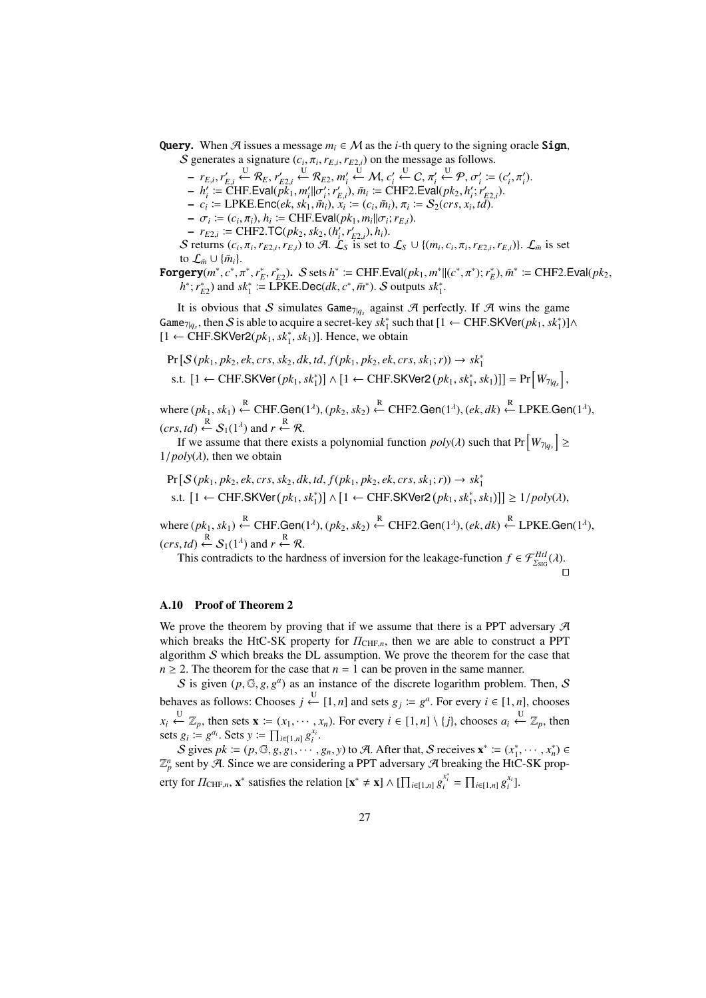**Query.** When A issues a message  $m_i \in M$  as the *i*-th query to the signing oracle Sign,

S generates a signature  $(c_i, \pi_i, r_{E,i}, r_{E2,i})$  on the message as follows.

 $- r_{E,i}, r'_{E,i} \stackrel{U}{\leftarrow} \mathcal{R}_E, r'_{E2,i} \stackrel{U}{\leftarrow} \mathcal{R}_{E2}, m'_i \stackrel{U}{\leftarrow} \mathcal{M}, c'_i \stackrel{U}{\leftarrow} C, \pi'_i \stackrel{U}{\leftarrow} \mathcal{P}, \sigma'_i := (c'_i, \pi'_i).$ 

 $h'_i := \text{CHF.Eval}(\overrightarrow{pk}_1, m'_i || \sigma'_i; r'_{E,i}), \overline{m}_i := \text{CHF2.Eval}(pk_2, h'_i; r'_{E2,i}).$ 

 $-c_i$  = LPKE.Enc(*ek*, *sk*<sub>1</sub>,  $\bar{m}_i$ ),  $x_i$  = ( $c_i$ ,  $\bar{m}_i$ ),  $\pi_i$  =  $S_2(crs, x_i, td)$ .

 $- \sigma_i \coloneqq (c_i, \pi_i), h_i \coloneqq \text{CHF.Eval}(pk_1, m_i || \sigma_i; r_{E,i}).$ 

 $- r_{E2,i} \coloneqq \text{CHF2.TC}(pk_2, sk_2, (h'_i, r'_{E2,i}), h_i).$ 

S returns  $(c_i, \pi_i, r_{E2,i}, r_{E,i})$  to A.  $\mathcal{L}_S$  is set to  $\mathcal{L}_S \cup \{(m_i, c_i, \pi_i, r_{E2,i}, r_{E,i})\}\)$ .  $\mathcal{L}_{\bar{m}}$  is set to  $\mathcal{L}_{\bar{m}} \cup {\{\bar{m}_i\}}$ .

 $\textbf{Forgery}(m^*, c^*, \pi^*, r_E^*, r_{E2}^*).$   $\mathcal{S}$  sets  $h^* \coloneqq \text{CHF.Eval}(pk_1, m^*|| (c^*, \pi^*); r_E^*), \bar{m}^* \coloneqq \text{CHF2.Eval}(pk_2, \pi^*)$  $h^*$ ;  $r_{E2}^*$ ) and  $sk_1^*$  := LPKE.Dec(*dk*,  $c^*$ ,  $\bar{m}^*$ ). S outputs  $sk_1^*$ .

It is obvious that S simulates Game<sub>7</sub> $|q_s|$  against A perfectly. If A wins the game Game<sub>7|*qs*</sub>, then S is able to acquire a secret-key  $sk_1^*$  such that [1 ← CHF.SKVer( $pk_1, sk_1^*$ )]∧ [1 ← CHF.SKVer2( $pk_1, sk_1^*$ ,  $sk_1$ )]. Hence, we obtain

$$
\Pr\left[\mathcal{S}(pk_1, pk_2, ek, crs, sk_2, dk, td, f(pk_1, pk_2, ek, crs, sk_1; r)) \rightarrow sk_1^*
$$
\ns.t. 
$$
[1 \leftarrow \text{CHF.SKVer}(pk_1, sk_1^*)] \wedge [1 \leftarrow \text{CHF.SKVer2}(pk_1, sk_1^*, sk_1)]] = \Pr\left[W_{7|q_s}\right],
$$

 $\forall x \in (pk_1, sk_1) \stackrel{R}{\leftarrow} \text{CHF.Gen}(1^{\lambda}), (pk_2, sk_2) \stackrel{R}{\leftarrow} \text{CHF2.Gen}(1^{\lambda}), (ek, dk) \stackrel{R}{\leftarrow} \text{LPKE.Gen}(1^{\lambda}),$  $(crs, td) \xleftarrow{\mathbb{R}} \mathcal{S}_1(1^{\lambda})$  and  $r \xleftarrow{\mathbb{R}} \mathcal{R}$ .

If we assume that there exists a polynomial function  $poly(\lambda)$  such that  $Pr\left[W_{7|q_s}\right] \ge$  $1/poly(\lambda)$ , then we obtain

$$
Pr[S(pk_1, pk_2, ek, crs, sk_2, dk, td, f(pk_1, pk_2, ek, crs, sk_1; r)) \rightarrow sk_1^*
$$
  
s.t.  $[1 \leftarrow \text{CHF.SKVer}(pk_1, sk_1^*)] \wedge [1 \leftarrow \text{CHF.SKVer2}(pk_1, sk_1^*, sk_1)]] \ge 1/poly(\lambda),$ 

 $\forall x \in (pk_1, sk_1) \stackrel{R}{\leftarrow} \text{CHF.Gen}(1^{\lambda}), (pk_2, sk_2) \stackrel{R}{\leftarrow} \text{CHF2.Gen}(1^{\lambda}), (ek, dk) \stackrel{R}{\leftarrow} \text{LPKE.Gen}(1^{\lambda}),$  $(crs, td) \xleftarrow{\mathbb{R}} S_1(1^{\lambda})$  and  $r \xleftarrow{\mathbb{R}} \mathcal{R}$ .

This contradicts to the hardness of inversion for the leakage-function  $f \in \mathcal{F}_{\Sigma_{\text{SIG}}}^{Hil}(\lambda)$ .

#### ⊓⊔

## A.10 Proof of Theorem 2

We prove the theorem by proving that if we assume that there is a PPT adversary  $\mathcal A$ which breaks the HtC-SK property for  $\Pi_{\text{CHF},n}$ , then we are able to construct a PPT algorithm  $S$  which breaks the DL assumption. We prove the theorem for the case that  $n \geq 2$ . The theorem for the case that  $n = 1$  can be proven in the same manner.

S is given  $(p, \mathbb{G}, g, g^a)$  as an instance of the discrete logarithm problem. Then, S behaves as follows: Chooses *j* ← [1, *n*] and sets  $g_j := g^a$ . For every  $i \in [1, n]$ , chooses  $x_i \stackrel{\text{U}}{\leftarrow} \mathbb{Z}_p$ , then sets  $\mathbf{x} := (x_1, \dots, x_n)$ . For every  $i \in [1, n] \setminus \{j\}$ , chooses  $a_i \stackrel{\text{U}}{\leftarrow} \mathbb{Z}_p$ , then sets  $g_i := g^{a_i}$ . Sets  $y := \prod_{i \in [1,n]} g_i^{x_i}$ .

S gives  $pk := (p, \mathbb{G}, g, g_1, \dots, g_n, y)$  to A. After that, S receives  $\mathbf{x}^* := (x_1^*, \dots, x_n^*) \in$  $\mathbb{Z}_p^n$  sent by A. Since we are considering a PPT adversary A breaking the HtC-SK property for  $\Pi_{\text{CHF},n}$ ,  $\mathbf{x}^*$  satisfies the relation  $[\mathbf{x}^* \neq \mathbf{x}] \wedge [\prod_{i \in [1,n]} g_i^{x_i^*}] = \prod_{i \in [1,n]} g_i^{x_i}].$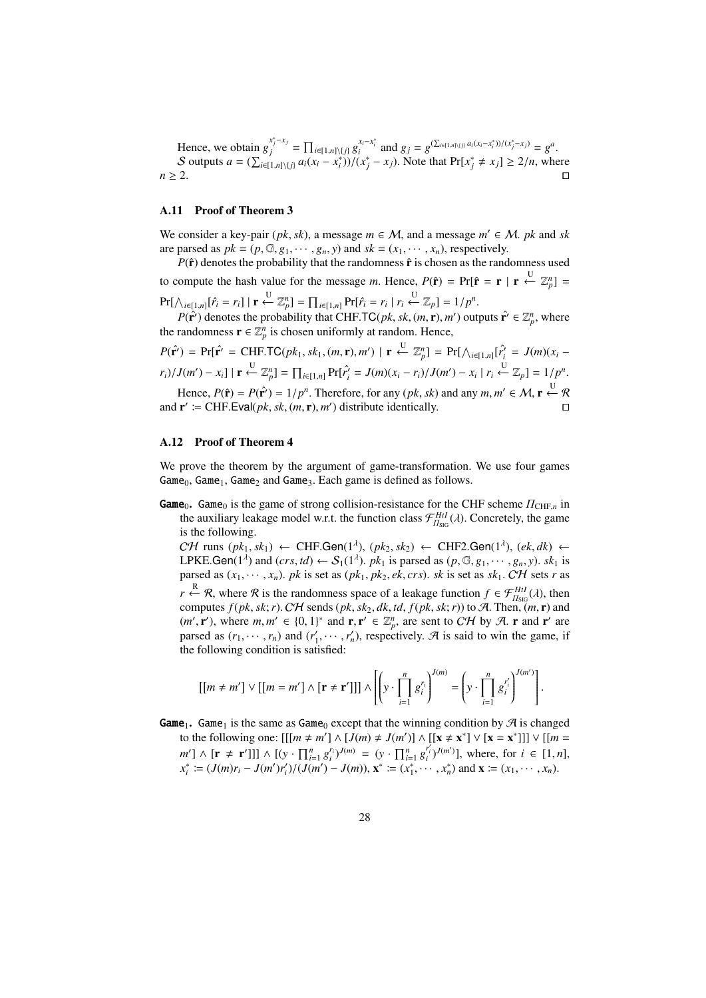Hence, we obtain  $g_j^{x_j^* - x_j}$  $x_j^{x_j^* - x_j} = \prod_{i \in [1,n] \setminus \{j\}} g_i^{x_i^* - x_i^*}$  and  $g_j = g^{(\sum_{i \in [1,n] \setminus \{j\}} a_i(x_i^* - x_i^*))/(x_j^* - x_j)} = g^a$ . S outputs  $a = (\sum_{i\in [1,n]\setminus\{j\}} a_i(x_i - x_i^*))/(x_j^* - x_j)$ . Note that  $Pr[x_j^* \neq x_j] \geq 2/n$ , where *n* ≥ 2. ⊓⊔

## A.11 Proof of Theorem 3

We consider a key-pair ( $pk$ ,  $sk$ ), a message  $m \in M$ , and a message  $m' \in M$ .  $pk$  and  $sk$ are parsed as  $pk = (p, \mathbb{G}, g_1, \dots, g_n, y)$  and  $sk = (x_1, \dots, x_n)$ , respectively.

 $P(\hat{\mathbf{r}})$  denotes the probability that the randomness  $\hat{\mathbf{r}}$  is chosen as the randomness used to compute the hash value for the message *m*. Hence,  $P(\hat{\mathbf{r}}) = Pr[\hat{\mathbf{r}} = \mathbf{r} | \mathbf{r} \leftarrow \mathbb{Z}_p^n] =$  $\Pr[\bigwedge_{i \in [1,n]} [\hat{r}_i = r_i] \mid \mathbf{r} \stackrel{\text{U}}{\leftarrow} \mathbb{Z}_p^n] = \prod_{i \in [1,n]} \Pr[\hat{r}_i = r_i \mid r_i \stackrel{\text{U}}{\leftarrow} \mathbb{Z}_p] = 1/p^n.$ 

*P*( $\hat{\mathbf{r}}$ <sup>*'*</sup>) denotes the probability that CHF.TC(*pk*, *sk*, (*m*, **r**), *m'*) outputs  $\hat{\mathbf{r}}$ <sup>*'*</sup>  $\in \mathbb{Z}_p^n$ , where the randomness  $\mathbf{r} \in \mathbb{Z}_p^n$  is chosen uniformly at random. Hence,

$$
P(\hat{\mathbf{r}}') = \Pr[\hat{\mathbf{r}}' = \text{CHF.TC}(pk_1, sk_1, (m, \mathbf{r}), m') \mid \mathbf{r} \stackrel{\text{U}}{\leftarrow} \mathbb{Z}_p^n] = \Pr[\bigwedge_{i \in [1, n]} [r_i^2 = J(m)(x_i - r_i) / J(m') - x_i] \mid \mathbf{r} \stackrel{\text{U}}{\leftarrow} \mathbb{Z}_p^n] = \prod_{i \in [1, n]} \Pr[r_i^2 = J(m)(x_i - r_i) / J(m') - x_i \mid r_i \stackrel{\text{U}}{\leftarrow} \mathbb{Z}_p] = 1 / p^n.
$$
  
Hence,  $P(\hat{\mathbf{r}}) = P(\hat{\mathbf{r}}') = 1 / p^n$ . Therefore, for any  $(pk, sk)$  and any  $m, m' \in \mathcal{M}, \mathbf{r} \stackrel{\text{U}}{\leftarrow} \mathcal{R}$ 

and  $\mathbf{r}' \coloneqq \text{CHF.Eval}(pk, sk, (m, \mathbf{r}), m')$  distribute identically. □

### A.12 Proof of Theorem 4

We prove the theorem by the argument of game-transformation. We use four games  $Game_0$ ,  $Game_1$ ,  $Game_2$  and  $Game_3$ . Each game is defined as follows.

Game<sub>0</sub>. Game<sub>0</sub> is the game of strong collision-resistance for the CHF scheme  $\Pi_{\text{CHF},n}$  in the auxiliary leakage model w.r.t. the function class  $\mathcal{F}_{H_{\text{SIG}}}^{HtI}(\lambda)$ . Concretely, the game is the following.

 $C\mathcal{H}$  runs  $(pk_1, sk_1) \leftarrow$  CHF.Gen(1<sup>2</sup>),  $(pk_2, sk_2) \leftarrow$  CHF2.Gen(1<sup>2</sup>),  $(ek, dk) \leftarrow$ LPKE.Gen( $1^{\lambda}$ ) and (*crs,td*)  $\leftarrow S_1(1^{\lambda})$ . *pk*<sub>1</sub> is parsed as ( $p$ ,  $\mathbb{G}$ ,  $g_1$ ,  $\cdots$ ,  $g_n$ ,  $y$ ). *sk*<sub>1</sub> is parsed as  $(x_1, \dots, x_n)$ . *pk* is set as  $(pk_1, pk_2, ek, crs)$ . *sk* is set as  $sk_1$ . CH sets *r* as *r*  $\leftarrow$  *R*, where *R* is the randomness space of a leakage function *f*  $\in \mathcal{F}_{\Pi_{\text{SIG}}}^{HtI}(\lambda)$ , then computes  $f(pk, sk; r)$ . CH sends  $(pk, sk_2, dk, td, f(pk, sk; r))$  to A. Then,  $(m, r)$  and  $(m', \mathbf{r}')$ , where  $m, m' \in \{0, 1\}^*$  and  $\mathbf{r}, \mathbf{r}' \in \mathbb{Z}_p^n$ , are sent to CH by A. r and r' are parsed as  $(r_1, \dots, r_n)$  and  $(r'_1, \dots, r'_n)$ , respectively. A is said to win the game, if the following condition is satisfied:

$$
\left[\left[m \neq m'\right] \vee \left[\left[m = m'\right] \wedge \left[\mathbf{r} \neq \mathbf{r}'\right]\right]\right] \wedge \left[\left(y \cdot \prod_{i=1}^{n} g_i^{r_i}\right)^{J(m)} = \left(y \cdot \prod_{i=1}^{n} g_i^{r'_i}\right)^{J(m')} \right].
$$

**Game**<sub>1</sub>. Game<sub>1</sub> is the same as Game<sub>0</sub> except that the winning condition by  $\mathcal{A}$  is changed to the following one:  $[[[m \neq m'] \land [J(m) \neq J(m')] \land [[x \neq x^*] \lor [x = x^*]]] \lor [[m = x^*]$  $m'$ ]  $\wedge$  [**r**  $\neq$  **r'**]]]  $\wedge$  [(y  $\cdot \prod_{i=1}^{n} g_i^{r_i}$ )<sup> $J(m)$ </sup> = (y  $\cdot \prod_{i=1}^{n} g_i^{r_i'}$ )<sup> $J(m')$ </sup>], where, for  $i \in [1, n]$ ,  $x_i^* := (J(m)r_i - J(m')r'_i)/(J(m') - J(m))$ ,  $\mathbf{x}^* := (x_1^*, \cdots, x_n^*)$  and  $\mathbf{x} := (x_1, \cdots, x_n)$ .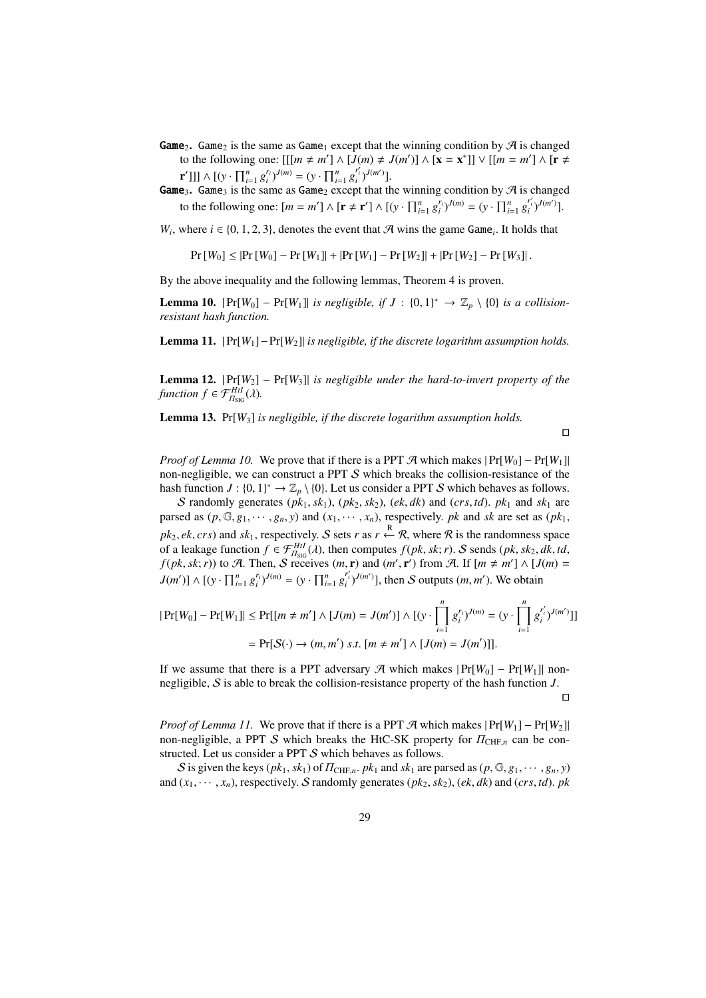- **Game**<sub>2</sub>. Game<sub>2</sub> is the same as Game<sub>1</sub> except that the winning condition by  $\mathcal{A}$  is changed to the following one:  $[[[m \neq m'] \land [J(m) \neq J(m')] \land [\mathbf{x} = \mathbf{x}^*]] \lor [[m = m'] \land [\mathbf{r} \neq m']$  $\mathbf{r}'$ ]]]  $\wedge$   $[(y \cdot \prod_{i=1}^{n} g_i^{r_i})^{J(m)} = (y \cdot \prod_{i=1}^{n} g_i^{r_i})^{J(m')}].$
- **Game**<sub>3</sub>. Game<sub>3</sub> is the same as Game<sub>2</sub> except that the winning condition by  $\mathcal{A}$  is changed to the following one:  $[m = m'] \wedge [\mathbf{r} \neq \mathbf{r}'] \wedge [(\mathbf{y} \cdot \prod_{i=1}^{n} g_i^{r_i})^{J(m)} = (\mathbf{y} \cdot \prod_{i=1}^{n} g_i^{r_i'})^{J(m')}].$

*W<sub>i</sub>*, where  $i \in \{0, 1, 2, 3\}$ , denotes the event that A wins the game Game<sub>i</sub>. It holds that

$$
Pr[W_0] \le |Pr[W_0] - Pr[W_1]| + |Pr[W_1] - Pr[W_2]| + |Pr[W_2] - Pr[W_3]|.
$$

By the above inequality and the following lemmas, Theorem 4 is proven.

**Lemma 10.**  $|Pr[W_0] - Pr[W_1]|$  *is negligible, if*  $J : \{0, 1\}^* \to \mathbb{Z}_p \setminus \{0\}$  *is a collisionresistant hash function.*

Lemma 11. | Pr[*W*1]−Pr[*W*2]| *is negligible, if the discrete logarithm assumption holds.*

**Lemma 12.**  $|Pr[W_2] - Pr[W_3]|$  *is negligible under the hard-to-invert property of the function*  $f \in \mathcal{F}_{\Pi_{\text{SIG}}}^{HtI}(\lambda)$ .

Lemma 13. Pr[*W*3] *is negligible, if the discrete logarithm assumption holds.*

⊓⊔

*Proof of Lemma 10.* We prove that if there is a PPT  $\mathcal{A}$  which makes  $|Pr[W_0] - Pr[W_1]|$ non-negligible, we can construct a PPT S which breaks the collision-resistance of the hash function  $J: \{0,1\}^* \to \mathbb{Z}_p \setminus \{0\}$ . Let us consider a PPT S which behaves as follows.

S randomly generates  $(pk_1, sk_1)$ ,  $(pk_2, sk_2)$ ,  $(ek, dk)$  and  $(crs, td)$ .  $pk_1$  and  $sk_1$  are parsed as  $(p, \mathbb{G}, g_1, \dots, g_n, y)$  and  $(x_1, \dots, x_n)$ , respectively. *pk* and *sk* are set as  $(pk_1,$ *pk*<sub>2</sub>, *ek*, *crs*) and *sk*<sub>1</sub>, respectively. S sets *r* as *r*  $\stackrel{R}{\leftarrow}$  R, where R is the randomness space of a leakage function  $f \in \mathcal{F}_{H_{\text{SIG}}}^{H_{\text{LI}}}(\lambda)$ , then computes  $f(pk, sk; r)$ . S sends  $(pk, sk_2, dk, td,$  $f(pk, sk; r)$ ) to A. Then, S receives  $(m, r)$  and  $(m', r')$  from A. If  $[m \neq m'] \wedge [J(m) =$  $J(m') \wedge [(y \cdot \prod_{i=1}^n g_i^{r_i})^{J(m)} = (y \cdot \prod_{i=1}^n g_i^{r_i'})^{J(m')}],$  then S outputs  $(m, m')$ . We obtain

$$
|\Pr[W_0] - \Pr[W_1]| \le \Pr[[m \ne m'] \land [J(m) = J(m')] \land [y \cdot \prod_{i=1}^n g_i^{r_i}y^{J(m)} = (y \cdot \prod_{i=1}^n g_i^{r_i'}y^{J(m')}]]
$$
  
=  $\Pr[S(\cdot) \to (m, m') \text{ s.t. } [m \ne m'] \land [J(m) = J(m')]].$ 

If we assume that there is a PPT adversary  $\mathcal{A}$  which makes  $|Pr[W_0] - Pr[W_1]|$  nonnegligible, S is able to break the collision-resistance property of the hash function *J*.

⊓⊔

*Proof of Lemma 11.* We prove that if there is a PPT  $\mathcal{A}$  which makes  $|Pr[W_1] - Pr[W_2]|$ non-negligible, a PPT S which breaks the HtC-SK property for  $\Pi_{\text{CHF}_n}$  can be constructed. Let us consider a PPT S which behaves as follows.

S is given the keys  $(pk_1, sk_1)$  of  $\Pi_{\text{CHF},n}$ ,  $pk_1$  and  $sk_1$  are parsed as  $(p, \mathbb{G}, g_1, \dots, g_n, y)$ and  $(x_1, \dots, x_n)$ , respectively. S randomly generates  $(pk_2, sk_2)$ ,  $(ek, dk)$  and  $(crs, td)$ . *pk*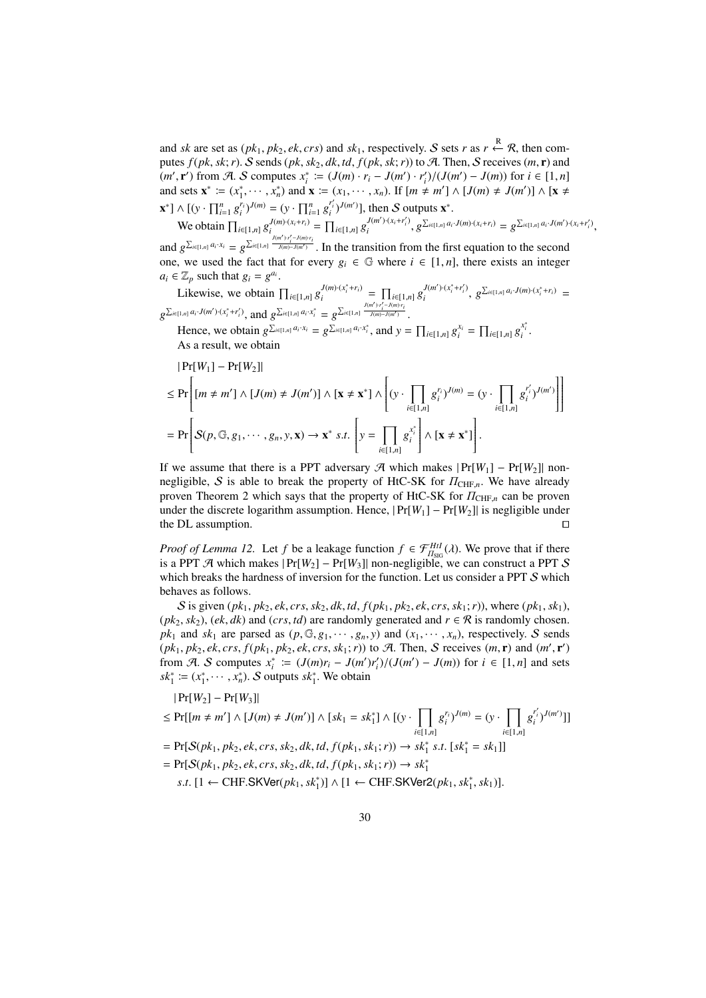and *sk* are set as  $(pk_1, pk_2, ek, crs)$  and  $sk_1$ , respectively. S sets *r* as  $r \leftarrow R$ , then computes  $f(pk, sk; r)$ . S sends  $(pk, sk_2, dk, td, f(pk, sk; r))$  to A. Then, S receives  $(m, r)$  and  $(m', \mathbf{r}')$  from A. S computes  $x_i^* := (J(m) \cdot r_i - J(m') \cdot r'_i) / (J(m') - J(m))$  for  $i \in [1, n]$  $m, r$  from  $v$ .  $v$  computes  $x_i$   $:= (x_0, m) \cdot r_i$   $(x_i, ..., x_n)$  (*n*  $) \cdot r_i$   $(x_i, ..., x_n)$ ) for  $i \in [1, n]$ <br>and sets  $\mathbf{x}^* := (x_1^*, \dots, x_n^*)$  and  $\mathbf{x} := (x_1, \dots, x_n)$ . If  $[m \neq m'] \wedge [J(m) \neq J(m')] \wedge [\mathbf{x} \neq J(m')]$  $\mathbf{x}^* \cdot \mathbf{X} = \left[ (\mathbf{y} \cdot \prod_{i=1}^n g_i^{r_i})^{J(m)} \right] = (\mathbf{y} \cdot \prod_{i=1}^n g_i^{r_i'})^{J(m')} \cdot \mathbf{I}$ , then S outputs  $\mathbf{x}^*$ .

We obtain  $\prod_{i \in [1,n]} g_i^{J(m) \cdot (x_i+r_i)} = \prod_{i \in [1,n]} g_i^{J(m') \cdot (x_i+r'_i)}$  $J(m') \cdot (x_i + r'_i)$ ,  $g^{\sum_{i \in [1,n]} a_i \cdot J(m) \cdot (x_i + r_i)} = g^{\sum_{i \in [1,n]} a_i \cdot J(m') \cdot (x_i + r'_i)}$ , and  $g^{\sum_{i\in [1,n]} a_i \cdot x_i} = g^{\sum_{i\in [1,n]} \frac{J(m') \cdot r'_i - J(m) \cdot r_i}{J(m) - J(m')}}$ . In the transition from the first equation to the second one, we used the fact that for every  $g_i \in \mathbb{G}$  where  $i \in [1, n]$ , there exists an integer

 $a_i \in \mathbb{Z}_p$  such that  $g_i = g^{a_i}$ .

Likewise, we obtain  $\prod_{i \in [1,n]} g_i^{J(m) \cdot (x_i^* + r_i)}$  $J(m) \cdot (x_i^* + r_i) = \prod_{i \in [1,n]} g_i^{J(m') \cdot (x_i^* + r_i')}$  $g^{\sum_{i\in[1,n]}a_i \cdot J(m)\cdot(x_i^*+r_i)}$  =  $g^{\sum_{i\in [1,n]}a_i\cdot J(m')\cdot (x^*_i+r'_i)},$  and  $g^{\sum_{i\in [1,n]}a_i\cdot x^*_i}=g^{\sum_{i\in [1,n]} \frac{J(m')\cdot r'_i-J(m)\cdot r_i}{J(m)-J(m')}}.$ 

Hence, we obtain  $g^{\sum_{i\in [1,n]} a_i \cdot x_i} = g^{\sum_{i\in [1,n]} a_i \cdot x_i^*}$ , and  $y = \prod_{i\in [1,n]} g_i^{x_i} = \prod_{i\in [1,n]} g_i^{x_i^*}$ . As a result, we obtain

$$
|\Pr[W_1] - \Pr[W_2]|
$$
  
\n
$$
\leq \Pr\left[ [m \neq m'] \land [J(m) \neq J(m')] \land [\mathbf{x} \neq \mathbf{x}^*] \land \left[ (\mathbf{y} \cdot \prod_{i \in [1,n]} g_i^{r_i})^{J(m)} = (\mathbf{y} \cdot \prod_{i \in [1,n]} g_i^{r_i'})^{J(m')} \right] \right]
$$
  
\n
$$
= \Pr\left[ S(p, \mathbb{G}, g_1, \dots, g_n, \mathbf{y}, \mathbf{x}) \rightarrow \mathbf{x}^* \ s.t. \left[ \mathbf{y} = \prod_{i \in [1,n]} g_i^{x_i^*} \right] \land [\mathbf{x} \neq \mathbf{x}^*] \right].
$$

If we assume that there is a PPT adversary  $\mathcal{A}$  which makes  $|Pr[W_1] - Pr[W_2]|$  nonnegligible, S is able to break the property of HtC-SK for  $\Pi_{\text{CHF},n}$ . We have already proven Theorem 2 which says that the property of HtC-SK for  $\Pi_{\text{CHF},n}$  can be proven under the discrete logarithm assumption. Hence,  $|Pr[W_1] - Pr[W_2]|$  is negligible under the DL assumption. □

*Proof of Lemma 12.* Let *f* be a leakage function  $f \in \mathcal{F}_{H_{\text{SIG}}}^{H \text{HJ}}(\lambda)$ . We prove that if there is a PPT A which makes | Pr[*W*2] − Pr[*W*3]| non-negligible, we can construct a PPT S which breaks the hardness of inversion for the function. Let us consider a PPT S which behaves as follows.

S is given  $(pk_1, pk_2, ek, crs, sk_2, dk, td, f(pk_1, pk_2, ek, crs, sk_1; r)$ , where  $(pk_1, sk_1)$ ,  $(pk_2, sk_2)$ ,  $(ek, dk)$  and  $(crs, td)$  are randomly generated and  $r \in \mathcal{R}$  is randomly chosen.  $pk_1$  and  $sk_1$  are parsed as  $(p, \mathbb{G}, g_1, \dots, g_n, y)$  and  $(x_1, \dots, x_n)$ , respectively. S sends  $(pk_1, pk_2, ek, crs, f(pk_1, pk_2, ek, crs, sk_1; r)$  to A. Then, S receives  $(m, r)$  and  $(m', r')$ from A. S computes  $x_i^* := (J(m)r_i - J(m')r_i')/(J(m') - J(m))$  for  $i \in [1, n]$  and sets  $sk_1^* := (x_1^*, \dots, x_n^*)$ . S outputs  $sk_1^*$ . We obtain

$$
|\Pr[W_2] - \Pr[W_3]|
$$
  
\n
$$
\leq \Pr[[m \neq m'] \land [J(m) \neq J(m')] \land [sk_1 = sk_1^*] \land [(y \cdot \prod_{i \in [1,n]} g_i^{r_i})^{J(m)} = (y \cdot \prod_{i \in [1,n]} g_i^{r_i})^{J(m')}]]
$$
  
\n
$$
= \Pr[S(pk_1, pk_2, ek, crs, sk_2, dk, td, f(pk_1, sk_1; r)) \rightarrow sk_1^* s.t. [sk_1^* = sk_1]]
$$
  
\n
$$
= \Pr[S(pk_1, pk_2, ek, crs, sk_2, dk, td, f(pk_1, sk_1; r)) \rightarrow sk_1^*
$$
  
\n
$$
s.t. [1 \leftarrow \text{CHF.SKVer}(pk_1, sk_1^*)] \land [1 \leftarrow \text{CHF.SKVer2}(pk_1, sk_1^*, sk_1)].
$$